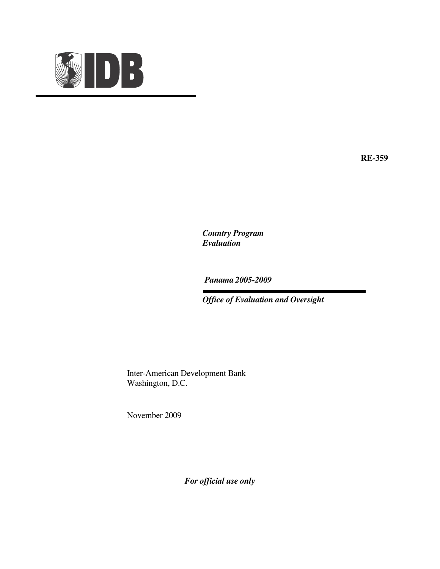

**RE-359** 

*Country Program Evaluation* 

 *Panama 2005-2009* 

 *Office of Evaluation and Oversight* 

 Inter-American Development Bank Washington, D.C.

November 2009

*For official use only*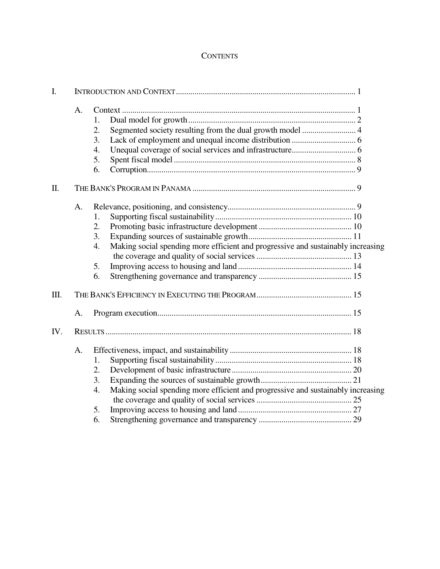# **CONTENTS**

| I.   |    |    |                                                                                  |  |
|------|----|----|----------------------------------------------------------------------------------|--|
|      | A. | 1. |                                                                                  |  |
|      |    | 2. |                                                                                  |  |
|      |    | 3. |                                                                                  |  |
|      |    | 4. |                                                                                  |  |
|      |    | 5. |                                                                                  |  |
|      |    | 6. |                                                                                  |  |
| Π.   |    |    |                                                                                  |  |
|      | A. |    |                                                                                  |  |
|      |    | 1. |                                                                                  |  |
|      |    | 2. |                                                                                  |  |
|      |    | 3. |                                                                                  |  |
|      |    | 4. | Making social spending more efficient and progressive and sustainably increasing |  |
|      |    |    |                                                                                  |  |
|      |    | 5. |                                                                                  |  |
|      |    | 6. |                                                                                  |  |
| III. |    |    |                                                                                  |  |
|      | A. |    |                                                                                  |  |
| IV.  |    |    |                                                                                  |  |
|      | A. |    |                                                                                  |  |
|      |    | 1. |                                                                                  |  |
|      |    | 2. |                                                                                  |  |
|      |    | 3. |                                                                                  |  |
|      |    | 4. | Making social spending more efficient and progressive and sustainably increasing |  |
|      |    | 5. |                                                                                  |  |
|      |    | 6. |                                                                                  |  |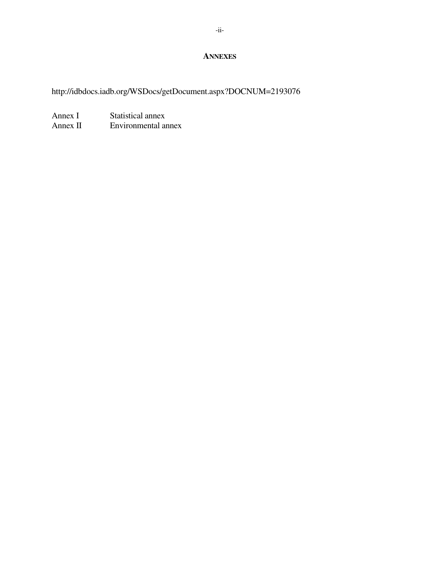### **ANNEXES**

http://idbdocs.iadb.org/WSDocs/getDocument.aspx?DOCNUM=2193076

Annex I Statistical annex<br>Annex II Environmental ar Environmental annex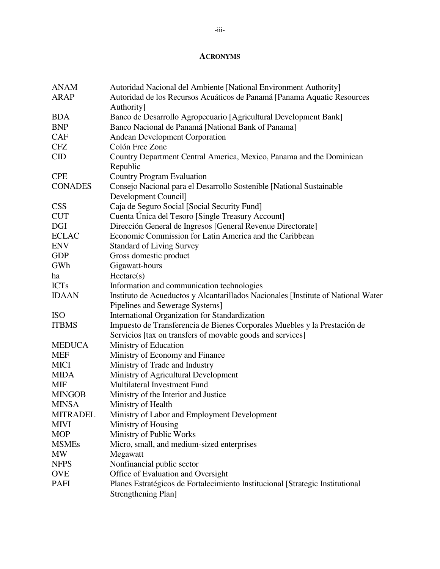### **ACRONYMS**

| <b>ANAM</b>     | Autoridad Nacional del Ambiente [National Environment Authority]                  |
|-----------------|-----------------------------------------------------------------------------------|
| <b>ARAP</b>     | Autoridad de los Recursos Acuáticos de Panamá [Panama Aquatic Resources           |
|                 | Authority]                                                                        |
| <b>BDA</b>      | Banco de Desarrollo Agropecuario [Agricultural Development Bank]                  |
| <b>BNP</b>      | Banco Nacional de Panamá [National Bank of Panama]                                |
| <b>CAF</b>      | <b>Andean Development Corporation</b>                                             |
| <b>CFZ</b>      | Colón Free Zone                                                                   |
| $\rm CID$       | Country Department Central America, Mexico, Panama and the Dominican              |
|                 | Republic                                                                          |
| <b>CPE</b>      | <b>Country Program Evaluation</b>                                                 |
| <b>CONADES</b>  | Consejo Nacional para el Desarrollo Sostenible [National Sustainable              |
|                 | Development Council]                                                              |
| <b>CSS</b>      | Caja de Seguro Social [Social Security Fund]                                      |
| <b>CUT</b>      | Cuenta Única del Tesoro [Single Treasury Account]                                 |
| DGI             | Dirección General de Ingresos [General Revenue Directorate]                       |
| <b>ECLAC</b>    | Economic Commission for Latin America and the Caribbean                           |
| <b>ENV</b>      | <b>Standard of Living Survey</b>                                                  |
| <b>GDP</b>      | Gross domestic product                                                            |
| GWh             | Gigawatt-hours                                                                    |
| ha              | Hectare(s)                                                                        |
| <b>ICTs</b>     | Information and communication technologies                                        |
| <b>IDAAN</b>    | Instituto de Acueductos y Alcantarillados Nacionales [Institute of National Water |
|                 | Pipelines and Sewerage Systems]                                                   |
| <b>ISO</b>      | International Organization for Standardization                                    |
| <b>ITBMS</b>    | Impuesto de Transferencia de Bienes Corporales Muebles y la Prestación de         |
|                 | Servicios [tax on transfers of movable goods and services]                        |
| <b>MEDUCA</b>   | Ministry of Education                                                             |
| <b>MEF</b>      | Ministry of Economy and Finance                                                   |
| <b>MICI</b>     | Ministry of Trade and Industry                                                    |
| <b>MIDA</b>     | Ministry of Agricultural Development                                              |
| <b>MIF</b>      | Multilateral Investment Fund                                                      |
| <b>MINGOB</b>   | Ministry of the Interior and Justice                                              |
| <b>MINSA</b>    | Ministry of Health                                                                |
| <b>MITRADEL</b> | Ministry of Labor and Employment Development                                      |
| <b>MIVI</b>     | Ministry of Housing                                                               |
| <b>MOP</b>      | Ministry of Public Works                                                          |
| <b>MSMEs</b>    | Micro, small, and medium-sized enterprises                                        |
| <b>MW</b>       | Megawatt                                                                          |
| <b>NFPS</b>     | Nonfinancial public sector                                                        |
| <b>OVE</b>      | Office of Evaluation and Oversight                                                |
| <b>PAFI</b>     | Planes Estratégicos de Fortalecimiento Institucional [Strategic Institutional     |
|                 | <b>Strengthening Plan]</b>                                                        |
|                 |                                                                                   |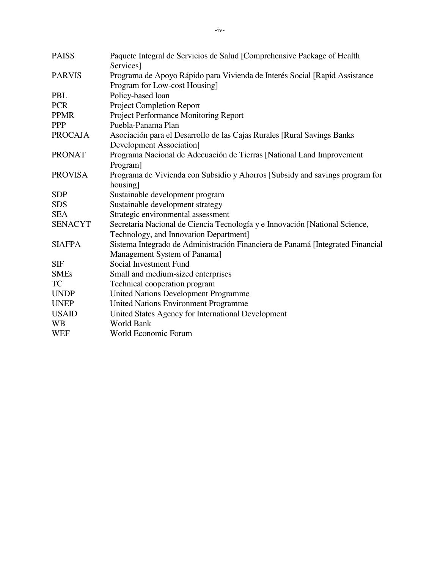| <b>PAISS</b>   | Paquete Integral de Servicios de Salud [Comprehensive Package of Health                                      |
|----------------|--------------------------------------------------------------------------------------------------------------|
|                | Services]                                                                                                    |
| <b>PARVIS</b>  | Programa de Apoyo Rápido para Vivienda de Interés Social [Rapid Assistance]<br>Program for Low-cost Housing] |
| PBL            | Policy-based loan                                                                                            |
| <b>PCR</b>     | <b>Project Completion Report</b>                                                                             |
| <b>PPMR</b>    | Project Performance Monitoring Report                                                                        |
| <b>PPP</b>     | Puebla-Panama Plan                                                                                           |
| <b>PROCAJA</b> | Asociación para el Desarrollo de las Cajas Rurales [Rural Savings Banks                                      |
|                | <b>Development Association]</b>                                                                              |
| <b>PRONAT</b>  | Programa Nacional de Adecuación de Tierras [National Land Improvement                                        |
|                | Program]                                                                                                     |
| <b>PROVISA</b> | Programa de Vivienda con Subsidio y Ahorros [Subsidy and savings program for                                 |
|                | housing]                                                                                                     |
| <b>SDP</b>     | Sustainable development program                                                                              |
| <b>SDS</b>     | Sustainable development strategy                                                                             |
| <b>SEA</b>     | Strategic environmental assessment                                                                           |
| <b>SENACYT</b> | Secretaria Nacional de Ciencia Tecnología y e Innovación [National Science,                                  |
|                | Technology, and Innovation Department]                                                                       |
| <b>SIAFPA</b>  | Sistema Integrado de Administración Financiera de Panamá [Integrated Financial                               |
|                | Management System of Panama]                                                                                 |
| SIF            | Social Investment Fund                                                                                       |
| <b>SMEs</b>    | Small and medium-sized enterprises                                                                           |
| TC             | Technical cooperation program                                                                                |
| <b>UNDP</b>    | <b>United Nations Development Programme</b>                                                                  |
| <b>UNEP</b>    | <b>United Nations Environment Programme</b>                                                                  |
| <b>USAID</b>   | United States Agency for International Development                                                           |
| <b>WB</b>      | <b>World Bank</b>                                                                                            |
| <b>WEF</b>     | World Economic Forum                                                                                         |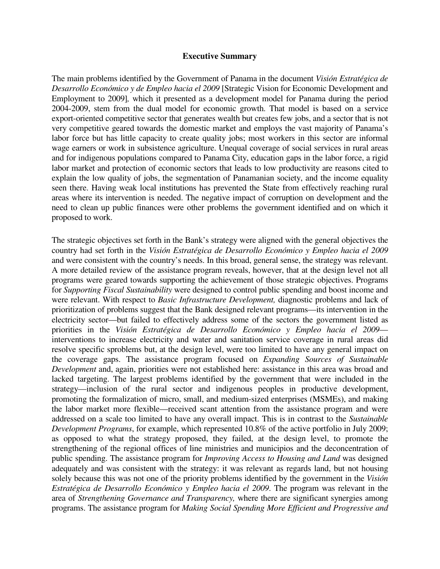#### **Executive Summary**

The main problems identified by the Government of Panama in the document *Visión Estratégica de Desarrollo Económico y de Empleo hacia el 2009* [Strategic Vision for Economic Development and Employment to 2009]*,* which it presented as a development model for Panama during the period 2004-2009, stem from the dual model for economic growth. That model is based on a service export-oriented competitive sector that generates wealth but creates few jobs, and a sector that is not very competitive geared towards the domestic market and employs the vast majority of Panama's labor force but has little capacity to create quality jobs; most workers in this sector are informal wage earners or work in subsistence agriculture. Unequal coverage of social services in rural areas and for indigenous populations compared to Panama City, education gaps in the labor force, a rigid labor market and protection of economic sectors that leads to low productivity are reasons cited to explain the low quality of jobs, the segmentation of Panamanian society, and the income equality seen there. Having weak local institutions has prevented the State from effectively reaching rural areas where its intervention is needed. The negative impact of corruption on development and the need to clean up public finances were other problems the government identified and on which it proposed to work.

The strategic objectives set forth in the Bank's strategy were aligned with the general objectives the country had set forth in the *Visión Estratégica de Desarrollo Económico y Empleo hacia el 2009* and were consistent with the country's needs. In this broad, general sense, the strategy was relevant. A more detailed review of the assistance program reveals, however, that at the design level not all programs were geared towards supporting the achievement of those strategic objectives. Programs for *Supporting Fiscal Sustainability* were designed to control public spending and boost income and were relevant. With respect to *Basic Infrastructure Development,* diagnostic problems and lack of prioritization of problems suggest that the Bank designed relevant programs—its intervention in the electricity sector—but failed to effectively address some of the sectors the government listed as priorities in the *Visión Estratégica de Desarrollo Económico y Empleo hacia el 2009* interventions to increase electricity and water and sanitation service coverage in rural areas did resolve specific sproblems but, at the design level, were too limited to have any general impact on the coverage gaps. The assistance program focused on *Expanding Sources of Sustainable Development* and, again, priorities were not established here: assistance in this area was broad and lacked targeting. The largest problems identified by the government that were included in the strategy—inclusion of the rural sector and indigenous peoples in productive development, promoting the formalization of micro, small, and medium-sized enterprises (MSMEs), and making the labor market more flexible—received scant attention from the assistance program and were addressed on a scale too limited to have any overall impact. This is in contrast to the *Sustainable Development Programs*, for example, which represented 10.8% of the active portfolio in July 2009; as opposed to what the strategy proposed, they failed, at the design level, to promote the strengthening of the regional offices of line ministries and municipios and the deconcentration of public spending. The assistance program for *Improving Access to Housing and Land* was designed adequately and was consistent with the strategy: it was relevant as regards land, but not housing solely because this was not one of the priority problems identified by the government in the *Visión Estratégica de Desarrollo Económico y Empleo hacia el 2009*. The program was relevant in the area of *Strengthening Governance and Transparency,* where there are significant synergies among programs. The assistance program for *Making Social Spending More Efficient and Progressive and*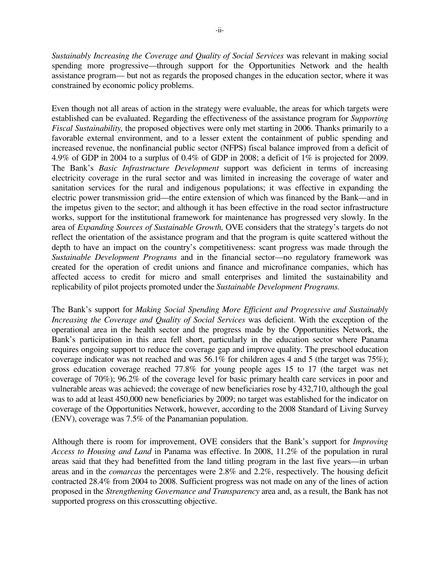*Sustainably Increasing the Coverage and Quality of Social Services* was relevant in making social spending more progressive—through support for the Opportunities Network and the health assistance program— but not as regards the proposed changes in the education sector, where it was constrained by economic policy problems.

Even though not all areas of action in the strategy were evaluable, the areas for which targets were established can be evaluated. Regarding the effectiveness of the assistance program for *Supporting Fiscal Sustainability,* the proposed objectives were only met starting in 2006. Thanks primarily to a favorable external environment, and to a lesser extent the containment of public spending and increased revenue, the nonfinancial public sector (NFPS) fiscal balance improved from a deficit of 4.9% of GDP in 2004 to a surplus of 0.4% of GDP in 2008; a deficit of 1% is projected for 2009. The Bank's *Basic Infrastructure Development* support was deficient in terms of increasing electricity coverage in the rural sector and was limited in increasing the coverage of water and sanitation services for the rural and indigenous populations; it was effective in expanding the electric power transmission grid—the entire extension of which was financed by the Bank—and in the impetus given to the sector; and although it has been effective in the road sector infrastructure works, support for the institutional framework for maintenance has progressed very slowly. In the area of *Expanding Sources of Sustainable Growth,* OVE considers that the strategy's targets do not reflect the orientation of the assistance program and that the program is quite scattered without the depth to have an impact on the country's competitiveness: scant progress was made through the *Sustainable Development Programs* and in the financial sector—no regulatory framework was created for the operation of credit unions and finance and microfinance companies, which has affected access to credit for micro and small enterprises and limited the sustainability and replicability of pilot projects promoted under the *Sustainable Development Programs.*

The Bank's support for *Making Social Spending More Efficient and Progressive and Sustainably Increasing the Coverage and Quality of Social Services* was deficient. With the exception of the operational area in the health sector and the progress made by the Opportunities Network, the Bank's participation in this area fell short, particularly in the education sector where Panama requires ongoing support to reduce the coverage gap and improve quality. The preschool education coverage indicator was not reached and was 56.1% for children ages 4 and 5 (the target was 75%); gross education coverage reached 77.8% for young people ages 15 to 17 (the target was net coverage of 70%); 96.2% of the coverage level for basic primary health care services in poor and vulnerable areas was achieved; the coverage of new beneficiaries rose by 432,710, although the goal was to add at least 450,000 new beneficiaries by 2009; no target was established for the indicator on coverage of the Opportunities Network, however, according to the 2008 Standard of Living Survey (ENV), coverage was 7.5% of the Panamanian population.

Although there is room for improvement, OVE considers that the Bank's support for *Improving Access to Housing and Land* in Panama was effective. In 2008, 11.2% of the population in rural areas said that they had benefitted from the land titling program in the last five years—in urban areas and in the *comarcas* the percentages were 2.8% and 2.2%, respectively. The housing deficit contracted 28.4% from 2004 to 2008. Sufficient progress was not made on any of the lines of action proposed in the *Strengthening Governance and Transparency* area and, as a result, the Bank has not supported progress on this crosscutting objective.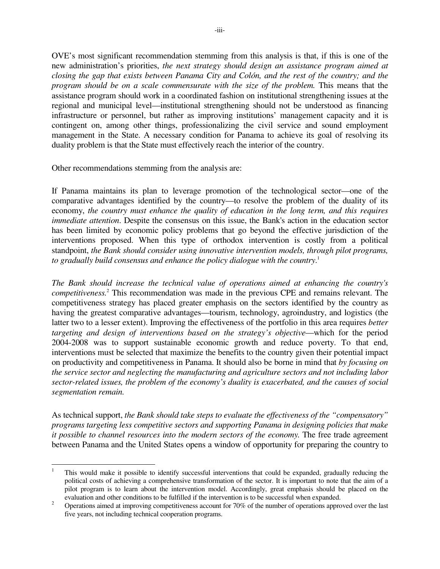OVE's most significant recommendation stemming from this analysis is that, if this is one of the new administration's priorities, *the next strategy should design an assistance program aimed at closing the gap that exists between Panama City and Colón, and the rest of the country; and the program should be on a scale commensurate with the size of the problem.* This means that the assistance program should work in a coordinated fashion on institutional strengthening issues at the regional and municipal level—institutional strengthening should not be understood as financing infrastructure or personnel, but rather as improving institutions' management capacity and it is contingent on, among other things, professionalizing the civil service and sound employment management in the State. A necessary condition for Panama to achieve its goal of resolving its duality problem is that the State must effectively reach the interior of the country.

Other recommendations stemming from the analysis are:

1

If Panama maintains its plan to leverage promotion of the technological sector—one of the comparative advantages identified by the country—to resolve the problem of the duality of its economy, *the country must enhance the quality of education in the long term, and this requires immediate attention*. Despite the consensus on this issue, the Bank's action in the education sector has been limited by economic policy problems that go beyond the effective jurisdiction of the interventions proposed. When this type of orthodox intervention is costly from a political standpoint, *the Bank should consider using innovative intervention models, through pilot programs, to gradually build consensus and enhance the policy dialogue with the country*. 1

*The Bank should increase the technical value of operations aimed at enhancing the country's competitiveness.*<sup>2</sup> This recommendation was made in the previous CPE and remains relevant. The competitiveness strategy has placed greater emphasis on the sectors identified by the country as having the greatest comparative advantages—tourism, technology, agroindustry, and logistics (the latter two to a lesser extent). Improving the effectiveness of the portfolio in this area requires *better targeting and design of interventions based on the strategy's objective*—which for the period 2004-2008 was to support sustainable economic growth and reduce poverty. To that end, interventions must be selected that maximize the benefits to the country given their potential impact on productivity and competitiveness in Panama. It should also be borne in mind that *by focusing on the service sector and neglecting the manufacturing and agriculture sectors and not including labor sector-related issues, the problem of the economy's duality is exacerbated, and the causes of social segmentation remain.*

As technical support, *the Bank should take steps to evaluate the effectiveness of the "compensatory" programs targeting less competitive sectors and supporting Panama in designing policies that make it possible to channel resources into the modern sectors of the economy.* The free trade agreement between Panama and the United States opens a window of opportunity for preparing the country to

<sup>1</sup> This would make it possible to identify successful interventions that could be expanded, gradually reducing the political costs of achieving a comprehensive transformation of the sector. It is important to note that the aim of a pilot program is to learn about the intervention model. Accordingly, great emphasis should be placed on the evaluation and other conditions to be fulfilled if the intervention is to be successful when expanded.

<sup>2</sup> Operations aimed at improving competitiveness account for 70% of the number of operations approved over the last five years, not including technical cooperation programs.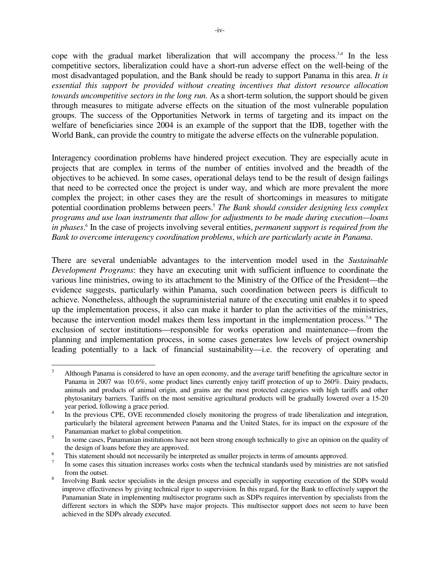cope with the gradual market liberalization that will accompany the process.<sup>3,4</sup> In the less competitive sectors, liberalization could have a short-run adverse effect on the well-being of the most disadvantaged population, and the Bank should be ready to support Panama in this area. *It is essential this support be provided without creating incentives that distort resource allocation towards uncompetitive sectors in the long run.* As a short-term solution, the support should be given through measures to mitigate adverse effects on the situation of the most vulnerable population groups. The success of the Opportunities Network in terms of targeting and its impact on the welfare of beneficiaries since 2004 is an example of the support that the IDB, together with the World Bank, can provide the country to mitigate the adverse effects on the vulnerable population.

Interagency coordination problems have hindered project execution. They are especially acute in projects that are complex in terms of the number of entities involved and the breadth of the objectives to be achieved. In some cases, operational delays tend to be the result of design failings that need to be corrected once the project is under way, and which are more prevalent the more complex the project; in other cases they are the result of shortcomings in measures to mitigate potential coordination problems between peers.<sup>5</sup> *The Bank should consider designing less complex programs and use loan instruments that allow for adjustments to be made during execution—loans in phases*. 6 In the case of projects involving several entities, *permanent support is required from the Bank to overcome interagency coordination problems*, *which are particularly acute in Panama*.

There are several undeniable advantages to the intervention model used in the *Sustainable Development Programs*: they have an executing unit with sufficient influence to coordinate the various line ministries, owing to its attachment to the Ministry of the Office of the President—the evidence suggests, particularly within Panama, such coordination between peers is difficult to achieve. Nonetheless, although the supraministerial nature of the executing unit enables it to speed up the implementation process, it also can make it harder to plan the activities of the ministries, because the intervention model makes them less important in the implementation process.<sup>7,8</sup> The exclusion of sector institutions—responsible for works operation and maintenance—from the planning and implementation process, in some cases generates low levels of project ownership leading potentially to a lack of financial sustainability—i.e. the recovery of operating and

 $\frac{1}{3}$  Although Panama is considered to have an open economy, and the average tariff benefiting the agriculture sector in Panama in 2007 was 10.6%, some product lines currently enjoy tariff protection of up to 260%. Dairy products, animals and products of animal origin, and grains are the most protected categories with high tariffs and other phytosanitary barriers. Tariffs on the most sensitive agricultural products will be gradually lowered over a 15-20 year period, following a grace period.

<sup>4</sup> In the previous CPE, OVE recommended closely monitoring the progress of trade liberalization and integration, particularly the bilateral agreement between Panama and the United States, for its impact on the exposure of the Panamanian market to global competition.

<sup>5</sup> In some cases, Panamanian institutions have not been strong enough technically to give an opinion on the quality of the design of loans before they are approved.

<sup>6</sup> This statement should not necessarily be interpreted as smaller projects in terms of amounts approved.

<sup>7</sup> In some cases this situation increases works costs when the technical standards used by ministries are not satisfied from the outset.

<sup>8</sup> Involving Bank sector specialists in the design process and especially in supporting execution of the SDPs would improve effectiveness by giving technical rigor to supervision. In this regard, for the Bank to effectively support the Panamanian State in implementing multisector programs such as SDPs requires intervention by specialists from the different sectors in which the SDPs have major projects. This multisector support does not seem to have been achieved in the SDPs already executed.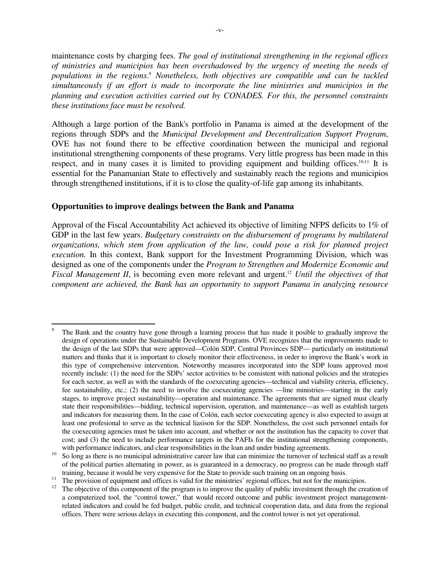maintenance costs by charging fees. *The goal of institutional strengthening in the regional offices of ministries and municipios has been overshadowed by the urgency of meeting the needs of*  populations in the regions.<sup>9</sup> Nonetheless, both objectives are compatible and can be tackled *simultaneously if an effort is made to incorporate the line ministries and municipios in the planning and execution activities carried out by CONADES. For this, the personnel constraints these institutions face must be resolved.* 

Although a large portion of the Bank's portfolio in Panama is aimed at the development of the regions through SDPs and the *Municipal Development and Decentralization Support Program*, OVE has not found there to be effective coordination between the municipal and regional institutional strengthening components of these programs. Very little progress has been made in this respect, and in many cases it is limited to providing equipment and building offices.<sup>10,11</sup> It is essential for the Panamanian State to effectively and sustainably reach the regions and municipios through strengthened institutions, if it is to close the quality-of-life gap among its inhabitants.

### **Opportunities to improve dealings between the Bank and Panama**

<u>.</u>

Approval of the Fiscal Accountability Act achieved its objective of limiting NFPS deficits to 1% of GDP in the last few years. *Budgetary constraints on the disbursement of programs by multilateral organizations, which stem from application of the law, could pose a risk for planned project execution.* In this context, Bank support for the Investment Programming Division, which was designed as one of the components under the *Program to Strengthen and Modernize Economic and Fiscal Management II, is becoming even more relevant and urgent.<sup>12</sup> <i>Until the objectives of that component are achieved, the Bank has an opportunity to support Panama in analyzing resource* 

<sup>9</sup> The Bank and the country have gone through a learning process that has made it posible to gradually improve the design of operations under the Sustainable Development Programs. OVE recognizes that the improvements made to the design of the last SDPs that were approved—Colón SDP, Central Provinces SDP— particularly on institutional matters and thinks that it is important to closely monitor their effectiveness, in order to improve the Bank's work in this type of comprehensive intervention. Noteworthy measures incorporated into the SDP loans approved most recently include: (1) the need for the SDPs' sector activities to be consistent with national policies and the strategies for each sector, as well as with the standards of the coexecuting agencies—technical and viability criteria, efficiency, fee sustainability, etc.; (2) the need to involve the coexecuting agencies —line ministries—starting in the early stages, to improve project sustainability—operation and maintenance. The agreements that are signed must clearly state their responsibilities—bidding, technical supervision, operation, and maintenance—as well as establish targets and indicators for measuring them. In the case of Colón, each sector coexecuting agency is also expected to assign at least one profesional to serve as the technical liasison for the SDP. Nonetheless, the cost such personnel entails for the coexecuting agencies must be taken into account, and whether or not the institution has the capacity to cover that cost; and (3) the need to include performance targets in the PAFIs for the institutional strengthening components, with performance indicators, and clear responsibilities in the loan and under binding agreements.

 $10\degree$  So long as there is no municipal administrative career law that can minimize the turnover of technical staff as a result of the political parties alternating in power, as is guaranteed in a democracy, no progress can be made through staff training, because it would be very expensive for the State to provide such training on an ongoing basis.

<sup>&</sup>lt;sup>11</sup> The provision of equipment and offices is valid for the ministries' regional offices, but not for the municipios.

 $12$  The objective of this component of the program is to improve the quality of public investment through the creation of a computerized tool, the "control tower," that would record outcome and public investment project managementrelated indicators and could be fed budget, public credit, and technical cooperation data, and data from the regional offices. There were serious delays in executing this component, and the control tower is not yet operational.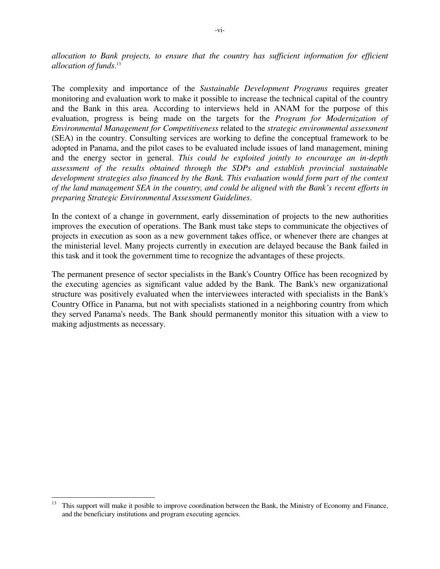*allocation to Bank projects, to ensure that the country has sufficient information for efficient allocation of funds*. 13

The complexity and importance of the *Sustainable Development Programs* requires greater monitoring and evaluation work to make it possible to increase the technical capital of the country and the Bank in this area. According to interviews held in ANAM for the purpose of this evaluation, progress is being made on the targets for the *Program for Modernization of Environmental Management for Competitiveness* related to the *strategic environmental assessment* (SEA) in the country. Consulting services are working to define the conceptual framework to be adopted in Panama, and the pilot cases to be evaluated include issues of land management, mining and the energy sector in general. *This could be exploited jointly to encourage an in-depth assessment of the results obtained through the SDPs and establish provincial sustainable development strategies also financed by the Bank. This evaluation would form part of the context of the land management SEA in the country, and could be aligned with the Bank's recent efforts in preparing Strategic Environmental Assessment Guidelines*.

In the context of a change in government, early dissemination of projects to the new authorities improves the execution of operations. The Bank must take steps to communicate the objectives of projects in execution as soon as a new government takes office, or whenever there are changes at the ministerial level. Many projects currently in execution are delayed because the Bank failed in this task and it took the government time to recognize the advantages of these projects.

The permanent presence of sector specialists in the Bank's Country Office has been recognized by the executing agencies as significant value added by the Bank. The Bank's new organizational structure was positively evaluated when the interviewees interacted with specialists in the Bank's Country Office in Panama, but not with specialists stationed in a neighboring country from which they served Panama's needs. The Bank should permanently monitor this situation with a view to making adjustments as necessary.

 $13$ <sup>13</sup> This support will make it posible to improve coordination between the Bank, the Ministry of Economy and Finance, and the beneficiary institutions and program executing agencies.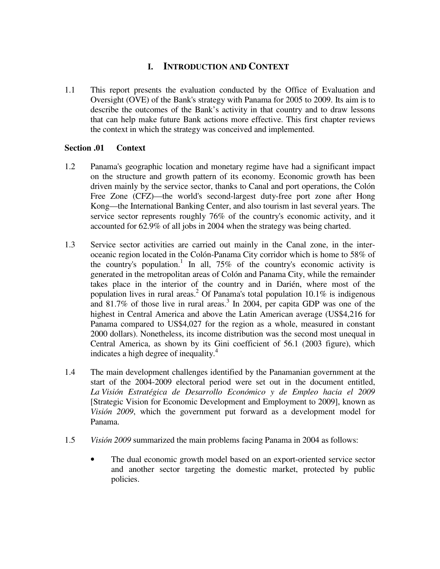# **I. INTRODUCTION AND CONTEXT**

1.1 This report presents the evaluation conducted by the Office of Evaluation and Oversight (OVE) of the Bank's strategy with Panama for 2005 to 2009. Its aim is to describe the outcomes of the Bank's activity in that country and to draw lessons that can help make future Bank actions more effective. This first chapter reviews the context in which the strategy was conceived and implemented.

### **Section .01 Context**

- 1.2 Panama's geographic location and monetary regime have had a significant impact on the structure and growth pattern of its economy. Economic growth has been driven mainly by the service sector, thanks to Canal and port operations, the Colón Free Zone (CFZ)—the world's second-largest duty-free port zone after Hong Kong—the International Banking Center, and also tourism in last several years. The service sector represents roughly 76% of the country's economic activity, and it accounted for 62.9% of all jobs in 2004 when the strategy was being charted.
- 1.3 Service sector activities are carried out mainly in the Canal zone, in the interoceanic region located in the Colón-Panama City corridor which is home to 58% of the country's population.<sup>1</sup> In all,  $75\%$  of the country's economic activity is generated in the metropolitan areas of Colón and Panama City, while the remainder takes place in the interior of the country and in Darién, where most of the population lives in rural areas.<sup>2</sup> Of Panama's total population  $10.1\%$  is indigenous and 81.7% of those live in rural areas.<sup>3</sup> In 2004, per capita GDP was one of the highest in Central America and above the Latin American average (US\$4,216 for Panama compared to US\$4,027 for the region as a whole, measured in constant 2000 dollars). Nonetheless, its income distribution was the second most unequal in Central America, as shown by its Gini coefficient of 56.1 (2003 figure), which indicates a high degree of inequality.<sup>4</sup>
- 1.4 The main development challenges identified by the Panamanian government at the start of the 2004-2009 electoral period were set out in the document entitled, *La Visión Estratégica de Desarrollo Económico y de Empleo hacia el 2009* [Strategic Vision for Economic Development and Employment to 2009], known as *Visión 2009*, which the government put forward as a development model for Panama.
- 1.5 *Visión 2009* summarized the main problems facing Panama in 2004 as follows:
	- The dual economic growth model based on an export-oriented service sector and another sector targeting the domestic market, protected by public policies.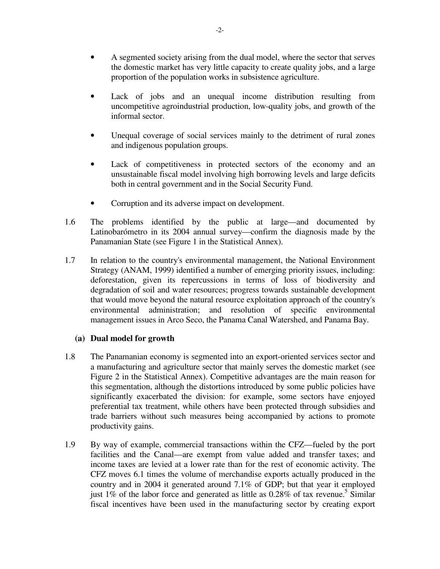- A segmented society arising from the dual model, where the sector that serves the domestic market has very little capacity to create quality jobs, and a large proportion of the population works in subsistence agriculture.
- Lack of jobs and an unequal income distribution resulting from uncompetitive agroindustrial production, low-quality jobs, and growth of the informal sector.
- Unequal coverage of social services mainly to the detriment of rural zones and indigenous population groups.
- Lack of competitiveness in protected sectors of the economy and an unsustainable fiscal model involving high borrowing levels and large deficits both in central government and in the Social Security Fund.
- Corruption and its adverse impact on development.
- 1.6 The problems identified by the public at large—and documented by Latinobarómetro in its 2004 annual survey—confirm the diagnosis made by the Panamanian State (see Figure 1 in the Statistical Annex).
- 1.7 In relation to the country's environmental management, the National Environment Strategy (ANAM, 1999) identified a number of emerging priority issues, including: deforestation, given its repercussions in terms of loss of biodiversity and degradation of soil and water resources; progress towards sustainable development that would move beyond the natural resource exploitation approach of the country's environmental administration; and resolution of specific environmental management issues in Arco Seco, the Panama Canal Watershed, and Panama Bay.

### **(a) Dual model for growth**

- 1.8 The Panamanian economy is segmented into an export-oriented services sector and a manufacturing and agriculture sector that mainly serves the domestic market (see Figure 2 in the Statistical Annex). Competitive advantages are the main reason for this segmentation, although the distortions introduced by some public policies have significantly exacerbated the division: for example, some sectors have enjoyed preferential tax treatment, while others have been protected through subsidies and trade barriers without such measures being accompanied by actions to promote productivity gains.
- 1.9 By way of example, commercial transactions within the CFZ—fueled by the port facilities and the Canal—are exempt from value added and transfer taxes; and income taxes are levied at a lower rate than for the rest of economic activity. The CFZ moves 6.1 times the volume of merchandise exports actually produced in the country and in 2004 it generated around 7.1% of GDP; but that year it employed just  $1\%$  of the labor force and generated as little as 0.28% of tax revenue.<sup>5</sup> Similar fiscal incentives have been used in the manufacturing sector by creating export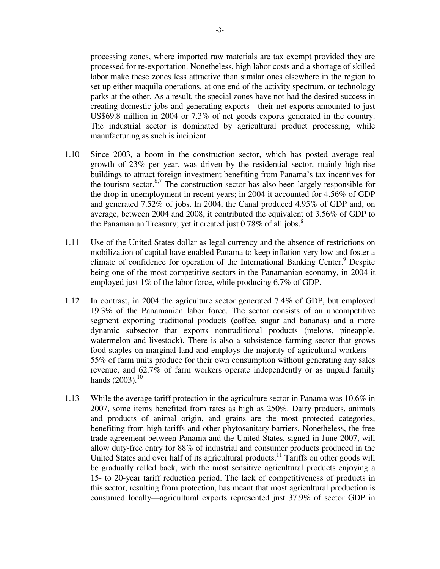processing zones, where imported raw materials are tax exempt provided they are processed for re-exportation. Nonetheless, high labor costs and a shortage of skilled labor make these zones less attractive than similar ones elsewhere in the region to set up either maquila operations, at one end of the activity spectrum, or technology parks at the other. As a result, the special zones have not had the desired success in creating domestic jobs and generating exports—their net exports amounted to just US\$69.8 million in 2004 or 7.3% of net goods exports generated in the country. The industrial sector is dominated by agricultural product processing, while manufacturing as such is incipient.

- 1.10 Since 2003, a boom in the construction sector, which has posted average real growth of 23% per year, was driven by the residential sector, mainly high-rise buildings to attract foreign investment benefiting from Panama's tax incentives for the tourism sector.<sup>6,7</sup> The construction sector has also been largely responsible for the drop in unemployment in recent years; in 2004 it accounted for 4.56% of GDP and generated 7.52% of jobs. In 2004, the Canal produced 4.95% of GDP and, on average, between 2004 and 2008, it contributed the equivalent of 3.56% of GDP to the Panamanian Treasury; yet it created just  $0.78\%$  of all jobs.<sup>8</sup>
- 1.11 Use of the United States dollar as legal currency and the absence of restrictions on mobilization of capital have enabled Panama to keep inflation very low and foster a climate of confidence for operation of the International Banking Center.<sup>9</sup> Despite being one of the most competitive sectors in the Panamanian economy, in 2004 it employed just 1% of the labor force, while producing 6.7% of GDP.
- 1.12 In contrast, in 2004 the agriculture sector generated 7.4% of GDP, but employed 19.3% of the Panamanian labor force. The sector consists of an uncompetitive segment exporting traditional products (coffee, sugar and bananas) and a more dynamic subsector that exports nontraditional products (melons, pineapple, watermelon and livestock). There is also a subsistence farming sector that grows food staples on marginal land and employs the majority of agricultural workers— 55% of farm units produce for their own consumption without generating any sales revenue, and 62.7% of farm workers operate independently or as unpaid family hands  $(2003).^{10}$
- 1.13 While the average tariff protection in the agriculture sector in Panama was 10.6% in 2007, some items benefited from rates as high as 250%. Dairy products, animals and products of animal origin, and grains are the most protected categories, benefiting from high tariffs and other phytosanitary barriers. Nonetheless, the free trade agreement between Panama and the United States, signed in June 2007, will allow duty-free entry for 88% of industrial and consumer products produced in the United States and over half of its agricultural products.<sup>11</sup> Tariffs on other goods will be gradually rolled back, with the most sensitive agricultural products enjoying a 15- to 20-year tariff reduction period. The lack of competitiveness of products in this sector, resulting from protection, has meant that most agricultural production is consumed locally—agricultural exports represented just 37.9% of sector GDP in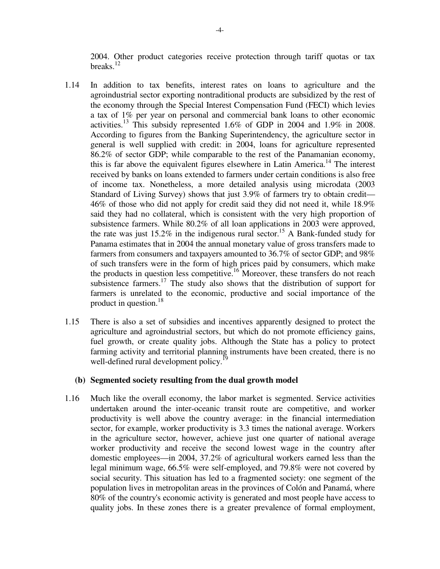2004. Other product categories receive protection through tariff quotas or tax breaks. $12$ 

- 1.14 In addition to tax benefits, interest rates on loans to agriculture and the agroindustrial sector exporting nontraditional products are subsidized by the rest of the economy through the Special Interest Compensation Fund (FECI) which levies a tax of 1% per year on personal and commercial bank loans to other economic activities.<sup>13</sup> This subsidy represented 1.6% of GDP in 2004 and 1.9% in 2008. According to figures from the Banking Superintendency, the agriculture sector in general is well supplied with credit: in 2004, loans for agriculture represented 86.2% of sector GDP; while comparable to the rest of the Panamanian economy, this is far above the equivalent figures elsewhere in Latin America.<sup>14</sup> The interest received by banks on loans extended to farmers under certain conditions is also free of income tax. Nonetheless, a more detailed analysis using microdata (2003 Standard of Living Survey) shows that just 3.9% of farmers try to obtain credit— 46% of those who did not apply for credit said they did not need it, while 18.9% said they had no collateral, which is consistent with the very high proportion of subsistence farmers. While 80.2% of all loan applications in 2003 were approved, the rate was just  $15.2\%$  in the indigenous rural sector.<sup>15</sup> A Bank-funded study for Panama estimates that in 2004 the annual monetary value of gross transfers made to farmers from consumers and taxpayers amounted to 36.7% of sector GDP; and 98% of such transfers were in the form of high prices paid by consumers, which make the products in question less competitive.<sup>16</sup> Moreover, these transfers do not reach subsistence farmers.<sup>17</sup> The study also shows that the distribution of support for farmers is unrelated to the economic, productive and social importance of the product in question.<sup>18</sup>
- 1.15 There is also a set of subsidies and incentives apparently designed to protect the agriculture and agroindustrial sectors, but which do not promote efficiency gains, fuel growth, or create quality jobs. Although the State has a policy to protect farming activity and territorial planning instruments have been created, there is no well-defined rural development policy.<sup>19</sup>

#### **(b) Segmented society resulting from the dual growth model**

1.16 Much like the overall economy, the labor market is segmented. Service activities undertaken around the inter-oceanic transit route are competitive, and worker productivity is well above the country average: in the financial intermediation sector, for example, worker productivity is 3.3 times the national average. Workers in the agriculture sector, however, achieve just one quarter of national average worker productivity and receive the second lowest wage in the country after domestic employees—in 2004, 37.2% of agricultural workers earned less than the legal minimum wage, 66.5% were self-employed, and 79.8% were not covered by social security. This situation has led to a fragmented society: one segment of the population lives in metropolitan areas in the provinces of Colón and Panamá, where 80% of the country's economic activity is generated and most people have access to quality jobs. In these zones there is a greater prevalence of formal employment,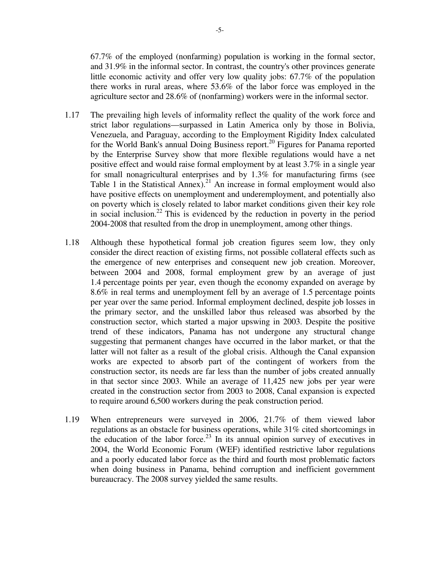67.7% of the employed (nonfarming) population is working in the formal sector, and 31.9% in the informal sector. In contrast, the country's other provinces generate little economic activity and offer very low quality jobs: 67.7% of the population there works in rural areas, where 53.6% of the labor force was employed in the agriculture sector and 28.6% of (nonfarming) workers were in the informal sector.

- 1.17 The prevailing high levels of informality reflect the quality of the work force and strict labor regulations—surpassed in Latin America only by those in Bolivia, Venezuela, and Paraguay, according to the Employment Rigidity Index calculated for the World Bank's annual Doing Business report.<sup>20</sup> Figures for Panama reported by the Enterprise Survey show that more flexible regulations would have a net positive effect and would raise formal employment by at least 3.7% in a single year for small nonagricultural enterprises and by 1.3% for manufacturing firms (see Table 1 in the Statistical Annex).<sup>21</sup> An increase in formal employment would also have positive effects on unemployment and underemployment, and potentially also on poverty which is closely related to labor market conditions given their key role in social inclusion.<sup>22</sup> This is evidenced by the reduction in poverty in the period 2004-2008 that resulted from the drop in unemployment, among other things.
- 1.18 Although these hypothetical formal job creation figures seem low, they only consider the direct reaction of existing firms, not possible collateral effects such as the emergence of new enterprises and consequent new job creation. Moreover, between 2004 and 2008, formal employment grew by an average of just 1.4 percentage points per year, even though the economy expanded on average by 8.6% in real terms and unemployment fell by an average of 1.5 percentage points per year over the same period. Informal employment declined, despite job losses in the primary sector, and the unskilled labor thus released was absorbed by the construction sector, which started a major upswing in 2003. Despite the positive trend of these indicators, Panama has not undergone any structural change suggesting that permanent changes have occurred in the labor market, or that the latter will not falter as a result of the global crisis. Although the Canal expansion works are expected to absorb part of the contingent of workers from the construction sector, its needs are far less than the number of jobs created annually in that sector since 2003. While an average of 11,425 new jobs per year were created in the construction sector from 2003 to 2008, Canal expansion is expected to require around 6,500 workers during the peak construction period.
- 1.19 When entrepreneurs were surveyed in 2006, 21.7% of them viewed labor regulations as an obstacle for business operations, while 31% cited shortcomings in the education of the labor force.<sup>23</sup> In its annual opinion survey of executives in 2004, the World Economic Forum (WEF) identified restrictive labor regulations and a poorly educated labor force as the third and fourth most problematic factors when doing business in Panama, behind corruption and inefficient government bureaucracy. The 2008 survey yielded the same results.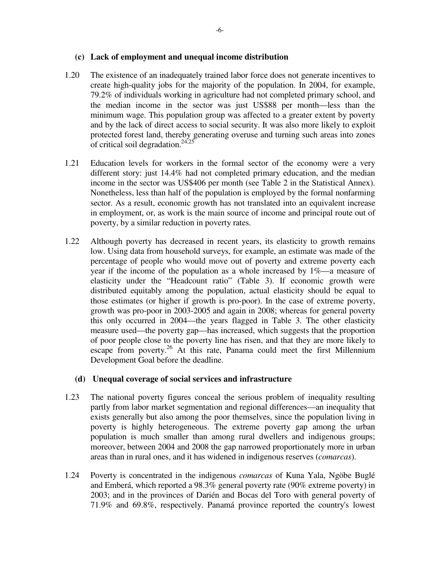#### **(c) Lack of employment and unequal income distribution**

- 1.20 The existence of an inadequately trained labor force does not generate incentives to create high-quality jobs for the majority of the population. In 2004, for example, 79.2% of individuals working in agriculture had not completed primary school, and the median income in the sector was just US\$88 per month—less than the minimum wage. This population group was affected to a greater extent by poverty and by the lack of direct access to social security. It was also more likely to exploit protected forest land, thereby generating overuse and turning such areas into zones of critical soil degradation.<sup>24,25</sup>
- 1.21 Education levels for workers in the formal sector of the economy were a very different story: just 14.4% had not completed primary education, and the median income in the sector was US\$406 per month (see Table 2 in the Statistical Annex). Nonetheless, less than half of the population is employed by the formal nonfarming sector. As a result, economic growth has not translated into an equivalent increase in employment, or, as work is the main source of income and principal route out of poverty, by a similar reduction in poverty rates.
- 1.22 Although poverty has decreased in recent years, its elasticity to growth remains low. Using data from household surveys, for example, an estimate was made of the percentage of people who would move out of poverty and extreme poverty each year if the income of the population as a whole increased by  $1\%$ —a measure of elasticity under the "Headcount ratio" (Table 3). If economic growth were distributed equitably among the population, actual elasticity should be equal to those estimates (or higher if growth is pro-poor). In the case of extreme poverty, growth was pro-poor in 2003-2005 and again in 2008; whereas for general poverty this only occurred in 2004—the years flagged in Table 3. The other elasticity measure used—the poverty gap—has increased, which suggests that the proportion of poor people close to the poverty line has risen, and that they are more likely to escape from poverty.<sup>26</sup> At this rate, Panama could meet the first Millennium Development Goal before the deadline.

### **(d) Unequal coverage of social services and infrastructure**

- 1.23 The national poverty figures conceal the serious problem of inequality resulting partly from labor market segmentation and regional differences—an inequality that exists generally but also among the poor themselves, since the population living in poverty is highly heterogeneous. The extreme poverty gap among the urban population is much smaller than among rural dwellers and indigenous groups; moreover, between 2004 and 2008 the gap narrowed proportionately more in urban areas than in rural ones, and it has widened in indigenous reserves (*comarcas*).
- 1.24 Poverty is concentrated in the indigenous *comarcas* of Kuna Yala, Ngöbe Buglé and Emberá, which reported a 98.3% general poverty rate (90% extreme poverty) in 2003; and in the provinces of Darién and Bocas del Toro with general poverty of 71.9% and 69.8%, respectively. Panamá province reported the country's lowest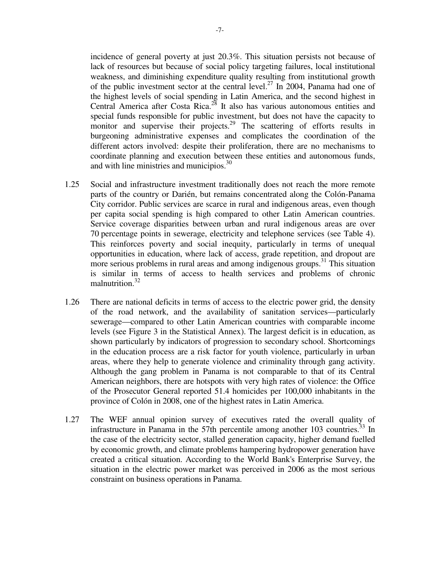incidence of general poverty at just 20.3%. This situation persists not because of lack of resources but because of social policy targeting failures, local institutional weakness, and diminishing expenditure quality resulting from institutional growth of the public investment sector at the central level.<sup>27</sup> In 2004, Panama had one of the highest levels of social spending in Latin America, and the second highest in Central America after Costa Rica.<sup>28</sup> It also has various autonomous entities and special funds responsible for public investment, but does not have the capacity to monitor and supervise their projects.<sup>29</sup> The scattering of efforts results in burgeoning administrative expenses and complicates the coordination of the different actors involved: despite their proliferation, there are no mechanisms to coordinate planning and execution between these entities and autonomous funds, and with line ministries and municipios.<sup>30</sup>

- 1.25 Social and infrastructure investment traditionally does not reach the more remote parts of the country or Darién, but remains concentrated along the Colón-Panama City corridor. Public services are scarce in rural and indigenous areas, even though per capita social spending is high compared to other Latin American countries. Service coverage disparities between urban and rural indigenous areas are over 70 percentage points in sewerage, electricity and telephone services (see Table 4). This reinforces poverty and social inequity, particularly in terms of unequal opportunities in education, where lack of access, grade repetition, and dropout are more serious problems in rural areas and among indigenous groups.<sup>31</sup> This situation is similar in terms of access to health services and problems of chronic malnutrition.<sup>32</sup>
- 1.26 There are national deficits in terms of access to the electric power grid, the density of the road network, and the availability of sanitation services—particularly sewerage—compared to other Latin American countries with comparable income levels (see Figure 3 in the Statistical Annex). The largest deficit is in education, as shown particularly by indicators of progression to secondary school. Shortcomings in the education process are a risk factor for youth violence, particularly in urban areas, where they help to generate violence and criminality through gang activity. Although the gang problem in Panama is not comparable to that of its Central American neighbors, there are hotspots with very high rates of violence: the Office of the Prosecutor General reported 51.4 homicides per 100,000 inhabitants in the province of Colón in 2008, one of the highest rates in Latin America.
- 1.27 The WEF annual opinion survey of executives rated the overall quality of infrastructure in Panama in the 57th percentile among another  $103$  countries.<sup>33</sup> In the case of the electricity sector, stalled generation capacity, higher demand fuelled by economic growth, and climate problems hampering hydropower generation have created a critical situation. According to the World Bank's Enterprise Survey, the situation in the electric power market was perceived in 2006 as the most serious constraint on business operations in Panama.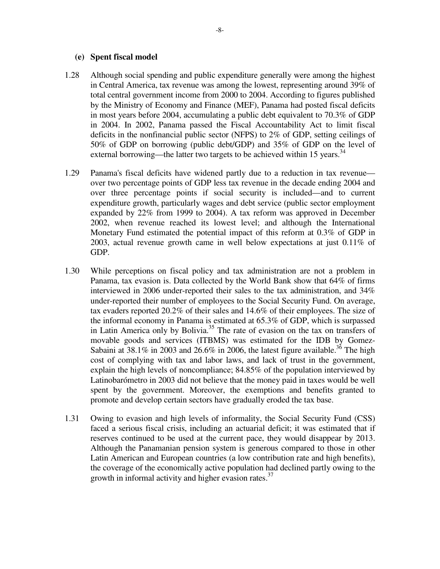#### **(e) Spent fiscal model**

- 1.28 Although social spending and public expenditure generally were among the highest in Central America, tax revenue was among the lowest, representing around 39% of total central government income from 2000 to 2004. According to figures published by the Ministry of Economy and Finance (MEF), Panama had posted fiscal deficits in most years before 2004, accumulating a public debt equivalent to 70.3% of GDP in 2004. In 2002, Panama passed the Fiscal Accountability Act to limit fiscal deficits in the nonfinancial public sector (NFPS) to 2% of GDP, setting ceilings of 50% of GDP on borrowing (public debt/GDP) and 35% of GDP on the level of external borrowing—the latter two targets to be achieved within 15 years.<sup>34</sup>
- 1.29 Panama's fiscal deficits have widened partly due to a reduction in tax revenue over two percentage points of GDP less tax revenue in the decade ending 2004 and over three percentage points if social security is included—and to current expenditure growth, particularly wages and debt service (public sector employment expanded by 22% from 1999 to 2004). A tax reform was approved in December 2002, when revenue reached its lowest level; and although the International Monetary Fund estimated the potential impact of this reform at 0.3% of GDP in 2003, actual revenue growth came in well below expectations at just 0.11% of GDP.
- 1.30 While perceptions on fiscal policy and tax administration are not a problem in Panama, tax evasion is. Data collected by the World Bank show that 64% of firms interviewed in 2006 under-reported their sales to the tax administration, and 34% under-reported their number of employees to the Social Security Fund. On average, tax evaders reported 20.2% of their sales and 14.6% of their employees. The size of the informal economy in Panama is estimated at 65.3% of GDP, which is surpassed in Latin America only by Bolivia.<sup>35</sup> The rate of evasion on the tax on transfers of movable goods and services (ITBMS) was estimated for the IDB by Gomez-Sabaini at 38.1% in 2003 and 26.6% in 2006, the latest figure available.<sup>36</sup> The high cost of complying with tax and labor laws, and lack of trust in the government, explain the high levels of noncompliance; 84.85% of the population interviewed by Latinobarómetro in 2003 did not believe that the money paid in taxes would be well spent by the government. Moreover, the exemptions and benefits granted to promote and develop certain sectors have gradually eroded the tax base.
- 1.31 Owing to evasion and high levels of informality, the Social Security Fund (CSS) faced a serious fiscal crisis, including an actuarial deficit; it was estimated that if reserves continued to be used at the current pace, they would disappear by 2013. Although the Panamanian pension system is generous compared to those in other Latin American and European countries (a low contribution rate and high benefits), the coverage of the economically active population had declined partly owing to the growth in informal activity and higher evasion rates. $37$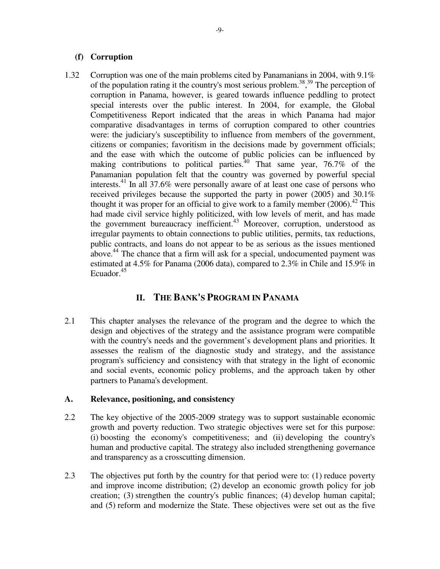### **(f) Corruption**

1.32 Corruption was one of the main problems cited by Panamanians in 2004, with 9.1% of the population rating it the country's most serious problem.<sup>38</sup>,<sup>39</sup> The perception of corruption in Panama, however, is geared towards influence peddling to protect special interests over the public interest. In 2004, for example, the Global Competitiveness Report indicated that the areas in which Panama had major comparative disadvantages in terms of corruption compared to other countries were: the judiciary's susceptibility to influence from members of the government, citizens or companies; favoritism in the decisions made by government officials; and the ease with which the outcome of public policies can be influenced by making contributions to political parties.<sup>40</sup> That same year, 76.7% of the Panamanian population felt that the country was governed by powerful special interests.<sup>41</sup> In all 37.6% were personally aware of at least one case of persons who received privileges because the supported the party in power (2005) and 30.1% thought it was proper for an official to give work to a family member  $(2006)^{42}$ . This had made civil service highly politicized, with low levels of merit, and has made the government bureaucracy inefficient. $43$  Moreover, corruption, understood as irregular payments to obtain connections to public utilities, permits, tax reductions, public contracts, and loans do not appear to be as serious as the issues mentioned above.<sup>44</sup> The chance that a firm will ask for a special, undocumented payment was estimated at 4.5% for Panama (2006 data), compared to 2.3% in Chile and 15.9% in Ecuador.<sup>45</sup>

# **II. THE BANK'S PROGRAM IN PANAMA**

2.1 This chapter analyses the relevance of the program and the degree to which the design and objectives of the strategy and the assistance program were compatible with the country's needs and the government's development plans and priorities. It assesses the realism of the diagnostic study and strategy, and the assistance program's sufficiency and consistency with that strategy in the light of economic and social events, economic policy problems, and the approach taken by other partners to Panama's development.

## **A. Relevance, positioning, and consistency**

- 2.2 The key objective of the 2005-2009 strategy was to support sustainable economic growth and poverty reduction. Two strategic objectives were set for this purpose: (i) boosting the economy's competitiveness; and (ii) developing the country's human and productive capital. The strategy also included strengthening governance and transparency as a crosscutting dimension.
- 2.3 The objectives put forth by the country for that period were to: (1) reduce poverty and improve income distribution; (2) develop an economic growth policy for job creation; (3) strengthen the country's public finances; (4) develop human capital; and (5) reform and modernize the State. These objectives were set out as the five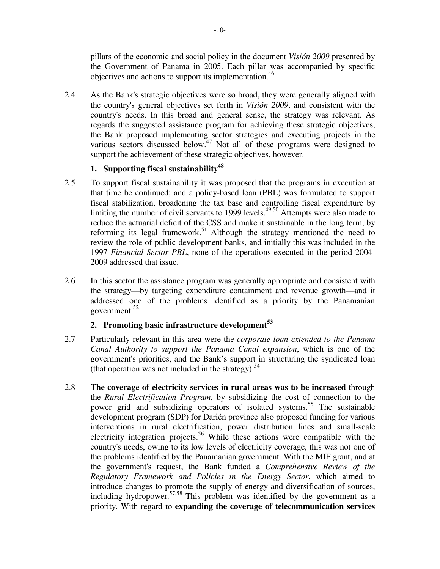pillars of the economic and social policy in the document *Visión 2009* presented by the Government of Panama in 2005. Each pillar was accompanied by specific objectives and actions to support its implementation.<sup>46</sup>

2.4 As the Bank's strategic objectives were so broad, they were generally aligned with the country's general objectives set forth in *Visión 2009*, and consistent with the country's needs. In this broad and general sense, the strategy was relevant. As regards the suggested assistance program for achieving these strategic objectives, the Bank proposed implementing sector strategies and executing projects in the various sectors discussed below.<sup>47</sup> Not all of these programs were designed to support the achievement of these strategic objectives, however.

# **1. Supporting fiscal sustainability<sup>48</sup>**

- 2.5 To support fiscal sustainability it was proposed that the programs in execution at that time be continued; and a policy-based loan (PBL) was formulated to support fiscal stabilization, broadening the tax base and controlling fiscal expenditure by limiting the number of civil servants to 1999 levels.<sup>49,50</sup> Attempts were also made to reduce the actuarial deficit of the CSS and make it sustainable in the long term, by reforming its legal framework.<sup>51</sup> Although the strategy mentioned the need to review the role of public development banks, and initially this was included in the 1997 *Financial Sector PBL*, none of the operations executed in the period 2004- 2009 addressed that issue.
- 2.6 In this sector the assistance program was generally appropriate and consistent with the strategy—by targeting expenditure containment and revenue growth—and it addressed one of the problems identified as a priority by the Panamanian government.<sup>52</sup>

## **2. Promoting basic infrastructure development<sup>53</sup>**

- 2.7 Particularly relevant in this area were the *corporate loan extended to the Panama Canal Authority to support the Panama Canal expansion*, which is one of the government's priorities, and the Bank's support in structuring the syndicated loan (that operation was not included in the strategy).<sup>54</sup>
- 2.8 **The coverage of electricity services in rural areas was to be increased** through the *Rural Electrification Program*, by subsidizing the cost of connection to the power grid and subsidizing operators of isolated systems.<sup>55</sup> The sustainable development program (SDP) for Darién province also proposed funding for various interventions in rural electrification, power distribution lines and small-scale electricity integration projects.<sup>56</sup> While these actions were compatible with the country's needs, owing to its low levels of electricity coverage, this was not one of the problems identified by the Panamanian government. With the MIF grant, and at the government's request, the Bank funded a *Comprehensive Review of the Regulatory Framework and Policies in the Energy Sector*, which aimed to introduce changes to promote the supply of energy and diversification of sources, including hydropower.  $57,58$  This problem was identified by the government as a priority. With regard to **expanding the coverage of telecommunication services**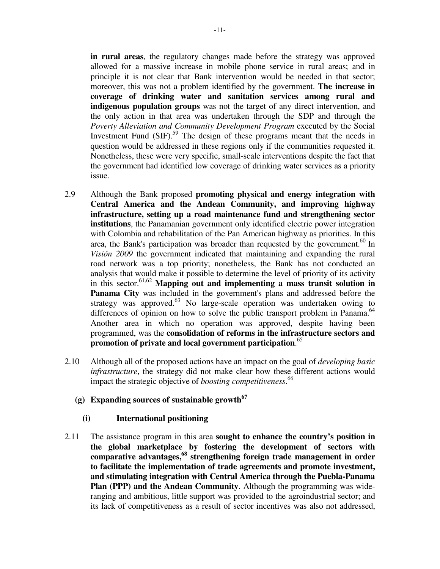**in rural areas**, the regulatory changes made before the strategy was approved allowed for a massive increase in mobile phone service in rural areas; and in principle it is not clear that Bank intervention would be needed in that sector; moreover, this was not a problem identified by the government. **The increase in coverage of drinking water and sanitation services among rural and indigenous population groups** was not the target of any direct intervention, and the only action in that area was undertaken through the SDP and through the *Poverty Alleviation and Community Development Program* executed by the Social Investment Fund (SIF).<sup>59</sup> The design of these programs meant that the needs in question would be addressed in these regions only if the communities requested it. Nonetheless, these were very specific, small-scale interventions despite the fact that the government had identified low coverage of drinking water services as a priority issue.

- 2.9 Although the Bank proposed **promoting physical and energy integration with Central America and the Andean Community, and improving highway infrastructure, setting up a road maintenance fund and strengthening sector institutions**, the Panamanian government only identified electric power integration with Colombia and rehabilitation of the Pan American highway as priorities. In this area, the Bank's participation was broader than requested by the government.<sup>60</sup> In *Visión 2009* the government indicated that maintaining and expanding the rural road network was a top priority; nonetheless, the Bank has not conducted an analysis that would make it possible to determine the level of priority of its activity in this sector.<sup>61,62</sup> **Mapping out and implementing a mass transit solution in Panama City** was included in the government's plans and addressed before the strategy was approved. $63$  No large-scale operation was undertaken owing to differences of opinion on how to solve the public transport problem in Panama.<sup>64</sup> Another area in which no operation was approved, despite having been programmed, was the **consolidation of reforms in the infrastructure sectors and promotion of private and local government participation**. 65
- 2.10 Although all of the proposed actions have an impact on the goal of *developing basic infrastructure*, the strategy did not make clear how these different actions would impact the strategic objective of *boosting competitiveness*. 66
	- **(g) Expanding sources of sustainable growth<sup>67</sup>**

#### **(i) International positioning**

2.11 The assistance program in this area **sought to enhance the country's position in the global marketplace by fostering the development of sectors with comparative advantages,<sup>68</sup> strengthening foreign trade management in order to facilitate the implementation of trade agreements and promote investment, and stimulating integration with Central America through the Puebla-Panama Plan (PPP) and the Andean Community**. Although the programming was wideranging and ambitious, little support was provided to the agroindustrial sector; and its lack of competitiveness as a result of sector incentives was also not addressed,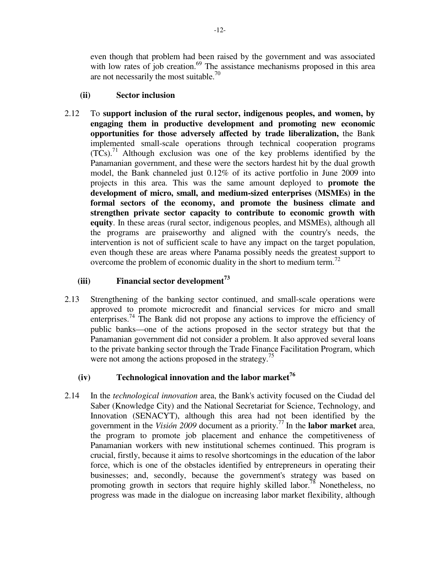even though that problem had been raised by the government and was associated with low rates of job creation.<sup>69</sup> The assistance mechanisms proposed in this area are not necessarily the most suitable.<sup>70</sup>

### **(ii) Sector inclusion**

2.12 To **support inclusion of the rural sector, indigenous peoples, and women, by engaging them in productive development and promoting new economic opportunities for those adversely affected by trade liberalization,** the Bank implemented small-scale operations through technical cooperation programs  $(TCs)$ .<sup>71</sup> Although exclusion was one of the key problems identified by the Panamanian government, and these were the sectors hardest hit by the dual growth model, the Bank channeled just 0.12% of its active portfolio in June 2009 into projects in this area. This was the same amount deployed to **promote the development of micro, small, and medium-sized enterprises (MSMEs) in the formal sectors of the economy, and promote the business climate and strengthen private sector capacity to contribute to economic growth with equity**. In these areas (rural sector, indigenous peoples, and MSMEs), although all the programs are praiseworthy and aligned with the country's needs, the intervention is not of sufficient scale to have any impact on the target population, even though these are areas where Panama possibly needs the greatest support to overcome the problem of economic duality in the short to medium term.<sup>72</sup>

## **(iii) Financial sector development<sup>73</sup>**

2.13 Strengthening of the banking sector continued, and small-scale operations were approved to promote microcredit and financial services for micro and small enterprises.<sup>74</sup> The Bank did not propose any actions to improve the efficiency of public banks—one of the actions proposed in the sector strategy but that the Panamanian government did not consider a problem. It also approved several loans to the private banking sector through the Trade Finance Facilitation Program, which were not among the actions proposed in the strategy.<sup>75</sup>

# **(iv) Technological innovation and the labor market<sup>76</sup>**

2.14 In the *technological innovation* area, the Bank's activity focused on the Ciudad del Saber (Knowledge City) and the National Secretariat for Science, Technology, and Innovation (SENACYT), although this area had not been identified by the government in the *Visión 2009* document as a priority.<sup>77</sup>In the **labor market** area, the program to promote job placement and enhance the competitiveness of Panamanian workers with new institutional schemes continued. This program is crucial, firstly, because it aims to resolve shortcomings in the education of the labor force, which is one of the obstacles identified by entrepreneurs in operating their businesses; and, secondly, because the government's strategy was based on promoting growth in sectors that require highly skilled labor.<sup>78</sup> Nonetheless, no progress was made in the dialogue on increasing labor market flexibility, although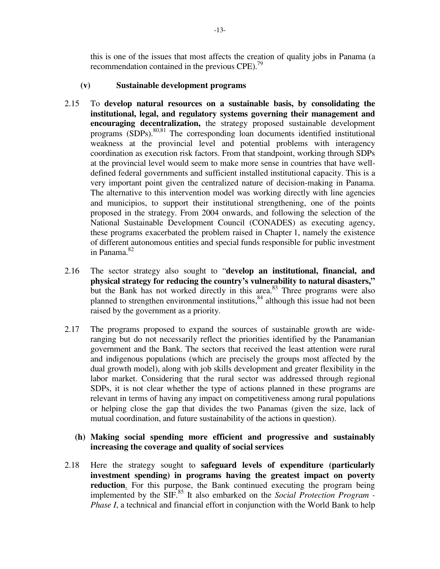this is one of the issues that most affects the creation of quality jobs in Panama (a recommendation contained in the previous  $CPE$ ).<sup>79</sup>

### **(v) Sustainable development programs**

- 2.15 To **develop natural resources on a sustainable basis, by consolidating the institutional, legal, and regulatory systems governing their management and encouraging decentralization,** the strategy proposed sustainable development programs  $(SDPs)$ <sup>80,81</sup> The corresponding loan documents identified institutional weakness at the provincial level and potential problems with interagency coordination as execution risk factors. From that standpoint, working through SDPs at the provincial level would seem to make more sense in countries that have welldefined federal governments and sufficient installed institutional capacity. This is a very important point given the centralized nature of decision-making in Panama. The alternative to this intervention model was working directly with line agencies and municipios, to support their institutional strengthening, one of the points proposed in the strategy. From 2004 onwards, and following the selection of the National Sustainable Development Council (CONADES) as executing agency, these programs exacerbated the problem raised in Chapter 1, namely the existence of different autonomous entities and special funds responsible for public investment in Panama.<sup>82</sup>
- 2.16 The sector strategy also sought to "**develop an institutional, financial, and physical strategy for reducing the country's vulnerability to natural disasters,"** but the Bank has not worked directly in this area. $83$  Three programs were also planned to strengthen environmental institutions,<sup>84</sup> although this issue had not been raised by the government as a priority.
- 2.17 The programs proposed to expand the sources of sustainable growth are wideranging but do not necessarily reflect the priorities identified by the Panamanian government and the Bank. The sectors that received the least attention were rural and indigenous populations (which are precisely the groups most affected by the dual growth model), along with job skills development and greater flexibility in the labor market. Considering that the rural sector was addressed through regional SDPs, it is not clear whether the type of actions planned in these programs are relevant in terms of having any impact on competitiveness among rural populations or helping close the gap that divides the two Panamas (given the size, lack of mutual coordination, and future sustainability of the actions in question).

### **(h) Making social spending more efficient and progressive and sustainably increasing the coverage and quality of social services**

2.18 Here the strategy sought to **safeguard levels of expenditure (particularly investment spending) in programs having the greatest impact on poverty reduction**. For this purpose, the Bank continued executing the program being implemented by the SIF.<sup>85</sup> It also embarked on the *Social Protection Program - Phase I*, a technical and financial effort in conjunction with the World Bank to help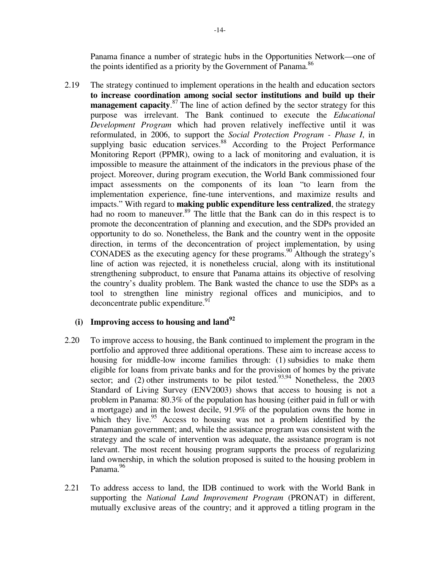Panama finance a number of strategic hubs in the Opportunities Network—one of the points identified as a priority by the Government of Panama. $86$ 

2.19 The strategy continued to implement operations in the health and education sectors **to increase coordination among social sector institutions and build up their management capacity**.<sup>87</sup> The line of action defined by the sector strategy for this purpose was irrelevant. The Bank continued to execute the *Educational Development Program* which had proven relatively ineffective until it was reformulated, in 2006, to support the *Social Protection Program - Phase I*, in supplying basic education services.<sup>88</sup> According to the Project Performance Monitoring Report (PPMR), owing to a lack of monitoring and evaluation, it is impossible to measure the attainment of the indicators in the previous phase of the project. Moreover, during program execution, the World Bank commissioned four impact assessments on the components of its loan "to learn from the implementation experience, fine-tune interventions, and maximize results and impacts." With regard to **making public expenditure less centralized**, the strategy had no room to maneuver.<sup>89</sup> The little that the Bank can do in this respect is to promote the deconcentration of planning and execution, and the SDPs provided an opportunity to do so. Nonetheless, the Bank and the country went in the opposite direction, in terms of the deconcentration of project implementation, by using CONADES as the executing agency for these programs.<sup>90</sup> Although the strategy's line of action was rejected, it is nonetheless crucial, along with its institutional strengthening subproduct, to ensure that Panama attains its objective of resolving the country's duality problem. The Bank wasted the chance to use the SDPs as a tool to strengthen line ministry regional offices and municipios, and to  $deconcentrate public expenditure.<sup>91</sup>$ 

### **(i) Improving access to housing and land<sup>92</sup>**

- 2.20 To improve access to housing, the Bank continued to implement the program in the portfolio and approved three additional operations. These aim to increase access to housing for middle-low income families through: (1) subsidies to make them eligible for loans from private banks and for the provision of homes by the private sector; and (2) other instruments to be pilot tested.<sup>93,94</sup> Nonetheless, the 2003 Standard of Living Survey (ENV2003) shows that access to housing is not a problem in Panama: 80.3% of the population has housing (either paid in full or with a mortgage) and in the lowest decile, 91.9% of the population owns the home in which they live.<sup>95</sup> Access to housing was not a problem identified by the Panamanian government; and, while the assistance program was consistent with the strategy and the scale of intervention was adequate, the assistance program is not relevant. The most recent housing program supports the process of regularizing land ownership, in which the solution proposed is suited to the housing problem in Panama.<sup>96</sup>
- 2.21 To address access to land, the IDB continued to work with the World Bank in supporting the *National Land Improvement Program* (PRONAT) in different, mutually exclusive areas of the country; and it approved a titling program in the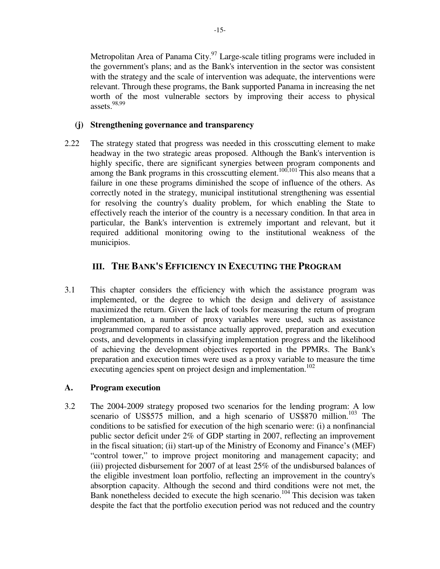Metropolitan Area of Panama City.<sup>97</sup> Large-scale titling programs were included in the government's plans; and as the Bank's intervention in the sector was consistent with the strategy and the scale of intervention was adequate, the interventions were relevant. Through these programs, the Bank supported Panama in increasing the net worth of the most vulnerable sectors by improving their access to physical assets.98,99

#### **(j) Strengthening governance and transparency**

2.22 The strategy stated that progress was needed in this crosscutting element to make headway in the two strategic areas proposed. Although the Bank's intervention is highly specific, there are significant synergies between program components and among the Bank programs in this crosscutting element.<sup>100,101</sup> This also means that a failure in one these programs diminished the scope of influence of the others. As correctly noted in the strategy, municipal institutional strengthening was essential for resolving the country's duality problem, for which enabling the State to effectively reach the interior of the country is a necessary condition. In that area in particular, the Bank's intervention is extremely important and relevant, but it required additional monitoring owing to the institutional weakness of the municipios.

# **III. THE BANK'S EFFICIENCY IN EXECUTING THE PROGRAM**

3.1 This chapter considers the efficiency with which the assistance program was implemented, or the degree to which the design and delivery of assistance maximized the return. Given the lack of tools for measuring the return of program implementation, a number of proxy variables were used, such as assistance programmed compared to assistance actually approved, preparation and execution costs, and developments in classifying implementation progress and the likelihood of achieving the development objectives reported in the PPMRs. The Bank's preparation and execution times were used as a proxy variable to measure the time executing agencies spent on project design and implementation.<sup>102</sup>

### **A. Program execution**

3.2 The 2004-2009 strategy proposed two scenarios for the lending program: A low scenario of US\$575 million, and a high scenario of US\$870 million.<sup>103</sup> The conditions to be satisfied for execution of the high scenario were: (i) a nonfinancial public sector deficit under 2% of GDP starting in 2007, reflecting an improvement in the fiscal situation; (ii) start-up of the Ministry of Economy and Finance's (MEF) "control tower," to improve project monitoring and management capacity; and (iii) projected disbursement for 2007 of at least 25% of the undisbursed balances of the eligible investment loan portfolio, reflecting an improvement in the country's absorption capacity. Although the second and third conditions were not met, the Bank nonetheless decided to execute the high scenario.<sup>104</sup> This decision was taken despite the fact that the portfolio execution period was not reduced and the country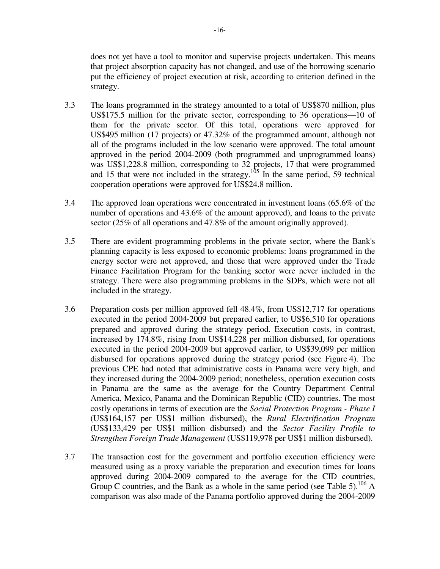does not yet have a tool to monitor and supervise projects undertaken. This means that project absorption capacity has not changed, and use of the borrowing scenario put the efficiency of project execution at risk, according to criterion defined in the strategy.

- 3.3 The loans programmed in the strategy amounted to a total of US\$870 million, plus US\$175.5 million for the private sector, corresponding to 36 operations—10 of them for the private sector. Of this total, operations were approved for US\$495 million (17 projects) or 47.32% of the programmed amount, although not all of the programs included in the low scenario were approved. The total amount approved in the period 2004-2009 (both programmed and unprogrammed loans) was US\$1,228.8 million, corresponding to 32 projects, 17 that were programmed and 15 that were not included in the strategy.<sup>105</sup> In the same period, 59 technical cooperation operations were approved for US\$24.8 million.
- 3.4 The approved loan operations were concentrated in investment loans (65.6% of the number of operations and 43.6% of the amount approved), and loans to the private sector (25% of all operations and 47.8% of the amount originally approved).
- 3.5 There are evident programming problems in the private sector, where the Bank's planning capacity is less exposed to economic problems: loans programmed in the energy sector were not approved, and those that were approved under the Trade Finance Facilitation Program for the banking sector were never included in the strategy. There were also programming problems in the SDPs, which were not all included in the strategy.
- 3.6 Preparation costs per million approved fell 48.4%, from US\$12,717 for operations executed in the period 2004-2009 but prepared earlier, to US\$6,510 for operations prepared and approved during the strategy period. Execution costs, in contrast, increased by 174.8%, rising from US\$14,228 per million disbursed, for operations executed in the period 2004-2009 but approved earlier, to US\$39,099 per million disbursed for operations approved during the strategy period (see Figure 4). The previous CPE had noted that administrative costs in Panama were very high, and they increased during the 2004-2009 period; nonetheless, operation execution costs in Panama are the same as the average for the Country Department Central America, Mexico, Panama and the Dominican Republic (CID) countries. The most costly operations in terms of execution are the *Social Protection Program - Phase I* (US\$164,157 per US\$1 million disbursed), the *Rural Electrification Program* (US\$133,429 per US\$1 million disbursed) and the *Sector Facility Profile to Strengthen Foreign Trade Management* (US\$119,978 per US\$1 million disbursed).
- 3.7 The transaction cost for the government and portfolio execution efficiency were measured using as a proxy variable the preparation and execution times for loans approved during 2004-2009 compared to the average for the CID countries, Group C countries, and the Bank as a whole in the same period (see Table 5).<sup>106</sup> A comparison was also made of the Panama portfolio approved during the 2004-2009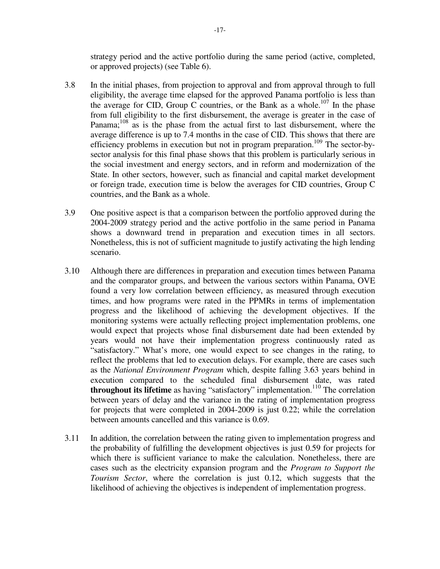strategy period and the active portfolio during the same period (active, completed, or approved projects) (see Table 6).

- 3.8 In the initial phases, from projection to approval and from approval through to full eligibility, the average time elapsed for the approved Panama portfolio is less than the average for CID, Group C countries, or the Bank as a whole.<sup>107</sup> In the phase from full eligibility to the first disbursement, the average is greater in the case of Panama; $108$  as is the phase from the actual first to last disbursement, where the average difference is up to 7.4 months in the case of CID. This shows that there are efficiency problems in execution but not in program preparation.<sup>109</sup> The sector-bysector analysis for this final phase shows that this problem is particularly serious in the social investment and energy sectors, and in reform and modernization of the State. In other sectors, however, such as financial and capital market development or foreign trade, execution time is below the averages for CID countries, Group C countries, and the Bank as a whole.
- 3.9 One positive aspect is that a comparison between the portfolio approved during the 2004-2009 strategy period and the active portfolio in the same period in Panama shows a downward trend in preparation and execution times in all sectors. Nonetheless, this is not of sufficient magnitude to justify activating the high lending scenario.
- 3.10 Although there are differences in preparation and execution times between Panama and the comparator groups, and between the various sectors within Panama, OVE found a very low correlation between efficiency, as measured through execution times, and how programs were rated in the PPMRs in terms of implementation progress and the likelihood of achieving the development objectives. If the monitoring systems were actually reflecting project implementation problems, one would expect that projects whose final disbursement date had been extended by years would not have their implementation progress continuously rated as "satisfactory." What's more, one would expect to see changes in the rating, to reflect the problems that led to execution delays. For example, there are cases such as the *National Environment Program* which, despite falling 3.63 years behind in execution compared to the scheduled final disbursement date, was rated **throughout its lifetime** as having "satisfactory" implementation.<sup>110</sup> The correlation between years of delay and the variance in the rating of implementation progress for projects that were completed in 2004-2009 is just 0.22; while the correlation between amounts cancelled and this variance is 0.69.
- 3.11 In addition, the correlation between the rating given to implementation progress and the probability of fulfilling the development objectives is just 0.59 for projects for which there is sufficient variance to make the calculation. Nonetheless, there are cases such as the electricity expansion program and the *Program to Support the Tourism Sector*, where the correlation is just 0.12, which suggests that the likelihood of achieving the objectives is independent of implementation progress.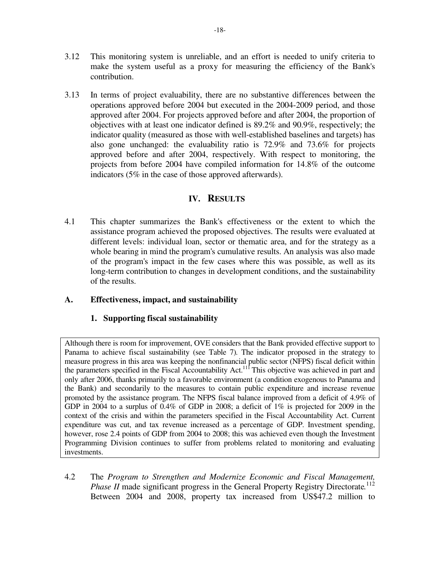- 3.12 This monitoring system is unreliable, and an effort is needed to unify criteria to make the system useful as a proxy for measuring the efficiency of the Bank's contribution.
- 3.13 In terms of project evaluability, there are no substantive differences between the operations approved before 2004 but executed in the 2004-2009 period, and those approved after 2004. For projects approved before and after 2004, the proportion of objectives with at least one indicator defined is 89.2% and 90.9%, respectively; the indicator quality (measured as those with well-established baselines and targets) has also gone unchanged: the evaluability ratio is 72.9% and 73.6% for projects approved before and after 2004, respectively. With respect to monitoring, the projects from before 2004 have compiled information for 14.8% of the outcome indicators (5% in the case of those approved afterwards).

# **IV. RESULTS**

4.1 This chapter summarizes the Bank's effectiveness or the extent to which the assistance program achieved the proposed objectives. The results were evaluated at different levels: individual loan, sector or thematic area, and for the strategy as a whole bearing in mind the program's cumulative results. An analysis was also made of the program's impact in the few cases where this was possible, as well as its long-term contribution to changes in development conditions, and the sustainability of the results.

## **A. Effectiveness, impact, and sustainability**

## **1. Supporting fiscal sustainability**

Although there is room for improvement, OVE considers that the Bank provided effective support to Panama to achieve fiscal sustainability (see Table 7)*.* The indicator proposed in the strategy to measure progress in this area was keeping the nonfinancial public sector (NFPS) fiscal deficit within the parameters specified in the Fiscal Accountability Act.<sup>111</sup>This objective was achieved in part and only after 2006, thanks primarily to a favorable environment (a condition exogenous to Panama and the Bank) and secondarily to the measures to contain public expenditure and increase revenue promoted by the assistance program. The NFPS fiscal balance improved from a deficit of 4.9% of GDP in 2004 to a surplus of 0.4% of GDP in 2008; a deficit of  $1\%$  is projected for 2009 in the context of the crisis and within the parameters specified in the Fiscal Accountability Act. Current expenditure was cut, and tax revenue increased as a percentage of GDP. Investment spending, however, rose 2.4 points of GDP from 2004 to 2008; this was achieved even though the Investment Programming Division continues to suffer from problems related to monitoring and evaluating investments.

4.2 The *Program to Strengthen and Modernize Economic and Fiscal Management, Phase II* made significant progress in the General Property Registry Directorate.<sup>112</sup> Between 2004 and 2008, property tax increased from US\$47.2 million to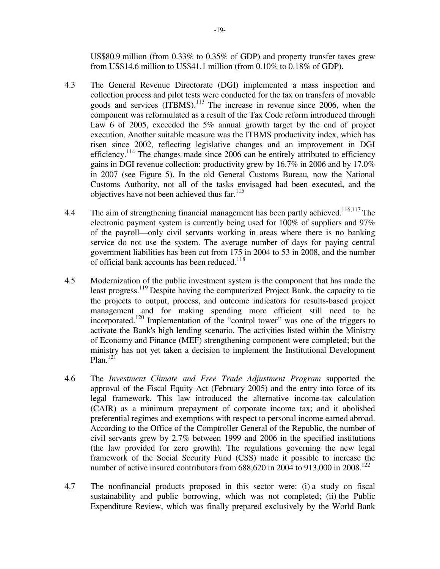US\$80.9 million (from 0.33% to 0.35% of GDP) and property transfer taxes grew from US\$14.6 million to US\$41.1 million (from 0.10% to 0.18% of GDP).

- 4.3 The General Revenue Directorate (DGI) implemented a mass inspection and collection process and pilot tests were conducted for the tax on transfers of movable goods and services  $(ITBMS)$ <sup>113</sup>. The increase in revenue since 2006, when the component was reformulated as a result of the Tax Code reform introduced through Law 6 of 2005, exceeded the 5% annual growth target by the end of project execution. Another suitable measure was the ITBMS productivity index, which has risen since 2002, reflecting legislative changes and an improvement in DGI efficiency.<sup>114</sup> The changes made since 2006 can be entirely attributed to efficiency gains in DGI revenue collection: productivity grew by 16.7% in 2006 and by 17.0% in 2007 (see Figure 5). In the old General Customs Bureau*,* now the National Customs Authority, not all of the tasks envisaged had been executed, and the objectives have not been achieved thus far.<sup>115</sup>
- 4.4 The aim of strengthening financial management has been partly achieved.<sup>116,117</sup> The electronic payment system is currently being used for 100% of suppliers and 97% of the payroll—only civil servants working in areas where there is no banking service do not use the system. The average number of days for paying central government liabilities has been cut from 175 in 2004 to 53 in 2008, and the number of official bank accounts has been reduced.<sup>118</sup>
- 4.5 Modernization of the public investment system is the component that has made the least progress.<sup>119</sup> Despite having the computerized Project Bank, the capacity to tie the projects to output, process, and outcome indicators for results-based project management and for making spending more efficient still need to be incorporated.<sup>120</sup> Implementation of the "control tower" was one of the triggers to activate the Bank's high lending scenario. The activities listed within the Ministry of Economy and Finance (MEF) strengthening component were completed; but the ministry has not yet taken a decision to implement the Institutional Development Plan. $^{121}$
- 4.6 The *Investment Climate and Free Trade Adjustment Program* supported the approval of the Fiscal Equity Act (February 2005) and the entry into force of its legal framework. This law introduced the alternative income-tax calculation (CAIR) as a minimum prepayment of corporate income tax; and it abolished preferential regimes and exemptions with respect to personal income earned abroad. According to the Office of the Comptroller General of the Republic, the number of civil servants grew by 2.7% between 1999 and 2006 in the specified institutions (the law provided for zero growth). The regulations governing the new legal framework of the Social Security Fund (CSS) made it possible to increase the number of active insured contributors from  $688,620$  in 2004 to 913,000 in 2008.<sup>122</sup>
- 4.7 The nonfinancial products proposed in this sector were: (i) a study on fiscal sustainability and public borrowing, which was not completed; (ii) the Public Expenditure Review, which was finally prepared exclusively by the World Bank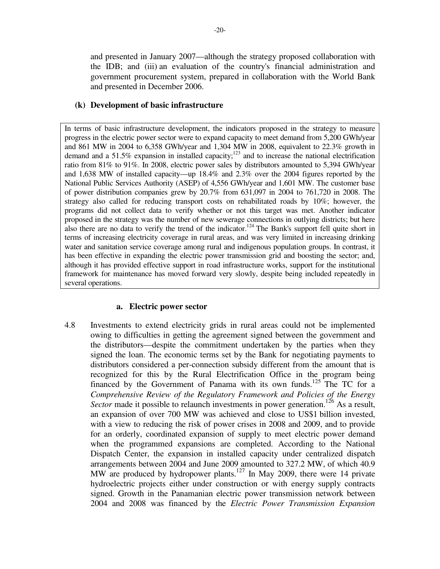and presented in January 2007—although the strategy proposed collaboration with the IDB; and (iii) an evaluation of the country's financial administration and government procurement system, prepared in collaboration with the World Bank and presented in December 2006.

#### **(k) Development of basic infrastructure**

In terms of basic infrastructure development, the indicators proposed in the strategy to measure progress in the electric power sector were to expand capacity to meet demand from 5,200 GWh/year and 861 MW in 2004 to 6,358 GWh/year and 1,304 MW in 2008, equivalent to 22.3% growth in demand and a 51.5% expansion in installed capacity;<sup>123</sup> and to increase the national electrification ratio from 81% to 91%. In 2008, electric power sales by distributors amounted to 5,394 GWh/year and 1,638 MW of installed capacity—up 18.4% and 2.3% over the 2004 figures reported by the National Public Services Authority (ASEP) of 4,556 GWh/year and 1,601 MW. The customer base of power distribution companies grew by 20.7% from 631,097 in 2004 to 761,720 in 2008. The strategy also called for reducing transport costs on rehabilitated roads by 10%; however, the programs did not collect data to verify whether or not this target was met. Another indicator proposed in the strategy was the number of new sewerage connections in outlying districts; but here also there are no data to verify the trend of the indicator.<sup>124</sup> The Bank's support fell quite short in terms of increasing electricity coverage in rural areas, and was very limited in increasing drinking water and sanitation service coverage among rural and indigenous population groups. In contrast, it has been effective in expanding the electric power transmission grid and boosting the sector; and, although it has provided effective support in road infrastructure works, support for the institutional framework for maintenance has moved forward very slowly, despite being included repeatedly in several operations.

#### **a. Electric power sector**

4.8 Investments to extend electricity grids in rural areas could not be implemented owing to difficulties in getting the agreement signed between the government and the distributors—despite the commitment undertaken by the parties when they signed the loan. The economic terms set by the Bank for negotiating payments to distributors considered a per-connection subsidy different from the amount that is recognized for this by the Rural Electrification Office in the program being financed by the Government of Panama with its own funds.<sup>125</sup> The TC for a *Comprehensive Review of the Regulatory Framework and Policies of the Energy Sector* made it possible to relaunch investments in power generation.<sup>126</sup> As a result, an expansion of over 700 MW was achieved and close to US\$1 billion invested, with a view to reducing the risk of power crises in 2008 and 2009, and to provide for an orderly, coordinated expansion of supply to meet electric power demand when the programmed expansions are completed. According to the National Dispatch Center, the expansion in installed capacity under centralized dispatch arrangements between 2004 and June 2009 amounted to 327.2 MW, of which 40.9 MW are produced by hydropower plants.<sup>127</sup> In May 2009, there were 14 private hydroelectric projects either under construction or with energy supply contracts signed. Growth in the Panamanian electric power transmission network between 2004 and 2008 was financed by the *Electric Power Transmission Expansion*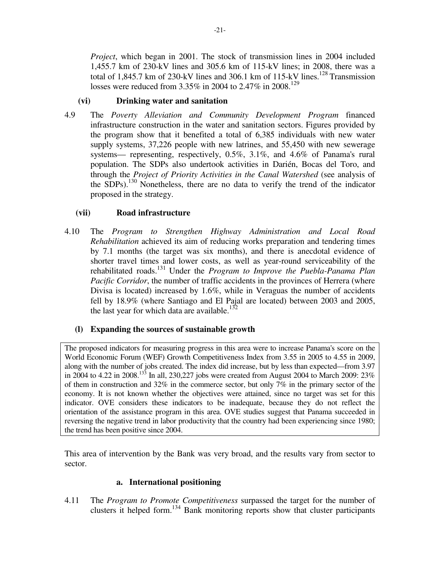*Project*, which began in 2001. The stock of transmission lines in 2004 included 1,455.7 km of 230-kV lines and 305.6 km of 115-kV lines; in 2008, there was a total of 1,845.7 km of 230-kV lines and 306.1 km of 115-kV lines.<sup>128</sup> Transmission losses were reduced from 3.35% in 2004 to 2.47% in 2008.<sup>129</sup>

## **(vi) Drinking water and sanitation**

4.9 The *Poverty Alleviation and Community Development Program* financed infrastructure construction in the water and sanitation sectors. Figures provided by the program show that it benefited a total of 6,385 individuals with new water supply systems, 37,226 people with new latrines, and 55,450 with new sewerage systems— representing, respectively, 0.5%, 3.1%, and 4.6% of Panama's rural population. The SDPs also undertook activities in Darién, Bocas del Toro, and through the *Project of Priority Activities in the Canal Watershed* (see analysis of the SDPs).<sup>130</sup> Nonetheless, there are no data to verify the trend of the indicator proposed in the strategy.

# **(vii) Road infrastructure**

4.10 The *Program to Strengthen Highway Administration and Local Road Rehabilitation* achieved its aim of reducing works preparation and tendering times by 7.1 months (the target was six months), and there is anecdotal evidence of shorter travel times and lower costs, as well as year-round serviceability of the rehabilitated roads.<sup>131</sup> Under the *Program to Improve the Puebla-Panama Plan Pacific Corridor*, the number of traffic accidents in the provinces of Herrera (where Divisa is located) increased by 1.6%, while in Veraguas the number of accidents fell by 18.9% (where Santiago and El Pajal are located) between 2003 and 2005, the last year for which data are available.<sup>132</sup>

## **(l) Expanding the sources of sustainable growth**

The proposed indicators for measuring progress in this area were to increase Panama's score on the World Economic Forum (WEF) Growth Competitiveness Index from 3.55 in 2005 to 4.55 in 2009, along with the number of jobs created. The index did increase, but by less than expected—from 3.97 in 2004 to 4.22 in 2008.<sup>133</sup> In all, 230,227 jobs were created from August 2004 to March 2009: 23% of them in construction and 32% in the commerce sector, but only 7% in the primary sector of the economy. It is not known whether the objectives were attained, since no target was set for this indicator. OVE considers these indicators to be inadequate, because they do not reflect the orientation of the assistance program in this area. OVE studies suggest that Panama succeeded in reversing the negative trend in labor productivity that the country had been experiencing since 1980; the trend has been positive since 2004.

This area of intervention by the Bank was very broad, and the results vary from sector to sector.

## **a. International positioning**

4.11 The *Program to Promote Competitiveness* surpassed the target for the number of clusters it helped form.<sup>134</sup> Bank monitoring reports show that cluster participants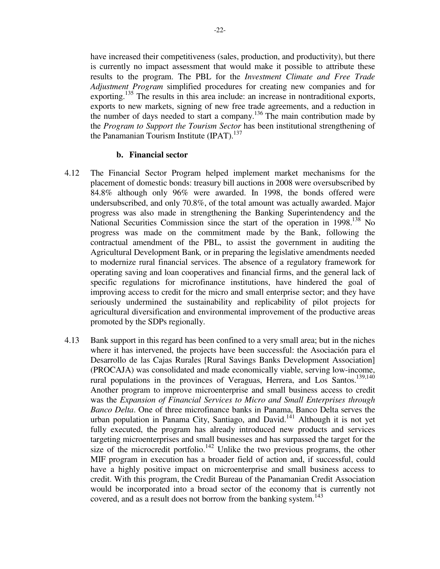have increased their competitiveness (sales, production, and productivity), but there is currently no impact assessment that would make it possible to attribute these results to the program. The PBL for the *Investment Climate and Free Trade Adjustment Program* simplified procedures for creating new companies and for exporting.<sup>135</sup> The results in this area include: an increase in nontraditional exports, exports to new markets, signing of new free trade agreements, and a reduction in the number of days needed to start a company.<sup>136</sup> The main contribution made by the *Program to Support the Tourism Sector* has been institutional strengthening of the Panamanian Tourism Institute  $(IPAT)$ .<sup>137</sup>

#### **b. Financial sector**

- 4.12 The Financial Sector Program helped implement market mechanisms for the placement of domestic bonds: treasury bill auctions in 2008 were oversubscribed by 84.8% although only 96% were awarded. In 1998, the bonds offered were undersubscribed, and only 70.8%, of the total amount was actually awarded. Major progress was also made in strengthening the Banking Superintendency and the National Securities Commission since the start of the operation in 1998.<sup>138</sup> No progress was made on the commitment made by the Bank, following the contractual amendment of the PBL, to assist the government in auditing the Agricultural Development Bank*,* or in preparing the legislative amendments needed to modernize rural financial services. The absence of a regulatory framework for operating saving and loan cooperatives and financial firms, and the general lack of specific regulations for microfinance institutions, have hindered the goal of improving access to credit for the micro and small enterprise sector; and they have seriously undermined the sustainability and replicability of pilot projects for agricultural diversification and environmental improvement of the productive areas promoted by the SDPs regionally.
- 4.13 Bank support in this regard has been confined to a very small area; but in the niches where it has intervened, the projects have been successful: the Asociación para el Desarrollo de las Cajas Rurales [Rural Savings Banks Development Association] (PROCAJA) was consolidated and made economically viable, serving low-income, rural populations in the provinces of Veraguas, Herrera, and Los Santos.<sup>139,140</sup> Another program to improve microenterprise and small business access to credit was the *Expansion of Financial Services to Micro and Small Enterprises through Banco Delta*. One of three microfinance banks in Panama, Banco Delta serves the urban population in Panama City, Santiago, and David.<sup>141</sup> Although it is not yet fully executed, the program has already introduced new products and services targeting microenterprises and small businesses and has surpassed the target for the size of the microcredit portfolio.<sup>142</sup> Unlike the two previous programs, the other MIF program in execution has a broader field of action and, if successful, could have a highly positive impact on microenterprise and small business access to credit. With this program, the Credit Bureau of the Panamanian Credit Association would be incorporated into a broad sector of the economy that is currently not covered, and as a result does not borrow from the banking system.<sup>143</sup>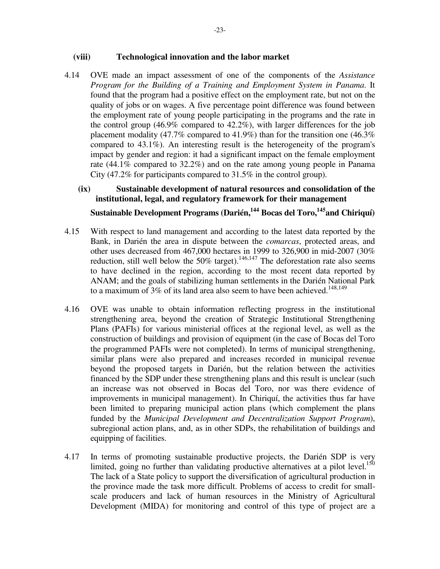#### **(viii) Technological innovation and the labor market**

4.14 OVE made an impact assessment of one of the components of the *Assistance Program for the Building of a Training and Employment System in Panama*. It found that the program had a positive effect on the employment rate, but not on the quality of jobs or on wages. A five percentage point difference was found between the employment rate of young people participating in the programs and the rate in the control group (46.9% compared to 42.2%), with larger differences for the job placement modality (47.7% compared to 41.9%) than for the transition one (46.3% compared to 43.1%). An interesting result is the heterogeneity of the program's impact by gender and region: it had a significant impact on the female employment rate (44.1% compared to 32.2%) and on the rate among young people in Panama City (47.2% for participants compared to 31.5% in the control group).

# **(ix) Sustainable development of natural resources and consolidation of the institutional, legal, and regulatory framework for their management**

# **Sustainable Development Programs (Darién,<sup>144</sup> Bocas del Toro,<sup>145</sup>and Chiriquí)**

- 4.15 With respect to land management and according to the latest data reported by the Bank, in Darién the area in dispute between the *comarcas*, protected areas, and other uses decreased from 467,000 hectares in 1999 to 326,900 in mid-2007 (30% reduction, still well below the 50% target).<sup>146,147</sup> The deforestation rate also seems to have declined in the region, according to the most recent data reported by ANAM; and the goals of stabilizing human settlements in the Darién National Park to a maximum of  $3\%$  of its land area also seem to have been achieved.<sup>148,149</sup>
- 4.16 OVE was unable to obtain information reflecting progress in the institutional strengthening area, beyond the creation of Strategic Institutional Strengthening Plans (PAFIs) for various ministerial offices at the regional level, as well as the construction of buildings and provision of equipment (in the case of Bocas del Toro the programmed PAFIs were not completed). In terms of municipal strengthening, similar plans were also prepared and increases recorded in municipal revenue beyond the proposed targets in Darién, but the relation between the activities financed by the SDP under these strengthening plans and this result is unclear (such an increase was not observed in Bocas del Toro, nor was there evidence of improvements in municipal management). In Chiriquí, the activities thus far have been limited to preparing municipal action plans (which complement the plans funded by the *Municipal Development and Decentralization Support Program*), subregional action plans, and, as in other SDPs, the rehabilitation of buildings and equipping of facilities.
- 4.17 In terms of promoting sustainable productive projects, the Darién SDP is very limited, going no further than validating productive alternatives at a pilot level. $150$ The lack of a State policy to support the diversification of agricultural production in the province made the task more difficult. Problems of access to credit for smallscale producers and lack of human resources in the Ministry of Agricultural Development (MIDA) for monitoring and control of this type of project are a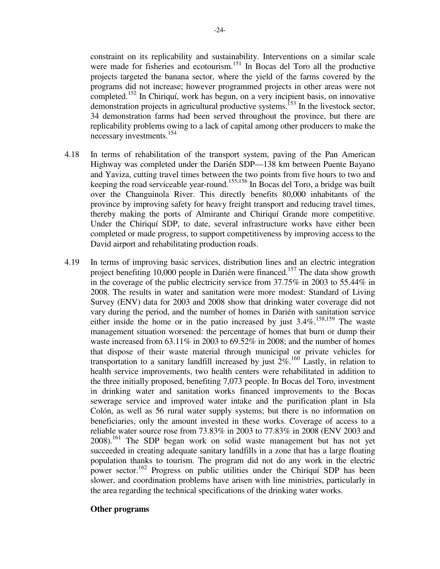constraint on its replicability and sustainability. Interventions on a similar scale were made for fisheries and ecotourism.<sup>151</sup> In Bocas del Toro all the productive projects targeted the banana sector, where the yield of the farms covered by the programs did not increase; however programmed projects in other areas were not completed.<sup>152</sup> In Chiriquí, work has begun, on a very incipient basis, on innovative demonstration projects in agricultural productive systems.<sup>153</sup> In the livestock sector, 34 demonstration farms had been served throughout the province, but there are replicability problems owing to a lack of capital among other producers to make the necessary investments.<sup>154</sup>

- 4.18 In terms of rehabilitation of the transport system, paving of the Pan American Highway was completed under the Darién SDP—138 km between Puente Bayano and Yaviza, cutting travel times between the two points from five hours to two and keeping the road serviceable year-round.155,156 In Bocas del Toro, a bridge was built over the Changuinola River. This directly benefits 80,000 inhabitants of the province by improving safety for heavy freight transport and reducing travel times, thereby making the ports of Almirante and Chiriquí Grande more competitive. Under the Chiriquí SDP, to date, several infrastructure works have either been completed or made progress, to support competitiveness by improving access to the David airport and rehabilitating production roads.
- 4.19 In terms of improving basic services, distribution lines and an electric integration project benefiting 10,000 people in Darién were financed.<sup>157</sup> The data show growth in the coverage of the public electricity service from 37.75% in 2003 to 55.44% in 2008. The results in water and sanitation were more modest: Standard of Living Survey (ENV) data for 2003 and 2008 show that drinking water coverage did not vary during the period, and the number of homes in Darién with sanitation service either inside the home or in the patio increased by just  $3.4\%$ .<sup>158,159</sup> The waste management situation worsened: the percentage of homes that burn or dump their waste increased from 63.11% in 2003 to 69.52% in 2008; and the number of homes that dispose of their waste material through municipal or private vehicles for transportation to a sanitary landfill increased by just  $2\%$ .<sup>160</sup> Lastly, in relation to health service improvements, two health centers were rehabilitated in addition to the three initially proposed, benefiting 7,073 people. In Bocas del Toro, investment in drinking water and sanitation works financed improvements to the Bocas sewerage service and improved water intake and the purification plant in Isla Colón, as well as 56 rural water supply systems; but there is no information on beneficiaries, only the amount invested in these works. Coverage of access to a reliable water source rose from 73.83% in 2003 to 77.83% in 2008 (ENV 2003 and 2008).<sup>161</sup> The SDP began work on solid waste management but has not yet succeeded in creating adequate sanitary landfills in a zone that has a large floating population thanks to tourism. The program did not do any work in the electric power sector.<sup>162</sup> Progress on public utilities under the Chiriquí SDP has been slower, and coordination problems have arisen with line ministries, particularly in the area regarding the technical specifications of the drinking water works.

#### **Other programs**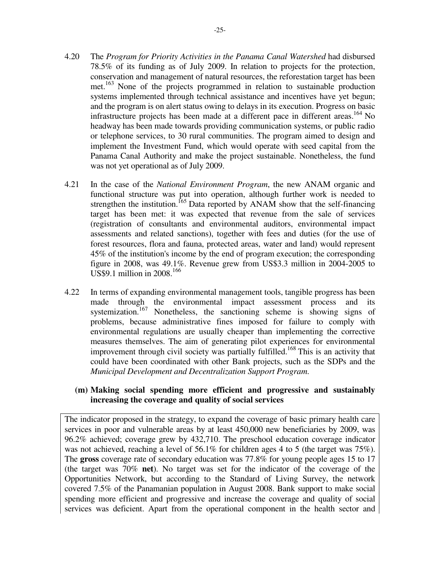- 4.20 The *Program for Priority Activities in the Panama Canal Watershed* had disbursed 78.5% of its funding as of July 2009. In relation to projects for the protection, conservation and management of natural resources, the reforestation target has been met.<sup>163</sup> None of the projects programmed in relation to sustainable production systems implemented through technical assistance and incentives have yet begun; and the program is on alert status owing to delays in its execution. Progress on basic infrastructure projects has been made at a different pace in different areas.<sup>164</sup> No headway has been made towards providing communication systems, or public radio or telephone services, to 30 rural communities. The program aimed to design and implement the Investment Fund, which would operate with seed capital from the Panama Canal Authority and make the project sustainable. Nonetheless, the fund was not yet operational as of July 2009.
- 4.21 In the case of the *National Environment Program*, the new ANAM organic and functional structure was put into operation, although further work is needed to strengthen the institution.<sup>165</sup> Data reported by ANAM show that the self-financing target has been met: it was expected that revenue from the sale of services (registration of consultants and environmental auditors, environmental impact assessments and related sanctions), together with fees and duties (for the use of forest resources, flora and fauna, protected areas, water and land) would represent 45% of the institution's income by the end of program execution; the corresponding figure in 2008, was 49.1%. Revenue grew from US\$3.3 million in 2004-2005 to US\$9.1 million in 2008.<sup>166</sup>
- 4.22 In terms of expanding environmental management tools, tangible progress has been made through the environmental impact assessment process and its systemization.<sup>167</sup> Nonetheless, the sanctioning scheme is showing signs of problems, because administrative fines imposed for failure to comply with environmental regulations are usually cheaper than implementing the corrective measures themselves. The aim of generating pilot experiences for environmental improvement through civil society was partially fulfilled.<sup>168</sup> This is an activity that could have been coordinated with other Bank projects, such as the SDPs and the *Municipal Development and Decentralization Support Program*.

### **(m) Making social spending more efficient and progressive and sustainably increasing the coverage and quality of social services**

The indicator proposed in the strategy, to expand the coverage of basic primary health care services in poor and vulnerable areas by at least 450,000 new beneficiaries by 2009, was 96.2% achieved; coverage grew by 432,710. The preschool education coverage indicator was not achieved, reaching a level of 56.1% for children ages 4 to 5 (the target was 75%). The **gross** coverage rate of secondary education was 77.8% for young people ages 15 to 17 (the target was 70% **net**). No target was set for the indicator of the coverage of the Opportunities Network, but according to the Standard of Living Survey, the network covered 7.5% of the Panamanian population in August 2008. Bank support to make social spending more efficient and progressive and increase the coverage and quality of social services was deficient. Apart from the operational component in the health sector and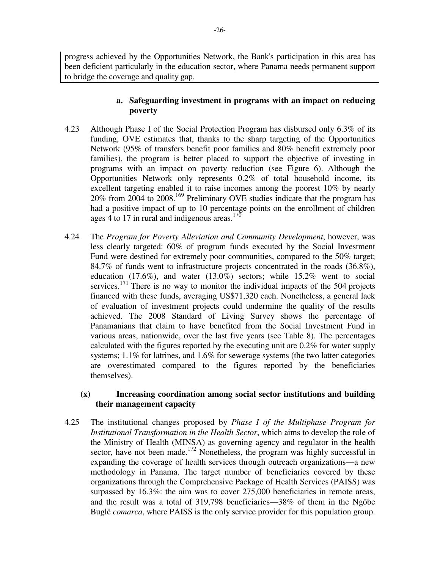progress achieved by the Opportunities Network, the Bank's participation in this area has been deficient particularly in the education sector, where Panama needs permanent support to bridge the coverage and quality gap.

## **a. Safeguarding investment in programs with an impact on reducing poverty**

- 4.23 Although Phase I of the Social Protection Program has disbursed only 6.3% of its funding, OVE estimates that, thanks to the sharp targeting of the Opportunities Network (95% of transfers benefit poor families and 80% benefit extremely poor families), the program is better placed to support the objective of investing in programs with an impact on poverty reduction (see Figure 6). Although the Opportunities Network only represents 0.2% of total household income, its excellent targeting enabled it to raise incomes among the poorest 10% by nearly 20% from 2004 to 2008.<sup>169</sup> Preliminary OVE studies indicate that the program has had a positive impact of up to 10 percentage points on the enrollment of children ages 4 to 17 in rural and indigenous areas.<sup>170</sup>
- 4.24 The *Program for Poverty Alleviation and Community Development*, however, was less clearly targeted: 60% of program funds executed by the Social Investment Fund were destined for extremely poor communities, compared to the 50% target; 84.7% of funds went to infrastructure projects concentrated in the roads (36.8%), education (17.6%), and water (13.0%) sectors; while 15.2% went to social services.<sup>171</sup> There is no way to monitor the individual impacts of the 504 projects financed with these funds, averaging US\$71,320 each. Nonetheless, a general lack of evaluation of investment projects could undermine the quality of the results achieved. The 2008 Standard of Living Survey shows the percentage of Panamanians that claim to have benefited from the Social Investment Fund in various areas, nationwide, over the last five years (see Table 8). The percentages calculated with the figures reported by the executing unit are 0.2% for water supply systems; 1.1% for latrines, and 1.6% for sewerage systems (the two latter categories are overestimated compared to the figures reported by the beneficiaries themselves).

### **(x) Increasing coordination among social sector institutions and building their management capacity**

4.25 The institutional changes proposed by *Phase I of the Multiphase Program for Institutional Transformation in the Health Sector*, which aims to develop the role of the Ministry of Health (MINSA) as governing agency and regulator in the health sector, have not been made.<sup>172</sup> Nonetheless, the program was highly successful in expanding the coverage of health services through outreach organizations—a new methodology in Panama. The target number of beneficiaries covered by these organizations through the Comprehensive Package of Health Services (PAISS) was surpassed by 16.3%: the aim was to cover 275,000 beneficiaries in remote areas, and the result was a total of 319,798 beneficiaries—38% of them in the Ngöbe Buglé *comarca*, where PAISS is the only service provider for this population group.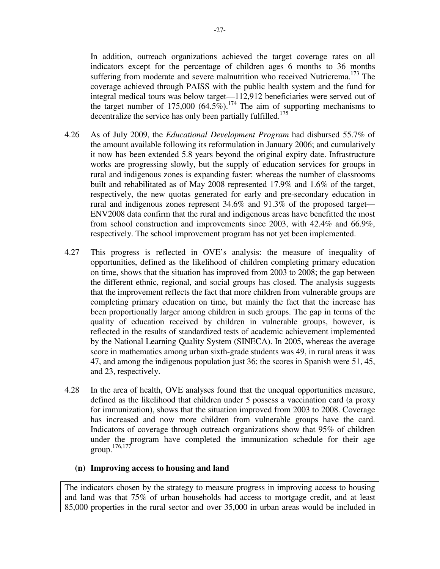In addition, outreach organizations achieved the target coverage rates on all indicators except for the percentage of children ages 6 months to 36 months suffering from moderate and severe malnutrition who received Nutricrema.<sup>173</sup> The coverage achieved through PAISS with the public health system and the fund for integral medical tours was below target—112,912 beneficiaries were served out of the target number of 175,000 (64.5%).<sup>174</sup> The aim of supporting mechanisms to decentralize the service has only been partially fulfilled.<sup>175</sup>

- 4.26 As of July 2009, the *Educational Development Program* had disbursed 55.7% of the amount available following its reformulation in January 2006; and cumulatively it now has been extended 5.8 years beyond the original expiry date. Infrastructure works are progressing slowly, but the supply of education services for groups in rural and indigenous zones is expanding faster: whereas the number of classrooms built and rehabilitated as of May 2008 represented 17.9% and 1.6% of the target, respectively, the new quotas generated for early and pre-secondary education in rural and indigenous zones represent 34.6% and 91.3% of the proposed target— ENV2008 data confirm that the rural and indigenous areas have benefitted the most from school construction and improvements since 2003, with 42.4% and 66.9%, respectively. The school improvement program has not yet been implemented.
- 4.27 This progress is reflected in OVE's analysis: the measure of inequality of opportunities, defined as the likelihood of children completing primary education on time, shows that the situation has improved from 2003 to 2008; the gap between the different ethnic, regional, and social groups has closed. The analysis suggests that the improvement reflects the fact that more children from vulnerable groups are completing primary education on time, but mainly the fact that the increase has been proportionally larger among children in such groups. The gap in terms of the quality of education received by children in vulnerable groups, however, is reflected in the results of standardized tests of academic achievement implemented by the National Learning Quality System (SINECA). In 2005, whereas the average score in mathematics among urban sixth-grade students was 49, in rural areas it was 47, and among the indigenous population just 36; the scores in Spanish were 51, 45, and 23, respectively.
- 4.28 In the area of health, OVE analyses found that the unequal opportunities measure, defined as the likelihood that children under 5 possess a vaccination card (a proxy for immunization), shows that the situation improved from 2003 to 2008. Coverage has increased and now more children from vulnerable groups have the card. Indicators of coverage through outreach organizations show that 95% of children under the program have completed the immunization schedule for their age group. 176,177

#### **(n) Improving access to housing and land**

The indicators chosen by the strategy to measure progress in improving access to housing and land was that 75% of urban households had access to mortgage credit, and at least 85,000 properties in the rural sector and over 35,000 in urban areas would be included in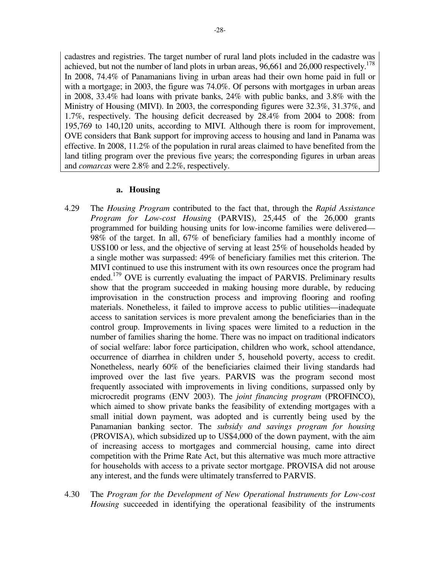cadastres and registries. The target number of rural land plots included in the cadastre was achieved, but not the number of land plots in urban areas,  $96,661$  and  $26,000$  respectively.<sup>178</sup> In 2008, 74.4% of Panamanians living in urban areas had their own home paid in full or with a mortgage; in 2003, the figure was 74.0%. Of persons with mortgages in urban areas in 2008, 33.4% had loans with private banks, 24% with public banks, and 3.8% with the Ministry of Housing (MIVI). In 2003, the corresponding figures were 32.3%, 31.37%, and 1.7%, respectively. The housing deficit decreased by 28.4% from 2004 to 2008: from 195,769 to 140,120 units, according to MIVI. Although there is room for improvement, OVE considers that Bank support for improving access to housing and land in Panama was effective. In 2008, 11.2% of the population in rural areas claimed to have benefited from the land titling program over the previous five years; the corresponding figures in urban areas and *comarcas* were 2.8% and 2.2%, respectively.

#### **a. Housing**

- 4.29 The *Housing Program* contributed to the fact that, through the *Rapid Assistance Program for Low-cost Housing* (PARVIS), 25,445 of the 26,000 grants programmed for building housing units for low-income families were delivered— 98% of the target. In all, 67% of beneficiary families had a monthly income of US\$100 or less, and the objective of serving at least 25% of households headed by a single mother was surpassed: 49% of beneficiary families met this criterion. The MIVI continued to use this instrument with its own resources once the program had ended.<sup>179</sup> OVE is currently evaluating the impact of PARVIS. Preliminary results show that the program succeeded in making housing more durable, by reducing improvisation in the construction process and improving flooring and roofing materials. Nonetheless, it failed to improve access to public utilities—inadequate access to sanitation services is more prevalent among the beneficiaries than in the control group. Improvements in living spaces were limited to a reduction in the number of families sharing the home. There was no impact on traditional indicators of social welfare: labor force participation, children who work, school attendance, occurrence of diarrhea in children under 5, household poverty, access to credit. Nonetheless, nearly 60% of the beneficiaries claimed their living standards had improved over the last five years. PARVIS was the program second most frequently associated with improvements in living conditions, surpassed only by microcredit programs (ENV 2003). The *joint financing program* (PROFINCO), which aimed to show private banks the feasibility of extending mortgages with a small initial down payment, was adopted and is currently being used by the Panamanian banking sector. The *subsidy and savings program for housing* (PROVISA), which subsidized up to US\$4,000 of the down payment, with the aim of increasing access to mortgages and commercial housing, came into direct competition with the Prime Rate Act, but this alternative was much more attractive for households with access to a private sector mortgage. PROVISA did not arouse any interest, and the funds were ultimately transferred to PARVIS.
- 4.30 The *Program for the Development of New Operational Instruments for Low-cost Housing* succeeded in identifying the operational feasibility of the instruments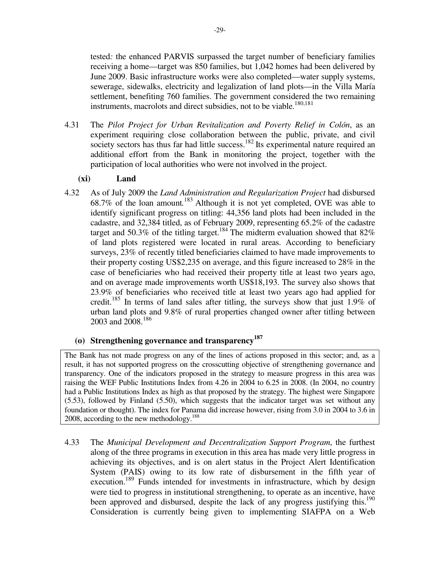tested*:* the enhanced PARVIS surpassed the target number of beneficiary families receiving a home—target was 850 families, but 1,042 homes had been delivered by June 2009. Basic infrastructure works were also completed—water supply systems, sewerage, sidewalks, electricity and legalization of land plots—in the Villa María settlement, benefiting 760 families. The government considered the two remaining instruments, macrolots and direct subsidies, not to be viable.<sup>180,181</sup>

4.31 The *Pilot Project for Urban Revitalization and Poverty Relief in Colón*, as an experiment requiring close collaboration between the public, private, and civil society sectors has thus far had little success.<sup>182</sup> Its experimental nature required an additional effort from the Bank in monitoring the project, together with the participation of local authorities who were not involved in the project.

## **(xi) Land**

4.32 As of July 2009 the *Land Administration and Regularization Project* had disbursed 68.7% of the loan amount.<sup>183</sup> Although it is not yet completed, OVE was able to identify significant progress on titling: 44,356 land plots had been included in the cadastre, and 32,384 titled, as of February 2009, representing 65.2% of the cadastre target and 50.3% of the titling target.<sup>184</sup>The midterm evaluation showed that  $82\%$ of land plots registered were located in rural areas. According to beneficiary surveys, 23% of recently titled beneficiaries claimed to have made improvements to their property costing US\$2,235 on average, and this figure increased to 28% in the case of beneficiaries who had received their property title at least two years ago, and on average made improvements worth US\$18,193. The survey also shows that 23.9% of beneficiaries who received title at least two years ago had applied for credit.<sup>185</sup> In terms of land sales after titling, the surveys show that just 1.9% of urban land plots and 9.8% of rural properties changed owner after titling between 2003 and 2008.<sup>186</sup>

# **(o) Strengthening governance and transparency<sup>187</sup>**

The Bank has not made progress on any of the lines of actions proposed in this sector; and, as a result, it has not supported progress on the crosscutting objective of strengthening governance and transparency. One of the indicators proposed in the strategy to measure progress in this area was raising the WEF Public Institutions Index from 4.26 in 2004 to 6.25 in 2008. (In 2004, no country had a Public Institutions Index as high as that proposed by the strategy. The highest were Singapore (5.53), followed by Finland (5.50), which suggests that the indicator target was set without any foundation or thought). The index for Panama did increase however, rising from 3.0 in 2004 to 3.6 in 2008, according to the new methodology.<sup>188</sup>

4.33 The *Municipal Development and Decentralization Support Program*, the furthest along of the three programs in execution in this area has made very little progress in achieving its objectives, and is on alert status in the Project Alert Identification System (PAIS) owing to its low rate of disbursement in the fifth year of execution.<sup>189</sup> Funds intended for investments in infrastructure, which by design were tied to progress in institutional strengthening, to operate as an incentive, have been approved and disbursed, despite the lack of any progress justifying this.<sup>190</sup> Consideration is currently being given to implementing SIAFPA on a Web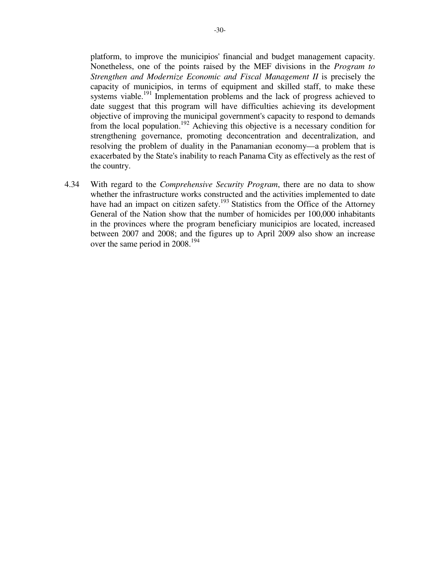platform, to improve the municipios' financial and budget management capacity. Nonetheless, one of the points raised by the MEF divisions in the *Program to Strengthen and Modernize Economic and Fiscal Management II* is precisely the capacity of municipios, in terms of equipment and skilled staff, to make these systems viable.<sup>191</sup> Implementation problems and the lack of progress achieved to date suggest that this program will have difficulties achieving its development objective of improving the municipal government's capacity to respond to demands from the local population.<sup>192</sup> Achieving this objective is a necessary condition for strengthening governance, promoting deconcentration and decentralization, and resolving the problem of duality in the Panamanian economy—a problem that is exacerbated by the State's inability to reach Panama City as effectively as the rest of the country.

4.34 With regard to the *Comprehensive Security Program*, there are no data to show whether the infrastructure works constructed and the activities implemented to date have had an impact on citizen safety.<sup>193</sup> Statistics from the Office of the Attorney General of the Nation show that the number of homicides per 100,000 inhabitants in the provinces where the program beneficiary municipios are located, increased between 2007 and 2008; and the figures up to April 2009 also show an increase over the same period in 2008.<sup>194</sup>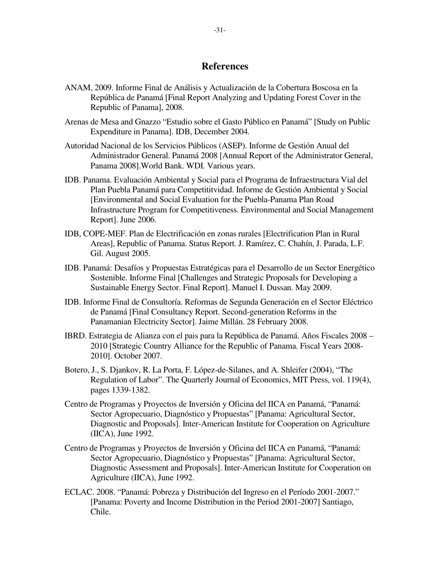### **References**

- ANAM, 2009. Informe Final de Análisis y Actualización de la Cobertura Boscosa en la República de Panamá [Final Report Analyzing and Updating Forest Cover in the Republic of Panama], 2008.
- Arenas de Mesa and Gnazzo "Estudio sobre el Gasto Público en Panamá" [Study on Public Expenditure in Panama]. IDB, December 2004.
- Autoridad Nacional de los Servicios Públicos (ASEP). Informe de Gestión Anual del Administrador General. Panamá 2008 [Annual Report of the Administrator General, Panama 2008].World Bank. WDI. Various years.
- IDB. Panama. Evaluación Ambiental y Social para el Programa de Infraestructura Vial del Plan Puebla Panamá para Competititvidad. Informe de Gestión Ambiental y Social [Environmental and Social Evaluation for the Puebla-Panama Plan Road Infrastructure Program for Competitiveness. Environmental and Social Management Report]. June 2006.
- IDB, COPE-MEF. Plan de Electrificación en zonas rurales [Electrification Plan in Rural Areas], Republic of Panama. Status Report. J. Ramírez, C. Chahín, J. Parada, L.F. Gil. August 2005.
- IDB. Panamá: Desafíos y Propuestas Estratégicas para el Desarrollo de un Sector Energético Sostenible. Informe Final [Challenges and Strategic Proposals for Developing a Sustainable Energy Sector. Final Report]. Manuel I. Dussan. May 2009.
- IDB. Informe Final de Consultoría. Reformas de Segunda Generación en el Sector Eléctrico de Panamá [Final Consultancy Report. Second-generation Reforms in the Panamanian Electricity Sector]. Jaime Millán. 28 February 2008.
- IBRD. Estrategia de Alianza con el pais para la República de Panamá. Años Fiscales 2008 2010 [Strategic Country Alliance for the Republic of Panama. Fiscal Years 2008- 2010]. October 2007.
- Botero, J., S. Djankov, R. La Porta, F. López-de-Silanes, and A. Shleifer (2004), "The Regulation of Labor". The Quarterly Journal of Economics, MIT Press, vol. 119(4), pages 1339-1382.
- Centro de Programas y Proyectos de Inversión y Oficina del IICA en Panamá, "Panamá: Sector Agropecuario, Diagnóstico y Propuestas" [Panama: Agricultural Sector, Diagnostic and Proposals]. Inter-American Institute for Cooperation on Agriculture (IICA), June 1992.
- Centro de Programas y Proyectos de Inversión y Oficina del IICA en Panamá, "Panamá: Sector Agropecuario, Diagnóstico y Propuestas" [Panama: Agricultural Sector, Diagnostic Assessment and Proposals]. Inter-American Institute for Cooperation on Agriculture (IICA), June 1992.
- ECLAC. 2008. "Panamá: Pobreza y Distribución del Ingreso en el Período 2001-2007." [Panama: Poverty and Income Distribution in the Period 2001-2007] Santiago, Chile.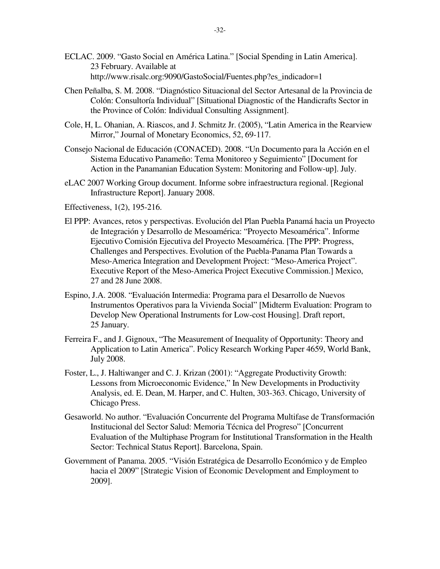- ECLAC. 2009. "Gasto Social en América Latina." [Social Spending in Latin America]. 23 February. Available at http://www.risalc.org:9090/GastoSocial/Fuentes.php?es\_indicador=1
- Chen Peñalba, S. M. 2008. "Diagnóstico Situacional del Sector Artesanal de la Provincia de Colón: Consultoría Individual" [Situational Diagnostic of the Handicrafts Sector in the Province of Colón: Individual Consulting Assignment].
- Cole, H, L. Ohanian, A. Riascos, and J. Schmitz Jr. (2005), "Latin America in the Rearview Mirror," Journal of Monetary Economics, 52, 69-117.
- Consejo Nacional de Educación (CONACED). 2008. "Un Documento para la Acción en el Sistema Educativo Panameño: Tema Monitoreo y Seguimiento" [Document for Action in the Panamanian Education System: Monitoring and Follow-up]. July.
- eLAC 2007 Working Group document. Informe sobre infraestructura regional. [Regional Infrastructure Report]. January 2008.

Effectiveness, 1(2), 195-216.

- El PPP: Avances, retos y perspectivas. Evolución del Plan Puebla Panamá hacia un Proyecto de Integración y Desarrollo de Mesoamérica: "Proyecto Mesoamérica". Informe Ejecutivo Comisión Ejecutiva del Proyecto Mesoamérica. [The PPP: Progress, Challenges and Perspectives. Evolution of the Puebla-Panama Plan Towards a Meso-America Integration and Development Project: "Meso-America Project". Executive Report of the Meso-America Project Executive Commission.] Mexico, 27 and 28 June 2008.
- Espino, J.A. 2008. "Evaluación Intermedia: Programa para el Desarrollo de Nuevos Instrumentos Operativos para la Vivienda Social" [Midterm Evaluation: Program to Develop New Operational Instruments for Low-cost Housing]. Draft report, 25 January.
- Ferreira F., and J. Gignoux, "The Measurement of Inequality of Opportunity: Theory and Application to Latin America". Policy Research Working Paper 4659, World Bank, July 2008.
- Foster, L., J. Haltiwanger and C. J. Krizan (2001): "Aggregate Productivity Growth: Lessons from Microeconomic Evidence," In New Developments in Productivity Analysis, ed. E. Dean, M. Harper, and C. Hulten, 303-363. Chicago, University of Chicago Press.
- Gesaworld. No author. "Evaluación Concurrente del Programa Multifase de Transformación Institucional del Sector Salud: Memoria Técnica del Progreso" [Concurrent Evaluation of the Multiphase Program for Institutional Transformation in the Health Sector: Technical Status Report]. Barcelona, Spain.
- Government of Panama. 2005. "Visión Estratégica de Desarrollo Económico y de Empleo hacia el 2009" [Strategic Vision of Economic Development and Employment to 2009].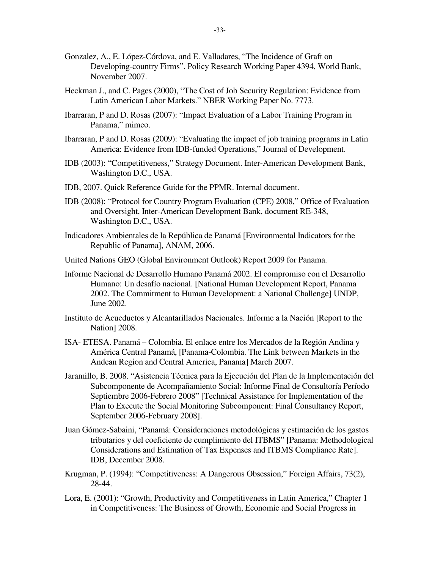- Gonzalez, A., E. López-Córdova, and E. Valladares, "The Incidence of Graft on Developing-country Firms". Policy Research Working Paper 4394, World Bank, November 2007.
- Heckman J., and C. Pages (2000), "The Cost of Job Security Regulation: Evidence from Latin American Labor Markets." NBER Working Paper No. 7773.
- Ibarraran, P and D. Rosas (2007): "Impact Evaluation of a Labor Training Program in Panama," mimeo.
- Ibarraran, P and D. Rosas (2009): "Evaluating the impact of job training programs in Latin America: Evidence from IDB-funded Operations," Journal of Development.
- IDB (2003): "Competitiveness," Strategy Document. Inter-American Development Bank, Washington D.C., USA.
- IDB, 2007. Quick Reference Guide for the PPMR. Internal document.
- IDB (2008): "Protocol for Country Program Evaluation (CPE) 2008," Office of Evaluation and Oversight, Inter-American Development Bank, document RE-348, Washington D.C., USA.
- Indicadores Ambientales de la República de Panamá [Environmental Indicators for the Republic of Panama], ANAM, 2006.
- United Nations GEO (Global Environment Outlook) Report 2009 for Panama.
- Informe Nacional de Desarrollo Humano Panamá 2002. El compromiso con el Desarrollo Humano: Un desafío nacional. [National Human Development Report, Panama 2002. The Commitment to Human Development: a National Challenge] UNDP, June 2002.
- Instituto de Acueductos y Alcantarillados Nacionales. Informe a la Nación [Report to the Nation] 2008.
- ISA- ETESA. Panamá Colombia. El enlace entre los Mercados de la Región Andina y América Central Panamá, [Panama-Colombia. The Link between Markets in the Andean Region and Central America, Panama] March 2007.
- Jaramillo, B. 2008. "Asistencia Técnica para la Ejecución del Plan de la Implementación del Subcomponente de Acompañamiento Social: Informe Final de Consultoría Período Septiembre 2006-Febrero 2008" [Technical Assistance for Implementation of the Plan to Execute the Social Monitoring Subcomponent: Final Consultancy Report, September 2006-February 2008].
- Juan Gómez-Sabaini, "Panamá: Consideraciones metodológicas y estimación de los gastos tributarios y del coeficiente de cumplimiento del ITBMS" [Panama: Methodological Considerations and Estimation of Tax Expenses and ITBMS Compliance Rate]. IDB, December 2008.
- Krugman, P. (1994): "Competitiveness: A Dangerous Obsession," Foreign Affairs, 73(2), 28-44.
- Lora, E. (2001): "Growth, Productivity and Competitiveness in Latin America," Chapter 1 in Competitiveness: The Business of Growth, Economic and Social Progress in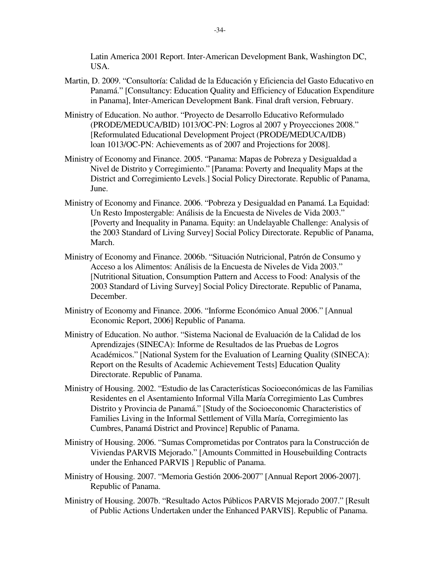Latin America 2001 Report. Inter-American Development Bank, Washington DC, USA.

- Martin, D. 2009. "Consultoría: Calidad de la Educación y Eficiencia del Gasto Educativo en Panamá." [Consultancy: Education Quality and Efficiency of Education Expenditure in Panama], Inter-American Development Bank. Final draft version, February.
- Ministry of Education. No author. "Proyecto de Desarrollo Educativo Reformulado (PRODE/MEDUCA/BID) 1013/OC-PN: Logros al 2007 y Proyecciones 2008." [Reformulated Educational Development Project (PRODE/MEDUCA/IDB) loan 1013/OC-PN: Achievements as of 2007 and Projections for 2008].
- Ministry of Economy and Finance. 2005. "Panama: Mapas de Pobreza y Desigualdad a Nivel de Distrito y Corregimiento." [Panama: Poverty and Inequality Maps at the District and Corregimiento Levels.] Social Policy Directorate. Republic of Panama, June.
- Ministry of Economy and Finance. 2006. "Pobreza y Desigualdad en Panamá. La Equidad: Un Resto Impostergable: Análisis de la Encuesta de Niveles de Vida 2003." [Poverty and Inequality in Panama. Equity: an Undelayable Challenge: Analysis of the 2003 Standard of Living Survey] Social Policy Directorate. Republic of Panama, March.
- Ministry of Economy and Finance. 2006b. "Situación Nutricional, Patrón de Consumo y Acceso a los Alimentos: Análisis de la Encuesta de Niveles de Vida 2003." [Nutritional Situation, Consumption Pattern and Access to Food: Analysis of the 2003 Standard of Living Survey] Social Policy Directorate. Republic of Panama, December.
- Ministry of Economy and Finance. 2006. "Informe Económico Anual 2006." [Annual Economic Report, 2006] Republic of Panama.
- Ministry of Education. No author. "Sistema Nacional de Evaluación de la Calidad de los Aprendizajes (SINECA): Informe de Resultados de las Pruebas de Logros Académicos." [National System for the Evaluation of Learning Quality (SINECA): Report on the Results of Academic Achievement Tests] Education Quality Directorate. Republic of Panama.
- Ministry of Housing. 2002. "Estudio de las Características Socioeconómicas de las Familias Residentes en el Asentamiento Informal Villa María Corregimiento Las Cumbres Distrito y Provincia de Panamá." [Study of the Socioeconomic Characteristics of Families Living in the Informal Settlement of Villa María, Corregimiento las Cumbres, Panamá District and Province] Republic of Panama.
- Ministry of Housing. 2006. "Sumas Comprometidas por Contratos para la Construcción de Viviendas PARVIS Mejorado." [Amounts Committed in Housebuilding Contracts under the Enhanced PARVIS ] Republic of Panama.
- Ministry of Housing. 2007. "Memoria Gestión 2006-2007" [Annual Report 2006-2007]. Republic of Panama.
- Ministry of Housing. 2007b. "Resultado Actos Públicos PARVIS Mejorado 2007." [Result of Public Actions Undertaken under the Enhanced PARVIS]. Republic of Panama.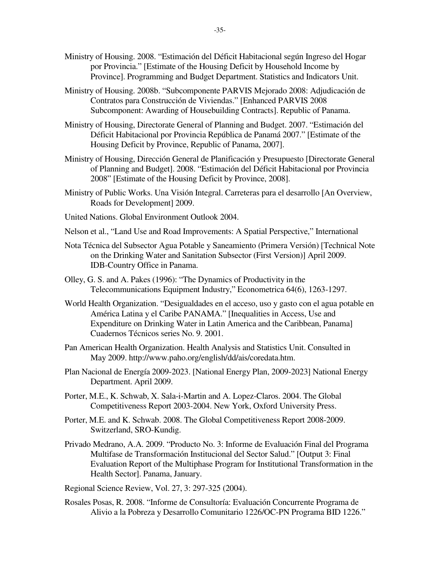- Ministry of Housing. 2008. "Estimación del Déficit Habitacional según Ingreso del Hogar por Provincia." [Estimate of the Housing Deficit by Household Income by Province]. Programming and Budget Department. Statistics and Indicators Unit.
- Ministry of Housing. 2008b. "Subcomponente PARVIS Mejorado 2008: Adjudicación de Contratos para Construcción de Viviendas." [Enhanced PARVIS 2008 Subcomponent: Awarding of Housebuilding Contracts]. Republic of Panama.
- Ministry of Housing, Directorate General of Planning and Budget. 2007. "Estimación del Déficit Habitacional por Provincia República de Panamá 2007." [Estimate of the Housing Deficit by Province, Republic of Panama, 2007].
- Ministry of Housing, Dirección General de Planificación y Presupuesto [Directorate General of Planning and Budget]. 2008. "Estimación del Déficit Habitacional por Provincia 2008" [Estimate of the Housing Deficit by Province, 2008].
- Ministry of Public Works. Una Visión Integral. Carreteras para el desarrollo [An Overview, Roads for Development] 2009.
- United Nations. Global Environment Outlook 2004.
- Nelson et al., "Land Use and Road Improvements: A Spatial Perspective," International
- Nota Técnica del Subsector Agua Potable y Saneamiento (Primera Versión) [Technical Note on the Drinking Water and Sanitation Subsector (First Version)] April 2009. IDB-Country Office in Panama.
- Olley, G. S. and A. Pakes (1996): "The Dynamics of Productivity in the Telecommunications Equipment Industry," Econometrica 64(6), 1263-1297.
- World Health Organization. "Desigualdades en el acceso, uso y gasto con el agua potable en América Latina y el Caribe PANAMA." [Inequalities in Access, Use and Expenditure on Drinking Water in Latin America and the Caribbean, Panama] Cuadernos Técnicos series No. 9. 2001.
- Pan American Health Organization. Health Analysis and Statistics Unit. Consulted in May 2009. http://www.paho.org/english/dd/ais/coredata.htm.
- Plan Nacional de Energía 2009-2023. [National Energy Plan, 2009-2023] National Energy Department. April 2009.
- Porter, M.E., K. Schwab, X. Sala-i-Martin and A. Lopez-Claros. 2004. The Global Competitiveness Report 2003-2004. New York, Oxford University Press.
- Porter, M.E. and K. Schwab. 2008. The Global Competitiveness Report 2008-2009. Switzerland, SRO-Kundig.
- Privado Medrano, A.A. 2009. "Producto No. 3: Informe de Evaluación Final del Programa Multifase de Transformación Institucional del Sector Salud." [Output 3: Final Evaluation Report of the Multiphase Program for Institutional Transformation in the Health Sector]. Panama, January.

Regional Science Review, Vol. 27, 3: 297-325 (2004).

Rosales Posas, R. 2008. "Informe de Consultoría: Evaluación Concurrente Programa de Alivio a la Pobreza y Desarrollo Comunitario 1226/OC-PN Programa BID 1226."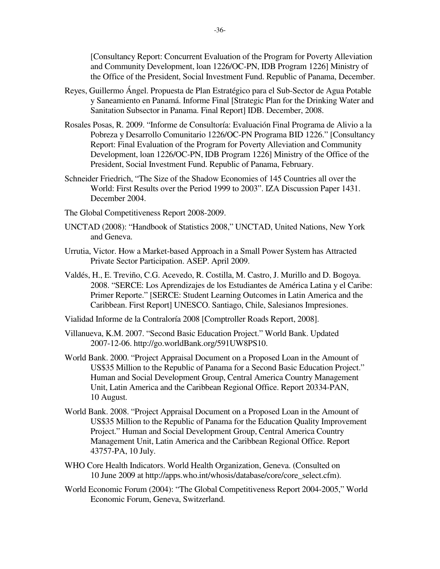[Consultancy Report: Concurrent Evaluation of the Program for Poverty Alleviation and Community Development, loan 1226/OC-PN, IDB Program 1226] Ministry of the Office of the President, Social Investment Fund. Republic of Panama, December.

- Reyes, Guillermo Ángel. Propuesta de Plan Estratégico para el Sub-Sector de Agua Potable y Saneamiento en Panamá. Informe Final [Strategic Plan for the Drinking Water and Sanitation Subsector in Panama. Final Report] IDB. December, 2008.
- Rosales Posas, R. 2009. "Informe de Consultoría: Evaluación Final Programa de Alivio a la Pobreza y Desarrollo Comunitario 1226/OC-PN Programa BID 1226." [Consultancy Report: Final Evaluation of the Program for Poverty Alleviation and Community Development, loan 1226/OC-PN, IDB Program 1226] Ministry of the Office of the President, Social Investment Fund. Republic of Panama, February.
- Schneider Friedrich, "The Size of the Shadow Economies of 145 Countries all over the World: First Results over the Period 1999 to 2003". IZA Discussion Paper 1431. December 2004.
- The Global Competitiveness Report 2008-2009.
- UNCTAD (2008): "Handbook of Statistics 2008," UNCTAD, United Nations, New York and Geneva.
- Urrutia, Victor. How a Market-based Approach in a Small Power System has Attracted Private Sector Participation. ASEP. April 2009.
- Valdés, H., E. Treviño, C.G. Acevedo, R. Costilla, M. Castro, J. Murillo and D. Bogoya. 2008. "SERCE: Los Aprendizajes de los Estudiantes de América Latina y el Caribe: Primer Reporte." [SERCE: Student Learning Outcomes in Latin America and the Caribbean. First Report] UNESCO. Santiago, Chile, Salesianos Impresiones.
- Vialidad Informe de la Contraloría 2008 [Comptroller Roads Report, 2008].
- Villanueva, K.M. 2007. "Second Basic Education Project." World Bank. Updated 2007-12-06. http://go.worldBank.org/591UW8PS10.
- World Bank. 2000. "Project Appraisal Document on a Proposed Loan in the Amount of US\$35 Million to the Republic of Panama for a Second Basic Education Project." Human and Social Development Group, Central America Country Management Unit, Latin America and the Caribbean Regional Office. Report 20334-PAN, 10 August.
- World Bank. 2008. "Project Appraisal Document on a Proposed Loan in the Amount of US\$35 Million to the Republic of Panama for the Education Quality Improvement Project." Human and Social Development Group, Central America Country Management Unit, Latin America and the Caribbean Regional Office. Report 43757-PA, 10 July.
- WHO Core Health Indicators. World Health Organization, Geneva. (Consulted on 10 June 2009 at http://apps.who.int/whosis/database/core/core\_select.cfm).
- World Economic Forum (2004): "The Global Competitiveness Report 2004-2005," World Economic Forum, Geneva, Switzerland.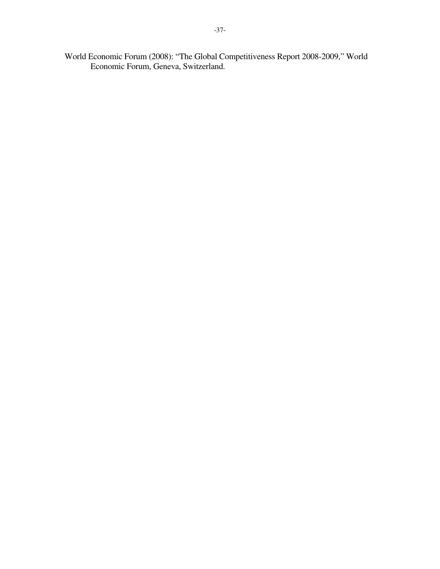World Economic Forum (2008): "The Global Competitiveness Report 2008-2009," World Economic Forum, Geneva, Switzerland.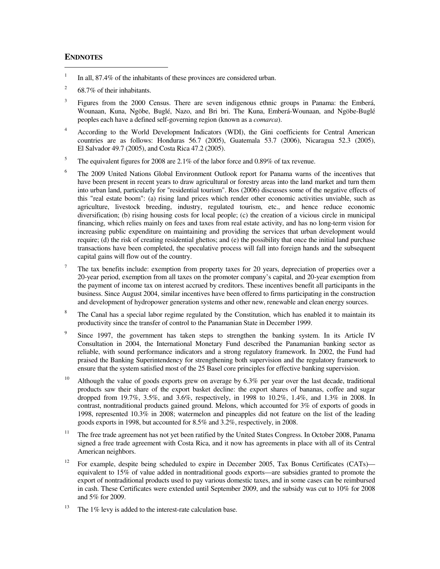#### **ENDNOTES**

1

- <sup>1</sup> In all, 87.4% of the inhabitants of these provinces are considered urban.
- 2 68.7% of their inhabitants.
- <sup>3</sup> Figures from the 2000 Census. There are seven indigenous ethnic groups in Panama: the Emberá, Wounaan, Kuna, Ngöbe, Buglé, Nazo, and Bri bri. The Kuna, Emberá-Wounaan, and Ngöbe-Buglé peoples each have a defined self-governing region (known as a *comarca*).
- <sup>4</sup> According to the World Development Indicators (WDI), the Gini coefficients for Central American countries are as follows: Honduras 56.7 (2005), Guatemala 53.7 (2006), Nicaragua 52.3 (2005), El Salvador 49.7 (2005), and Costa Rica 47.2 (2005).
- <sup>5</sup> The equivalent figures for 2008 are 2.1% of the labor force and 0.89% of tax revenue.
- <sup>6</sup> The 2009 United Nations Global Environment Outlook report for Panama warns of the incentives that have been present in recent years to draw agricultural or forestry areas into the land market and turn them into urban land, particularly for "residential tourism". Ros (2006) discusses some of the negative effects of this "real estate boom": (a) rising land prices which render other economic activities unviable, such as agriculture, livestock breeding, industry, regulated tourism, etc., and hence reduce economic diversification; (b) rising housing costs for local people; (c) the creation of a vicious circle in municipal financing, which relies mainly on fees and taxes from real estate activity, and has no long-term vision for increasing public expenditure on maintaining and providing the services that urban development would require; (d) the risk of creating residential ghettos; and (e) the possibility that once the initial land purchase transactions have been completed, the speculative process will fall into foreign hands and the subsequent capital gains will flow out of the country.
- <sup>7</sup> The tax benefits include: exemption from property taxes for 20 years, depreciation of properties over a 20-year period, exemption from all taxes on the promoter company's capital, and 20-year exemption from the payment of income tax on interest accrued by creditors. These incentives benefit all participants in the business. Since August 2004, similar incentives have been offered to firms participating in the construction and development of hydropower generation systems and other new, renewable and clean energy sources.
- 8 The Canal has a special labor regime regulated by the Constitution, which has enabled it to maintain its productivity since the transfer of control to the Panamanian State in December 1999.
- 9 Since 1997, the government has taken steps to strengthen the banking system. In its Article IV Consultation in 2004, the International Monetary Fund described the Panamanian banking sector as reliable, with sound performance indicators and a strong regulatory framework. In 2002, the Fund had praised the Banking Superintendency for strengthening both supervision and the regulatory framework to ensure that the system satisfied most of the 25 Basel core principles for effective banking supervision.
- <sup>10</sup> Although the value of goods exports grew on average by 6.3% per year over the last decade, traditional products saw their share of the export basket decline: the export shares of bananas, coffee and sugar dropped from 19.7%, 3.5%, and 3.6%, respectively, in 1998 to 10.2%, 1.4%, and 1.3% in 2008. In contrast, nontraditional products gained ground. Melons, which accounted for 3% of exports of goods in 1998, represented 10.3% in 2008; watermelon and pineapples did not feature on the list of the leading goods exports in 1998, but accounted for 8.5% and 3.2%, respectively, in 2008.
- <sup>11</sup> The free trade agreement has not yet been ratified by the United States Congress. In October 2008, Panama signed a free trade agreement with Costa Rica, and it now has agreements in place with all of its Central American neighbors.
- <sup>12</sup> For example, despite being scheduled to expire in December 2005, Tax Bonus Certificates (CATs) equivalent to 15% of value added in nontraditional goods exports—are subsidies granted to promote the export of nontraditional products used to pay various domestic taxes, and in some cases can be reimbursed in cash. These Certificates were extended until September 2009, and the subsidy was cut to 10% for 2008 and 5% for 2009.
- <sup>13</sup> The 1% levy is added to the interest-rate calculation base.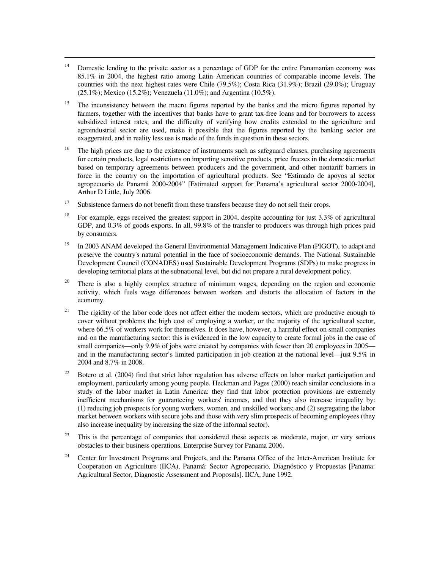<sup>14</sup> Domestic lending to the private sector as a percentage of GDP for the entire Panamanian economy was 85.1% in 2004, the highest ratio among Latin American countries of comparable income levels. The countries with the next highest rates were Chile (79.5%); Costa Rica (31.9%); Brazil (29.0%); Uruguay (25.1%); Mexico (15.2%); Venezuela (11.0%); and Argentina (10.5%).

- <sup>15</sup> The inconsistency between the macro figures reported by the banks and the micro figures reported by farmers, together with the incentives that banks have to grant tax-free loans and for borrowers to access subsidized interest rates, and the difficulty of verifying how credits extended to the agriculture and agroindustrial sector are used, make it possible that the figures reported by the banking sector are exaggerated, and in reality less use is made of the funds in question in these sectors.
- $16$  The high prices are due to the existence of instruments such as safeguard clauses, purchasing agreements for certain products, legal restrictions on importing sensitive products, price freezes in the domestic market based on temporary agreements between producers and the government, and other nontariff barriers in force in the country on the importation of agricultural products. See "Estimado de apoyos al sector agropecuario de Panamá 2000-2004" [Estimated support for Panama's agricultural sector 2000-2004], Arthur D Little, July 2006.
- $17$  Subsistence farmers do not benefit from these transfers because they do not sell their crops.
- <sup>18</sup> For example, eggs received the greatest support in 2004, despite accounting for just  $3.3\%$  of agricultural GDP, and 0.3% of goods exports. In all, 99.8% of the transfer to producers was through high prices paid by consumers.
- $19$  In 2003 ANAM developed the General Environmental Management Indicative Plan (PIGOT), to adapt and preserve the country's natural potential in the face of socioeconomic demands. The National Sustainable Development Council (CONADES) used Sustainable Development Programs (SDPs) to make progress in developing territorial plans at the subnational level, but did not prepare a rural development policy.
- <sup>20</sup> There is also a highly complex structure of minimum wages, depending on the region and economic activity, which fuels wage differences between workers and distorts the allocation of factors in the economy.
- <sup>21</sup> The rigidity of the labor code does not affect either the modern sectors, which are productive enough to cover without problems the high cost of employing a worker, or the majority of the agricultural sector, where 66.5% of workers work for themselves. It does have, however, a harmful effect on small companies and on the manufacturing sector: this is evidenced in the low capacity to create formal jobs in the case of small companies—only 9.9% of jobs were created by companies with fewer than 20 employees in 2005 and in the manufacturing sector's limited participation in job creation at the national level—just 9.5% in 2004 and 8.7% in 2008.
- <sup>22</sup> Botero et al. (2004) find that strict labor regulation has adverse effects on labor market participation and employment, particularly among young people. Heckman and Pages (2000) reach similar conclusions in a study of the labor market in Latin America: they find that labor protection provisions are extremely inefficient mechanisms for guaranteeing workers' incomes, and that they also increase inequality by: (1) reducing job prospects for young workers, women, and unskilled workers; and (2) segregating the labor market between workers with secure jobs and those with very slim prospects of becoming employees (they also increase inequality by increasing the size of the informal sector).
- $23$  This is the percentage of companies that considered these aspects as moderate, major, or very serious obstacles to their business operations. Enterprise Survey for Panama 2006.
- <sup>24</sup> Center for Investment Programs and Projects, and the Panama Office of the Inter-American Institute for Cooperation on Agriculture (IICA), Panamá: Sector Agropecuario, Diagnóstico y Propuestas [Panama: Agricultural Sector, Diagnostic Assessment and Proposals]. IICA, June 1992.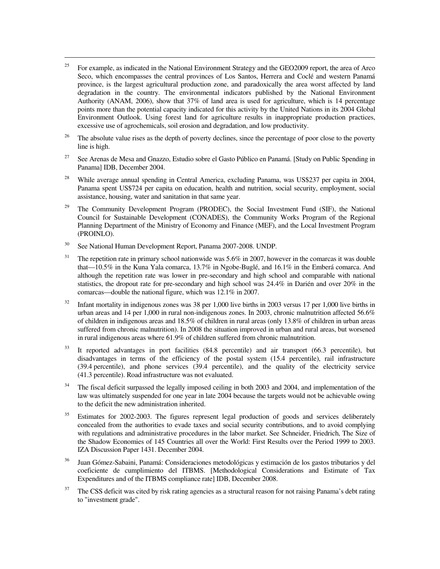- <sup>25</sup> For example, as indicated in the National Environment Strategy and the GEO2009 report, the area of Arco Seco, which encompasses the central provinces of Los Santos, Herrera and Coclé and western Panamá province, is the largest agricultural production zone, and paradoxically the area worst affected by land degradation in the country. The environmental indicators published by the National Environment Authority (ANAM, 2006), show that 37% of land area is used for agriculture, which is 14 percentage points more than the potential capacity indicated for this activity by the United Nations in its 2004 Global Environment Outlook. Using forest land for agriculture results in inappropriate production practices, excessive use of agrochemicals, soil erosion and degradation, and low productivity.
- <sup>26</sup> The absolute value rises as the depth of poverty declines, since the percentage of poor close to the poverty line is high.
- <sup>27</sup> See Arenas de Mesa and Gnazzo, Estudio sobre el Gasto Público en Panamá. [Study on Public Spending in Panama] IDB, December 2004.
- <sup>28</sup> While average annual spending in Central America, excluding Panama, was US\$237 per capita in 2004, Panama spent US\$724 per capita on education, health and nutrition, social security, employment, social assistance, housing, water and sanitation in that same year.
- <sup>29</sup> The Community Development Program (PRODEC), the Social Investment Fund (SIF), the National Council for Sustainable Development (CONADES), the Community Works Program of the Regional Planning Department of the Ministry of Economy and Finance (MEF), and the Local Investment Program (PROINLO).
- <sup>30</sup> See National Human Development Report, Panama 2007-2008. UNDP.

- $31$  The repetition rate in primary school nationwide was 5.6% in 2007, however in the comarcas it was double that—10.5% in the Kuna Yala comarca, 13.7% in Ngobe-Buglé, and 16.1% in the Emberá comarca. And although the repetition rate was lower in pre-secondary and high school and comparable with national statistics, the dropout rate for pre-secondary and high school was 24.4% in Darién and over 20% in the comarcas—double the national figure, which was 12.1% in 2007.
- $32$  Infant mortality in indigenous zones was 38 per 1,000 live births in 2003 versus 17 per 1,000 live births in urban areas and 14 per 1,000 in rural non-indigenous zones. In 2003, chronic malnutrition affected 56.6% of children in indigenous areas and 18.5% of children in rural areas (only 13.8% of children in urban areas suffered from chronic malnutrition). In 2008 the situation improved in urban and rural areas, but worsened in rural indigenous areas where 61.9% of children suffered from chronic malnutrition.
- <sup>33</sup> It reported advantages in port facilities (84.8 percentile) and air transport (66.3 percentile), but disadvantages in terms of the efficiency of the postal system (15.4 percentile), rail infrastructure (39.4 percentile), and phone services (39.4 percentile), and the quality of the electricity service (41.3 percentile). Road infrastructure was not evaluated.
- <sup>34</sup> The fiscal deficit surpassed the legally imposed ceiling in both 2003 and 2004, and implementation of the law was ultimately suspended for one year in late 2004 because the targets would not be achievable owing to the deficit the new administration inherited.
- $35$  Estimates for 2002-2003. The figures represent legal production of goods and services deliberately concealed from the authorities to evade taxes and social security contributions, and to avoid complying with regulations and administrative procedures in the labor market. See Schneider, Friedrich, The Size of the Shadow Economies of 145 Countries all over the World: First Results over the Period 1999 to 2003. IZA Discussion Paper 1431. December 2004.
- <sup>36</sup> Juan Gómez-Sabaini, Panamá: Consideraciones metodológicas y estimación de los gastos tributarios y del coeficiente de cumplimiento del ITBMS. [Methodological Considerations and Estimate of Tax Expenditures and of the ITBMS compliance rate] IDB, December 2008.
- <sup>37</sup>The CSS deficit was cited by risk rating agencies as a structural reason for not raising Panama's debt rating to "investment grade".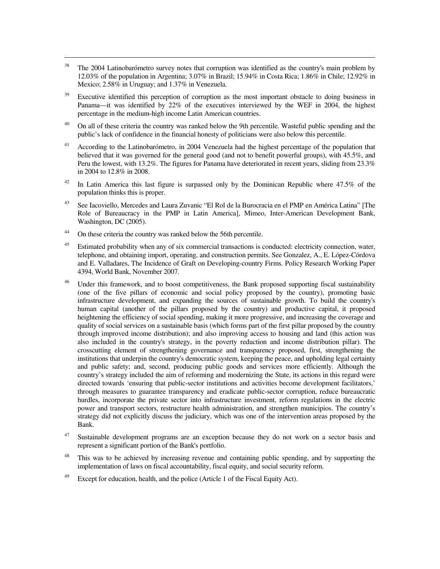- <sup>38</sup> The 2004 Latinobarómetro survey notes that corruption was identified as the country's main problem by 12.03% of the population in Argentina; 3.07% in Brazil; 15.94% in Costa Rica; 1.86% in Chile; 12.92% in Mexico; 2.58% in Uruguay; and 1.37% in Venezuela.
- <sup>39</sup> Executive identified this perception of corruption as the most important obstacle to doing business in Panama—it was identified by 22% of the executives interviewed by the WEF in 2004, the highest percentage in the medium-high income Latin American countries.
- <sup>40</sup> On all of these criteria the country was ranked below the 9th percentile. Wasteful public spending and the public's lack of confidence in the financial honesty of politicians were also below this percentile.
- <sup>41</sup> According to the Latinobarómetro, in 2004 Venezuela had the highest percentage of the population that believed that it was governed for the general good (and not to benefit powerful groups), with 45.5%, and Peru the lowest, with 13.2%. The figures for Panama have deteriorated in recent years, sliding from 23.3% in 2004 to 12.8% in 2008.
- <sup>42</sup> In Latin America this last figure is surpassed only by the Dominican Republic where 47.5% of the population thinks this is proper.
- <sup>43</sup> See Iacoviello, Mercedes and Laura Zuvanic "El Rol de la Burocracia en el PMP en América Latina" [The Role of Bureaucracy in the PMP in Latin America], Mimeo, Inter-American Development Bank, Washington, DC (2005).
- <sup>44</sup> On these criteria the country was ranked below the 56th percentile.

- <sup>45</sup> Estimated probability when any of six commercial transactions is conducted: electricity connection, water, telephone, and obtaining import, operating, and construction permits. See Gonzalez, A., E. López-Córdova and E. Valladares, The Incidence of Graft on Developing-country Firms. Policy Research Working Paper 4394, World Bank, November 2007.
- <sup>46</sup> Under this framework, and to boost competitiveness, the Bank proposed supporting fiscal sustainability (one of the five pillars of economic and social policy proposed by the country), promoting basic infrastructure development, and expanding the sources of sustainable growth. To build the country's human capital (another of the pillars proposed by the country) and productive capital, it proposed heightening the efficiency of social spending, making it more progressive, and increasing the coverage and quality of social services on a sustainable basis (which forms part of the first pillar proposed by the country through improved income distribution); and also improving access to housing and land (this action was also included in the country's strategy, in the poverty reduction and income distribution pillar). The crosscutting element of strengthening governance and transparency proposed, first, strengthening the institutions that underpin the country's democratic system, keeping the peace, and upholding legal certainty and public safety; and, second, producing public goods and services more efficiently. Although the country's strategy included the aim of reforming and modernizing the State, its actions in this regard were directed towards 'ensuring that public-sector institutions and activities become development facilitators,' through measures to guarantee transparency and eradicate public-sector corruption, reduce bureaucratic hurdles, incorporate the private sector into infrastructure investment, reform regulations in the electric power and transport sectors, restructure health administration, and strengthen municipios. The country's strategy did not explicitly discuss the judiciary, which was one of the intervention areas proposed by the Bank.
- <sup>47</sup> Sustainable development programs are an exception because they do not work on a sector basis and represent a significant portion of the Bank's portfolio.
- <sup>48</sup> This was to be achieved by increasing revenue and containing public spending, and by supporting the implementation of laws on fiscal accountability, fiscal equity, and social security reform.
- <sup>49</sup> Except for education, health, and the police (Article 1 of the Fiscal Equity Act).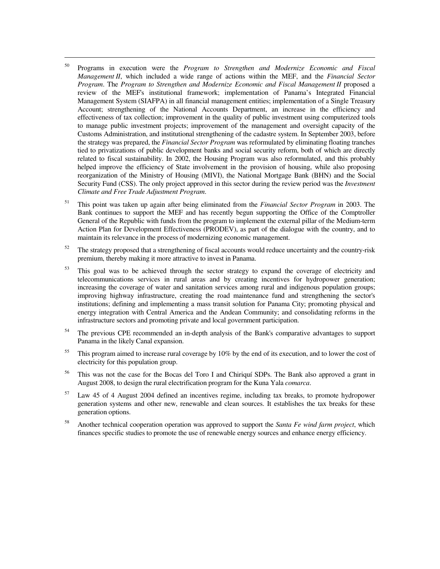<sup>50</sup> Programs in execution were the *Program to Strengthen and Modernize Economic and Fiscal Management II*, which included a wide range of actions within the MEF, and the *Financial Sector Program.* The *Program to Strengthen and Modernize Economic and Fiscal Management II* proposed a review of the MEF's institutional framework; implementation of Panama's Integrated Financial Management System (SIAFPA) in all financial management entities; implementation of a Single Treasury Account; strengthening of the National Accounts Department, an increase in the efficiency and effectiveness of tax collection; improvement in the quality of public investment using computerized tools to manage public investment projects; improvement of the management and oversight capacity of the Customs Administration, and institutional strengthening of the cadastre system. In September 2003, before the strategy was prepared, the *Financial Sector Program* was reformulated by eliminating floating tranches tied to privatizations of public development banks and social security reform, both of which are directly related to fiscal sustainability. In 2002, the Housing Program was also reformulated, and this probably helped improve the efficiency of State involvement in the provision of housing, while also proposing reorganization of the Ministry of Housing (MIVI), the National Mortgage Bank (BHN) and the Social Security Fund (CSS). The only project approved in this sector during the review period was the *Investment Climate and Free Trade Adjustment Program*.

- <sup>51</sup> This point was taken up again after being eliminated from the *Financial Sector Program* in 2003. The Bank continues to support the MEF and has recently begun supporting the Office of the Comptroller General of the Republic with funds from the program to implement the external pillar of the Medium-term Action Plan for Development Effectiveness (PRODEV), as part of the dialogue with the country, and to maintain its relevance in the process of modernizing economic management.
- $52$  The strategy proposed that a strengthening of fiscal accounts would reduce uncertainty and the country-risk premium, thereby making it more attractive to invest in Panama.
- $53$  This goal was to be achieved through the sector strategy to expand the coverage of electricity and telecommunications services in rural areas and by creating incentives for hydropower generation; increasing the coverage of water and sanitation services among rural and indigenous population groups; improving highway infrastructure, creating the road maintenance fund and strengthening the sector's institutions; defining and implementing a mass transit solution for Panama City; promoting physical and energy integration with Central America and the Andean Community; and consolidating reforms in the infrastructure sectors and promoting private and local government participation.
- <sup>54</sup> The previous CPE recommended an in-depth analysis of the Bank's comparative advantages to support Panama in the likely Canal expansion.
- <sup>55</sup> This program aimed to increase rural coverage by 10% by the end of its execution, and to lower the cost of electricity for this population group.
- <sup>56</sup> This was not the case for the Bocas del Toro I and Chiriquí SDPs. The Bank also approved a grant in August 2008, to design the rural electrification program for the Kuna Yala *comarca*.
- $57$  Law 45 of 4 August 2004 defined an incentives regime, including tax breaks, to promote hydropower generation systems and other new, renewable and clean sources. It establishes the tax breaks for these generation options.
- <sup>58</sup>Another technical cooperation operation was approved to support the *Santa Fe wind farm project*, which finances specific studies to promote the use of renewable energy sources and enhance energy efficiency.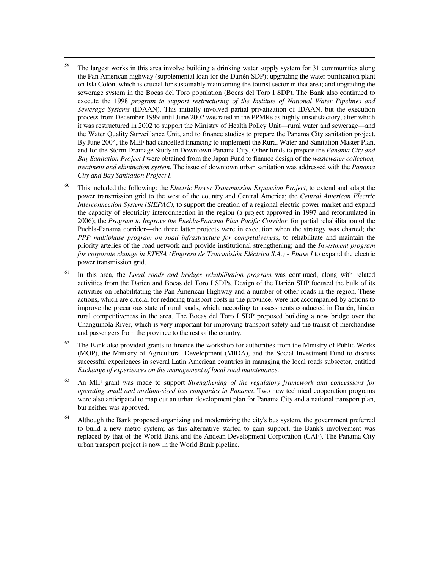$59$  The largest works in this area involve building a drinking water supply system for 31 communities along the Pan American highway (supplemental loan for the Darién SDP); upgrading the water purification plant on Isla Colón, which is crucial for sustainably maintaining the tourist sector in that area; and upgrading the sewerage system in the Bocas del Toro population (Bocas del Toro I SDP). The Bank also continued to execute the 1998 *program to support restructuring of the Institute of National Water Pipelines and Sewerage Systems* (IDAAN). This initially involved partial privatization of IDAAN, but the execution process from December 1999 until June 2002 was rated in the PPMRs as highly unsatisfactory, after which it was restructured in 2002 to support the Ministry of Health Policy Unit—rural water and sewerage—and the Water Quality Surveillance Unit, and to finance studies to prepare the Panama City sanitation project. By June 2004, the MEF had cancelled financing to implement the Rural Water and Sanitation Master Plan, and for the Storm Drainage Study in Downtown Panama City. Other funds to prepare the *Panama City and Bay Sanitation Project I* were obtained from the Japan Fund to finance design of the *wastewater collection, treatment and elimination system*. The issue of downtown urban sanitation was addressed with the *Panama City and Bay Sanitation Project I*.

- <sup>60</sup> This included the following: the *Electric Power Transmission Expansion Project*, to extend and adapt the power transmission grid to the west of the country and Central America; the *Central American Electric Interconnection System (SIEPAC)*, to support the creation of a regional electric power market and expand the capacity of electricity interconnection in the region (a project approved in 1997 and reformulated in 2006); the *Program to Improve the Puebla-Panama Plan Pacific Corridor*, for partial rehabilitation of the Puebla-Panama corridor—the three latter projects were in execution when the strategy was charted; the *PPP multiphase program on road infrastructure for competitiveness*, to rehabilitate and maintain the priority arteries of the road network and provide institutional strengthening; and the *Investment program for corporate change in ETESA (Empresa de Transmisión Eléctrica S.A.) - Phase I* to expand the electric power transmission grid.
- <sup>61</sup> In this area, the *Local roads and bridges rehabilitation program* was continued, along with related activities from the Darién and Bocas del Toro I SDPs. Design of the Darién SDP focused the bulk of its activities on rehabilitating the Pan American Highway and a number of other roads in the region. These actions, which are crucial for reducing transport costs in the province, were not accompanied by actions to improve the precarious state of rural roads, which, according to assessments conducted in Darién, hinder rural competitiveness in the area. The Bocas del Toro I SDP proposed building a new bridge over the Changuinola River, which is very important for improving transport safety and the transit of merchandise and passengers from the province to the rest of the country.
- $62$  The Bank also provided grants to finance the workshop for authorities from the Ministry of Public Works (MOP), the Ministry of Agricultural Development (MIDA), and the Social Investment Fund to discuss successful experiences in several Latin American countries in managing the local roads subsector, entitled *Exchange of experiences on the management of local road maintenance*.
- <sup>63</sup> An MIF grant was made to support *Strengthening of the regulatory framework and concessions for operating small and medium-sized bus companies in Panama*. Two new technical cooperation programs were also anticipated to map out an urban development plan for Panama City and a national transport plan, but neither was approved.
- <sup>64</sup> Although the Bank proposed organizing and modernizing the city's bus system, the government preferred to build a new metro system; as this alternative started to gain support, the Bank's involvement was replaced by that of the World Bank and the Andean Development Corporation (CAF). The Panama City urban transport project is now in the World Bank pipeline.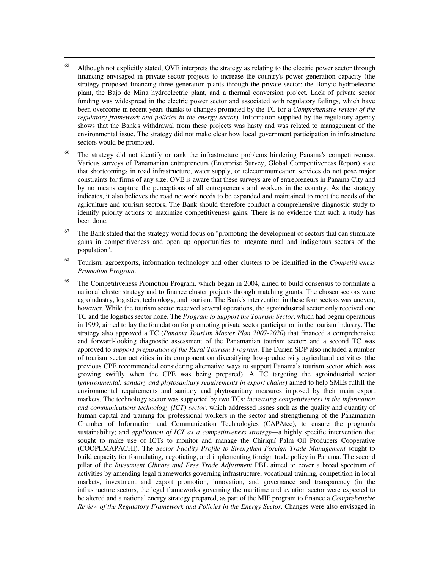$65$  Although not explicitly stated, OVE interprets the strategy as relating to the electric power sector through financing envisaged in private sector projects to increase the country's power generation capacity (the strategy proposed financing three generation plants through the private sector: the Bonyic hydroelectric plant, the Bajo de Mina hydroelectric plant, and a thermal conversion project. Lack of private sector funding was widespread in the electric power sector and associated with regulatory failings, which have been overcome in recent years thanks to changes promoted by the TC for a *Comprehensive review of the regulatory framework and policies in the energy sector*). Information supplied by the regulatory agency shows that the Bank's withdrawal from these projects was hasty and was related to management of the environmental issue. The strategy did not make clear how local government participation in infrastructure sectors would be promoted.

- <sup>66</sup> The strategy did not identify or rank the infrastructure problems hindering Panama's competitiveness. Various surveys of Panamanian entrepreneurs (Enterprise Survey, Global Competitiveness Report) state that shortcomings in road infrastructure, water supply, or telecommunication services do not pose major constraints for firms of any size. OVE is aware that these surveys are of entrepreneurs in Panama City and by no means capture the perceptions of all entrepreneurs and workers in the country. As the strategy indicates, it also believes the road network needs to be expanded and maintained to meet the needs of the agriculture and tourism sectors. The Bank should therefore conduct a comprehensive diagnostic study to identify priority actions to maximize competitiveness gains. There is no evidence that such a study has been done.
- The Bank stated that the strategy would focus on "promoting the development of sectors that can stimulate gains in competitiveness and open up opportunities to integrate rural and indigenous sectors of the population".
- <sup>68</sup>Tourism, agroexports, information technology and other clusters to be identified in the *Competitiveness Promotion Program*.
- $69$  The Competitiveness Promotion Program, which began in 2004, aimed to build consensus to formulate a national cluster strategy and to finance cluster projects through matching grants. The chosen sectors were agroindustry, logistics, technology, and tourism. The Bank's intervention in these four sectors was uneven, however. While the tourism sector received several operations, the agroindustrial sector only received one TC and the logistics sector none. The *Program to Support the Tourism Sector*, which had begun operations in 1999, aimed to lay the foundation for promoting private sector participation in the tourism industry. The strategy also approved a TC (*Panama Tourism Master Plan 2007-2020*) that financed a comprehensive and forward-looking diagnostic assessment of the Panamanian tourism sector; and a second TC was approved to *support preparation of the Rural Tourism Program*. The Darién SDP also included a number of tourism sector activities in its component on diversifying low-productivity agricultural activities (the previous CPE recommended considering alternative ways to support Panama's tourism sector which was growing swiftly when the CPE was being prepared). A TC targeting the agroindustrial sector (*environmental, sanitary and phytosanitary requirements in export chains*) aimed to help SMEs fulfill the environmental requirements and sanitary and phytosanitary measures imposed by their main export markets. The technology sector was supported by two TCs: *increasing competitiveness in the information and communications technology (ICT) sector*, which addressed issues such as the quality and quantity of human capital and training for professional workers in the sector and strengthening of the Panamanian Chamber of Information and Communication Technologies (CAPAtec), to ensure the program's sustainability; and *application of ICT as a competitiveness strategy*—a highly specific intervention that sought to make use of ICTs to monitor and manage the Chiriquí Palm Oil Producers Cooperative (COOPEMAPACHI). The *Sector Facility Profile to Strengthen Foreign Trade Management* sought to build capacity for formulating, negotiating, and implementing foreign trade policy in Panama. The second pillar of the *Investment Climate and Free Trade Adjustment* PBL aimed to cover a broad spectrum of activities by amending legal frameworks governing infrastructure, vocational training, competition in local markets, investment and export promotion, innovation, and governance and transparency (in the infrastructure sectors, the legal frameworks governing the maritime and aviation sector were expected to be altered and a national energy strategy prepared, as part of the MIF program to finance a *Comprehensive Review of the Regulatory Framework and Policies in the Energy Sector*. Changes were also envisaged in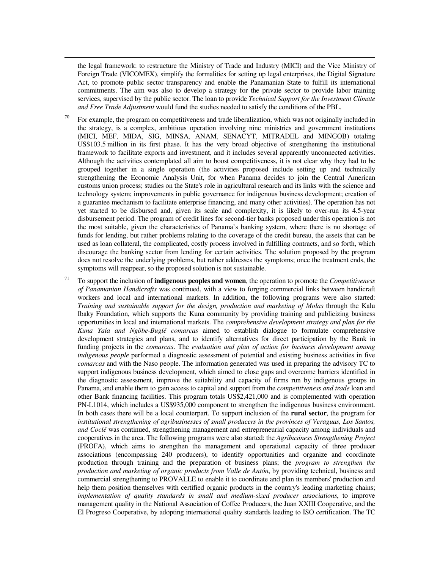the legal framework: to restructure the Ministry of Trade and Industry (MICI) and the Vice Ministry of Foreign Trade (VICOMEX), simplify the formalities for setting up legal enterprises, the Digital Signature Act, to promote public sector transparency and enable the Panamanian State to fulfill its international commitments. The aim was also to develop a strategy for the private sector to provide labor training services, supervised by the public sector. The loan to provide *Technical Support for the Investment Climate and Free Trade Adjustment* would fund the studies needed to satisfy the conditions of the PBL.

- For example, the program on competitiveness and trade liberalization, which was not originally included in the strategy, is a complex, ambitious operation involving nine ministries and government institutions (MICI, MEF, MIDA, SIG, MINSA, ANAM, SENACYT, MITRADEL and MINGOB) totaling US\$103.5 million in its first phase. It has the very broad objective of strengthening the institutional framework to facilitate exports and investment, and it includes several apparently unconnected activities. Although the activities contemplated all aim to boost competitiveness, it is not clear why they had to be grouped together in a single operation (the activities proposed include setting up and technically strengthening the Economic Analysis Unit, for when Panama decides to join the Central American customs union process; studies on the State's role in agricultural research and its links with the science and technology system; improvements in public governance for indigenous business development; creation of a guarantee mechanism to facilitate enterprise financing, and many other activities). The operation has not yet started to be disbursed and, given its scale and complexity, it is likely to over-run its 4.5-year disbursement period. The program of credit lines for second-tier banks proposed under this operation is not the most suitable, given the characteristics of Panama's banking system, where there is no shortage of funds for lending, but rather problems relating to the coverage of the credit bureau, the assets that can be used as loan collateral, the complicated, costly process involved in fulfilling contracts, and so forth, which discourage the banking sector from lending for certain activities. The solution proposed by the program does not resolve the underlying problems, but rather addresses the symptoms; once the treatment ends, the symptoms will reappear, so the proposed solution is not sustainable.
- <sup>71</sup> To support the inclusion of **indigenous peoples and women**, the operation to promote the *Competitiveness of Panamanian Handicrafts* was continued, with a view to forging commercial links between handicraft workers and local and international markets. In addition, the following programs were also started: *Training and sustainable support for the design, production and marketing of Molas* through the Kalu Ibaky Foundation, which supports the Kuna community by providing training and publicizing business opportunities in local and international markets. The *comprehensive development strategy and plan for the Kuna Yala and Ngöbe-Buglé comarcas* aimed to establish dialogue to formulate comprehensive development strategies and plans, and to identify alternatives for direct participation by the Bank in funding projects in the *comarcas*. The *evaluation and plan of action for business development among indigenous people* performed a diagnostic assessment of potential and existing business activities in five *comarcas* and with the Naso people. The information generated was used in preparing the advisory TC to support indigenous business development, which aimed to close gaps and overcome barriers identified in the diagnostic assessment, improve the suitability and capacity of firms run by indigenous groups in Panama, and enable them to gain access to capital and support from the *competitiveness and trade* loan and other Bank financing facilities. This program totals US\$2,421,000 and is complemented with operation PN-L1014, which includes a US\$935,000 component to strengthen the indigenous business environment. In both cases there will be a local counterpart. To support inclusion of the **rural sector**, the program for *institutional strengthening of agribusinesses of small producers in the provinces of Veraguas, Los Santos, and Coclé* was continued, strengthening management and entrepreneurial capacity among individuals and cooperatives in the area. The following programs were also started: the *Agribusiness Strengthening Project* (PROFA), which aims to strengthen the management and operational capacity of three producer associations (encompassing 240 producers), to identify opportunities and organize and coordinate production through training and the preparation of business plans; the *program to strengthen the production and marketing of organic products from Valle de Antón*, by providing technical, business and commercial strengthening to PROVALLE to enable it to coordinate and plan its members' production and help them position themselves with certified organic products in the country's leading marketing chains; *implementation of quality standards in small and medium-sized producer associations*, to improve management quality in the National Association of Coffee Producers, the Juan XXIII Cooperative, and the El Progreso Cooperative, by adopting international quality standards leading to ISO certification. The TC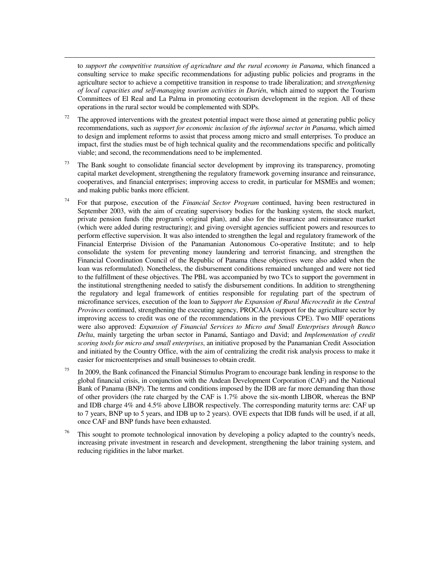to *support the competitive transition of agriculture and the rural economy in Panama*, which financed a consulting service to make specific recommendations for adjusting public policies and programs in the agriculture sector to achieve a competitive transition in response to trade liberalization; and *strengthening of local capacities and self-managing tourism activities in Darién*, which aimed to support the Tourism Committees of El Real and La Palma in promoting ecotourism development in the region. All of these operations in the rural sector would be complemented with SDPs.

- $72$  The approved interventions with the greatest potential impact were those aimed at generating public policy recommendations, such as *support for economic inclusion of the informal sector in Panama*, which aimed to design and implement reforms to assist that process among micro and small enterprises. To produce an impact, first the studies must be of high technical quality and the recommendations specific and politically viable; and second, the recommendations need to be implemented.
- $73$  The Bank sought to consolidate financial sector development by improving its transparency, promoting capital market development, strengthening the regulatory framework governing insurance and reinsurance, cooperatives, and financial enterprises; improving access to credit, in particular for MSMEs and women; and making public banks more efficient.
- <sup>74</sup> For that purpose, execution of the *Financial Sector Program* continued, having been restructured in September 2003, with the aim of creating supervisory bodies for the banking system, the stock market, private pension funds (the program's original plan), and also for the insurance and reinsurance market (which were added during restructuring); and giving oversight agencies sufficient powers and resources to perform effective supervision. It was also intended to strengthen the legal and regulatory framework of the Financial Enterprise Division of the Panamanian Autonomous Co-operative Institute; and to help consolidate the system for preventing money laundering and terrorist financing, and strengthen the Financial Coordination Council of the Republic of Panama (these objectives were also added when the loan was reformulated). Nonetheless, the disbursement conditions remained unchanged and were not tied to the fulfillment of these objectives. The PBL was accompanied by two TCs to support the government in the institutional strengthening needed to satisfy the disbursement conditions. In addition to strengthening the regulatory and legal framework of entities responsible for regulating part of the spectrum of microfinance services, execution of the loan to *Support the Expansion of Rural Microcredit in the Central Provinces* continued, strengthening the executing agency, PROCAJA (support for the agriculture sector by improving access to credit was one of the recommendations in the previous CPE). Two MIF operations were also approved: *Expansion of Financial Services to Micro and Small Enterprises through Banco Delta*, mainly targeting the urban sector in Panamá, Santiago and David; and *Implementation of credit scoring tools for micro and small enterprises*, an initiative proposed by the Panamanian Credit Association and initiated by the Country Office, with the aim of centralizing the credit risk analysis process to make it easier for microenterprises and small businesses to obtain credit.
- In 2009, the Bank cofinanced the Financial Stimulus Program to encourage bank lending in response to the global financial crisis, in conjunction with the Andean Development Corporation (CAF) and the National Bank of Panama (BNP). The terms and conditions imposed by the IDB are far more demanding than those of other providers (the rate charged by the CAF is 1.7% above the six-month LIBOR, whereas the BNP and IDB charge 4% and 4.5% above LIBOR respectively. The corresponding maturity terms are: CAF up to 7 years, BNP up to 5 years, and IDB up to 2 years). OVE expects that IDB funds will be used, if at all, once CAF and BNP funds have been exhausted.
- This sought to promote technological innovation by developing a policy adapted to the country's needs, increasing private investment in research and development, strengthening the labor training system, and reducing rigidities in the labor market.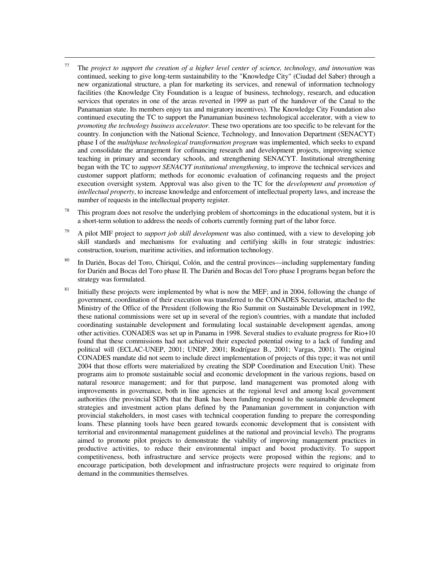$77$  The *project to support the creation of a higher level center of science, technology, and innovation* was continued, seeking to give long-term sustainability to the "Knowledge City" (Ciudad del Saber) through a new organizational structure, a plan for marketing its services, and renewal of information technology facilities (the Knowledge City Foundation is a league of business, technology, research, and education services that operates in one of the areas reverted in 1999 as part of the handover of the Canal to the Panamanian state. Its members enjoy tax and migratory incentives). The Knowledge City Foundation also continued executing the TC to support the Panamanian business technological accelerator, with a view to *promoting the technology business accelerator*. These two operations are too specific to be relevant for the country. In conjunction with the National Science, Technology, and Innovation Department (SENACYT) phase I of the *multiphase technological transformation program* was implemented, which seeks to expand and consolidate the arrangement for cofinancing research and development projects, improving science teaching in primary and secondary schools, and strengthening SENACYT. Institutional strengthening began with the TC to *support SENACYT institutional strengthening*, to improve the technical services and customer support platform; methods for economic evaluation of cofinancing requests and the project execution oversight system. Approval was also given to the TC for the *development and promotion of intellectual property*, to increase knowledge and enforcement of intellectual property laws, and increase the number of requests in the intellectual property register.

- This program does not resolve the underlying problem of shortcomings in the educational system, but it is a short-term solution to address the needs of cohorts currently forming part of the labor force.
- <sup>79</sup>A pilot MIF project to *support job skill development* was also continued, with a view to developing job skill standards and mechanisms for evaluating and certifying skills in four strategic industries: construction, tourism, maritime activities, and information technology.
- <sup>80</sup>In Darién, Bocas del Toro, Chiriquí, Colón, and the central provinces—including supplementary funding for Darién and Bocas del Toro phase II. The Darién and Bocas del Toro phase I programs began before the strategy was formulated.
- <sup>81</sup> Initially these projects were implemented by what is now the MEF; and in 2004, following the change of government, coordination of their execution was transferred to the CONADES Secretariat, attached to the Ministry of the Office of the President (following the Rio Summit on Sustainable Development in 1992, these national commissions were set up in several of the region's countries, with a mandate that included coordinating sustainable development and formulating local sustainable development agendas, among other activities. CONADES was set up in Panama in 1998. Several studies to evaluate progress for Rio+10 found that these commissions had not achieved their expected potential owing to a lack of funding and political will (ECLAC-UNEP, 2001; UNDP, 2001; Rodríguez B., 2001; Vargas, 2001). The original CONADES mandate did not seem to include direct implementation of projects of this type; it was not until 2004 that those efforts were materialized by creating the SDP Coordination and Execution Unit). These programs aim to promote sustainable social and economic development in the various regions, based on natural resource management; and for that purpose, land management was promoted along with improvements in governance, both in line agencies at the regional level and among local government authorities (the provincial SDPs that the Bank has been funding respond to the sustainable development strategies and investment action plans defined by the Panamanian government in conjunction with provincial stakeholders, in most cases with technical cooperation funding to prepare the corresponding loans. These planning tools have been geared towards economic development that is consistent with territorial and environmental management guidelines at the national and provincial levels). The programs aimed to promote pilot projects to demonstrate the viability of improving management practices in productive activities, to reduce their environmental impact and boost productivity. To support competitiveness, both infrastructure and service projects were proposed within the regions; and to encourage participation, both development and infrastructure projects were required to originate from demand in the communities themselves.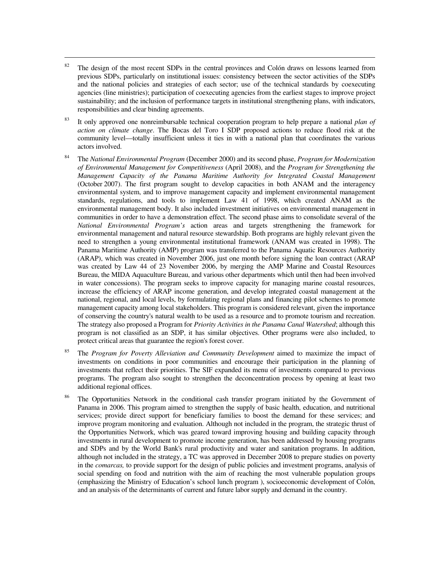$82$  The design of the most recent SDPs in the central provinces and Colón draws on lessons learned from previous SDPs, particularly on institutional issues: consistency between the sector activities of the SDPs and the national policies and strategies of each sector; use of the technical standards by coexecuting agencies (line ministries); participation of coexecuting agencies from the earliest stages to improve project sustainability; and the inclusion of performance targets in institutional strengthening plans, with indicators, responsibilities and clear binding agreements.

- <sup>83</sup> It only approved one nonreimbursable technical cooperation program to help prepare a national *plan of action on climate change*. The Bocas del Toro I SDP proposed actions to reduce flood risk at the community level—totally insufficient unless it ties in with a national plan that coordinates the various actors involved.
- <sup>84</sup>The *National Environmental Program* (December 2000) and its second phase, *Program for Modernization of Environmental Management for Competitiveness* (April 2008), and the *Program for Strengthening the Management Capacity of the Panama Maritime Authority for Integrated Coastal Management* (October 2007). The first program sought to develop capacities in both ANAM and the interagency environmental system, and to improve management capacity and implement environmental management standards, regulations, and tools to implement Law 41 of 1998, which created ANAM as the environmental management body. It also included investment initiatives on environmental management in communities in order to have a demonstration effect. The second phase aims to consolidate several of the *National Environmental Program's* action areas and targets strengthening the framework for environmental management and natural resource stewardship. Both programs are highly relevant given the need to strengthen a young environmental institutional framework (ANAM was created in 1998). The Panama Maritime Authority (AMP) program was transferred to the Panama Aquatic Resources Authority (ARAP), which was created in November 2006, just one month before signing the loan contract (ARAP was created by Law 44 of 23 November 2006, by merging the AMP Marine and Coastal Resources Bureau, the MIDA Aquaculture Bureau, and various other departments which until then had been involved in water concessions). The program seeks to improve capacity for managing marine coastal resources, increase the efficiency of ARAP income generation, and develop integrated coastal management at the national, regional, and local levels, by formulating regional plans and financing pilot schemes to promote management capacity among local stakeholders. This program is considered relevant, given the importance of conserving the country's natural wealth to be used as a resource and to promote tourism and recreation. The strategy also proposed a Program for *Priority Activities in the Panama Canal Watershed*; although this program is not classified as an SDP, it has similar objectives. Other programs were also included, to protect critical areas that guarantee the region's forest cover.
- <sup>85</sup> The *Program for Poverty Alleviation and Community Development* aimed to maximize the impact of investments on conditions in poor communities and encourage their participation in the planning of investments that reflect their priorities. The SIF expanded its menu of investments compared to previous programs. The program also sought to strengthen the deconcentration process by opening at least two additional regional offices.
- <sup>86</sup> The Opportunities Network in the conditional cash transfer program initiated by the Government of Panama in 2006. This program aimed to strengthen the supply of basic health, education, and nutritional services; provide direct support for beneficiary families to boost the demand for these services; and improve program monitoring and evaluation. Although not included in the program, the strategic thrust of the Opportunities Network, which was geared toward improving housing and building capacity through investments in rural development to promote income generation, has been addressed by housing programs and SDPs and by the World Bank's rural productivity and water and sanitation programs. In addition, although not included in the strategy, a TC was approved in December 2008 to prepare studies on poverty in the *comarcas,* to provide support for the design of public policies and investment programs, analysis of social spending on food and nutrition with the aim of reaching the most vulnerable population groups (emphasizing the Ministry of Education's school lunch program ), socioeconomic development of Colón, and an analysis of the determinants of current and future labor supply and demand in the country.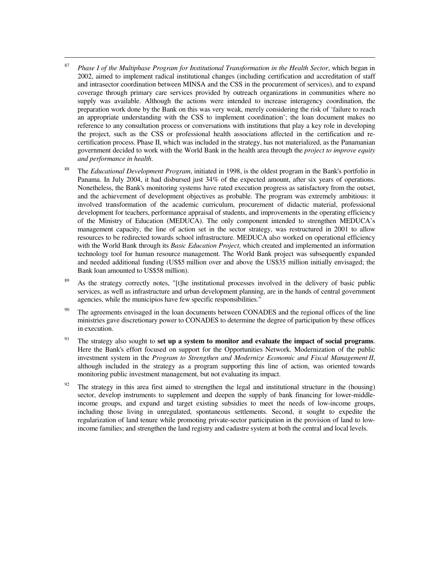<sup>87</sup>*Phase I of the Multiphase Program for Institutional Transformation in the Health Sector*, which began in 2002, aimed to implement radical institutional changes (including certification and accreditation of staff and intrasector coordination between MINSA and the CSS in the procurement of services), and to expand coverage through primary care services provided by outreach organizations in communities where no supply was available. Although the actions were intended to increase interagency coordination, the preparation work done by the Bank on this was very weak, merely considering the risk of 'failure to reach an appropriate understanding with the CSS to implement coordination'; the loan document makes no reference to any consultation process or conversations with institutions that play a key role in developing the project, such as the CSS or professional health associations affected in the certification and recertification process. Phase II, which was included in the strategy, has not materialized, as the Panamanian government decided to work with the World Bank in the health area through the *project to improve equity and performance in health*.

- <sup>88</sup> The *Educational Development Program*, initiated in 1998, is the oldest program in the Bank's portfolio in Panama. In July 2004, it had disbursed just 34% of the expected amount, after six years of operations. Nonetheless, the Bank's monitoring systems have rated execution progress as satisfactory from the outset, and the achievement of development objectives as probable. The program was extremely ambitious: it involved transformation of the academic curriculum, procurement of didactic material, professional development for teachers, performance appraisal of students, and improvements in the operating efficiency of the Ministry of Education (MEDUCA). The only component intended to strengthen MEDUCA's management capacity, the line of action set in the sector strategy, was restructured in 2001 to allow resources to be redirected towards school infrastructure. MEDUCA also worked on operational efficiency with the World Bank through its *Basic Education Project*, which created and implemented an information technology tool for human resource management. The World Bank project was subsequently expanded and needed additional funding (US\$5 million over and above the US\$35 million initially envisaged; the Bank loan amounted to US\$58 million).
- As the strategy correctly notes, "[t]he institutional processes involved in the delivery of basic public services, as well as infrastructure and urban development planning, are in the hands of central government agencies, while the municipios have few specific responsibilities."
- <sup>90</sup> The agreements envisaged in the loan documents between CONADES and the regional offices of the line ministries gave discretionary power to CONADES to determine the degree of participation by these offices in execution.
- <sup>91</sup> The strategy also sought to **set up a system to monitor and evaluate the impact of social programs**. Here the Bank's effort focused on support for the Opportunities Network. Modernization of the public investment system in the *Program to Strengthen and Modernize Economic and Fiscal Management II*, although included in the strategy as a program supporting this line of action, was oriented towards monitoring public investment management, but not evaluating its impact.
- <sup>92</sup> The strategy in this area first aimed to strengthen the legal and institutional structure in the (housing) sector, develop instruments to supplement and deepen the supply of bank financing for lower-middleincome groups, and expand and target existing subsidies to meet the needs of low-income groups, including those living in unregulated, spontaneous settlements. Second, it sought to expedite the regularization of land tenure while promoting private-sector participation in the provision of land to lowincome families; and strengthen the land registry and cadastre system at both the central and local levels.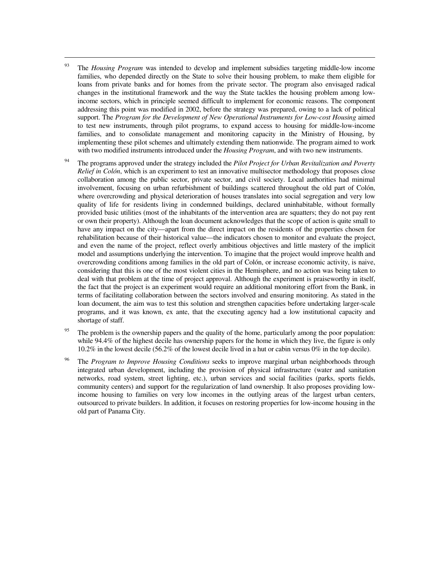<sup>93</sup> The *Housing Program* was intended to develop and implement subsidies targeting middle-low income families, who depended directly on the State to solve their housing problem, to make them eligible for loans from private banks and for homes from the private sector. The program also envisaged radical changes in the institutional framework and the way the State tackles the housing problem among lowincome sectors, which in principle seemed difficult to implement for economic reasons. The component addressing this point was modified in 2002, before the strategy was prepared, owing to a lack of political support. The *Program for the Development of New Operational Instruments for Low-cost Housing* aimed to test new instruments, through pilot programs, to expand access to housing for middle-low-income families, and to consolidate management and monitoring capacity in the Ministry of Housing, by implementing these pilot schemes and ultimately extending them nationwide. The program aimed to work with two modified instruments introduced under the *Housing Program*, and with two new instruments.

- <sup>94</sup> The programs approved under the strategy included the *Pilot Project for Urban Revitalization and Poverty Relief in Colón*, which is an experiment to test an innovative multisector methodology that proposes close collaboration among the public sector, private sector, and civil society. Local authorities had minimal involvement, focusing on urban refurbishment of buildings scattered throughout the old part of Colón, where overcrowding and physical deterioration of houses translates into social segregation and very low quality of life for residents living in condemned buildings, declared uninhabitable, without formally provided basic utilities (most of the inhabitants of the intervention area are squatters; they do not pay rent or own their property). Although the loan document acknowledges that the scope of action is quite small to have any impact on the city—apart from the direct impact on the residents of the properties chosen for rehabilitation because of their historical value—the indicators chosen to monitor and evaluate the project, and even the name of the project, reflect overly ambitious objectives and little mastery of the implicit model and assumptions underlying the intervention. To imagine that the project would improve health and overcrowding conditions among families in the old part of Colón, or increase economic activity, is naive, considering that this is one of the most violent cities in the Hemisphere, and no action was being taken to deal with that problem at the time of project approval. Although the experiment is praiseworthy in itself, the fact that the project is an experiment would require an additional monitoring effort from the Bank, in terms of facilitating collaboration between the sectors involved and ensuring monitoring. As stated in the loan document, the aim was to test this solution and strengthen capacities before undertaking larger-scale programs, and it was known, ex ante, that the executing agency had a low institutional capacity and shortage of staff.
- <sup>95</sup> The problem is the ownership papers and the quality of the home, particularly among the poor population: while 94.4% of the highest decile has ownership papers for the home in which they live, the figure is only 10.2% in the lowest decile (56.2% of the lowest decile lived in a hut or cabin versus 0% in the top decile).
- <sup>96</sup> The *Program to Improve Housing Conditions* seeks to improve marginal urban neighborhoods through integrated urban development, including the provision of physical infrastructure (water and sanitation networks, road system, street lighting, etc.), urban services and social facilities (parks, sports fields, community centers) and support for the regularization of land ownership. It also proposes providing lowincome housing to families on very low incomes in the outlying areas of the largest urban centers, outsourced to private builders. In addition, it focuses on restoring properties for low-income housing in the old part of Panama City.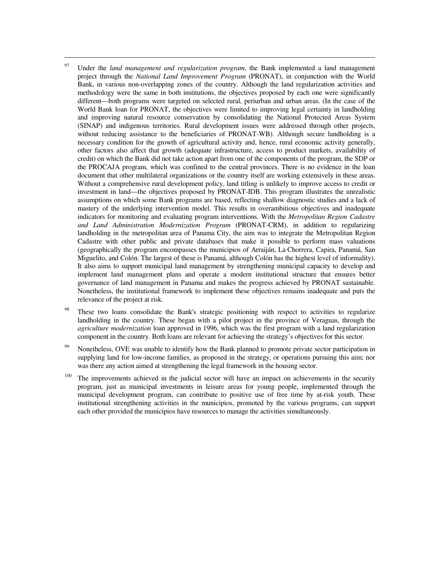<sup>97</sup> Under the *land management and regularization program*, the Bank implemented a land management project through the *National Land Improvement Program* (PRONAT), in conjunction with the World Bank, in various non-overlapping zones of the country. Although the land regularization activities and methodology were the same in both institutions, the objectives proposed by each one were significantly different—both programs were targeted on selected rural, periurban and urban areas. (In the case of the World Bank loan for PRONAT, the objectives were limited to improving legal certainty in landholding and improving natural resource conservation by consolidating the National Protected Areas System (SINAP) and indigenous territories. Rural development issues were addressed through other projects, without reducing assistance to the beneficiaries of PRONAT-WB). Although secure landholding is a necessary condition for the growth of agricultural activity and, hence, rural economic activity generally, other factors also affect that growth (adequate infrastructure, access to product markets, availability of credit) on which the Bank did not take action apart from one of the components of the program, the SDP or the PROCAJA program, which was confined to the central provinces. There is no evidence in the loan document that other multilateral organizations or the country itself are working extensively in these areas. Without a comprehensive rural development policy, land titling is unlikely to improve access to credit or investment in land—the objectives proposed by PRONAT-IDB. This program illustrates the unrealistic assumptions on which some Bank programs are based, reflecting shallow diagnostic studies and a lack of mastery of the underlying intervention model. This results in overambitious objectives and inadequate indicators for monitoring and evaluating program interventions. With the *Metropolitan Region Cadastre and Land Administration Modernization Program* (PRONAT-CRM), in addition to regularizing landholding in the metropolitan area of Panama City, the aim was to integrate the Metropolitan Region Cadastre with other public and private databases that make it possible to perform mass valuations (geographically the program encompasses the municipios of Arraiján, La Chorrera, Capira, Panamá, San Miguelito, and Colón. The largest of these is Panamá, although Colón has the highest level of informality). It also aims to support municipal land management by strengthening municipal capacity to develop and implement land management plans and operate a modern institutional structure that ensures better governance of land management in Panama and makes the progress achieved by PRONAT sustainable. Nonetheless, the institutional framework to implement these objectives remains inadequate and puts the relevance of the project at risk.

- These two loans consolidate the Bank's strategic positioning with respect to activities to regularize landholding in the country. These began with a pilot project in the province of Veraguas, through the *agriculture modernization* loan approved in 1996, which was the first program with a land regularization component in the country. Both loans are relevant for achieving the strategy's objectives for this sector.
- <sup>99</sup> Nonetheless, OVE was unable to identify how the Bank planned to promote private sector participation in supplying land for low-income families, as proposed in the strategy, or operations pursuing this aim; nor was there any action aimed at strengthening the legal framework in the housing sector.
- <sup>100</sup> The improvements achieved in the judicial sector will have an impact on achievements in the security program, just as municipal investments in leisure areas for young people, implemented through the municipal development program, can contribute to positive use of free time by at-risk youth. These institutional strengthening activities in the municipios, promoted by the various programs, can support each other provided the municipios have resources to manage the activities simultaneously.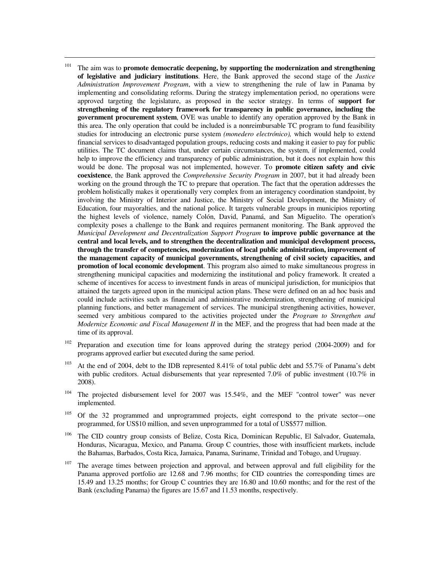<sup>101</sup> The aim was to **promote democratic deepening, by supporting the modernization and strengthening of legislative and judiciary institutions**. Here, the Bank approved the second stage of the *Justice Administration Improvement Program*, with a view to strengthening the rule of law in Panama by implementing and consolidating reforms. During the strategy implementation period, no operations were approved targeting the legislature, as proposed in the sector strategy. In terms of **support for strengthening of the regulatory framework for transparency in public governance, including the government procurement system**, OVE was unable to identify any operation approved by the Bank in this area. The only operation that could be included is a nonreimbursable TC program to fund feasibility studies for introducing an electronic purse system *(monedero electrónico),* which would help to extend financial services to disadvantaged population groups, reducing costs and making it easier to pay for public utilities. The TC document claims that, under certain circumstances, the system, if implemented, could help to improve the efficiency and transparency of public administration, but it does not explain how this would be done. The proposal was not implemented, however. To **promote citizen safety and civic coexistence**, the Bank approved the *Comprehensive Security Program* in 2007, but it had already been working on the ground through the TC to prepare that operation. The fact that the operation addresses the problem holistically makes it operationally very complex from an interagency coordination standpoint, by involving the Ministry of Interior and Justice, the Ministry of Social Development, the Ministry of Education, four mayoralties, and the national police. It targets vulnerable groups in municipios reporting the highest levels of violence, namely Colón, David, Panamá, and San Miguelito. The operation's complexity poses a challenge to the Bank and requires permanent monitoring. The Bank approved the *Municipal Development and Decentralization Support Program* **to improve public governance at the central and local levels, and to strengthen the decentralization and municipal development process, through the transfer of competencies, modernization of local public administration, improvement of the management capacity of municipal governments, strengthening of civil society capacities, and promotion of local economic development**. This program also aimed to make simultaneous progress in strengthening municipal capacities and modernizing the institutional and policy framework. It created a scheme of incentives for access to investment funds in areas of municipal jurisdiction, for municipios that attained the targets agreed upon in the municipal action plans. These were defined on an ad hoc basis and could include activities such as financial and administrative modernization, strengthening of municipal planning functions, and better management of services. The municipal strengthening activities, however, seemed very ambitious compared to the activities projected under the *Program to Strengthen and Modernize Economic and Fiscal Management II* in the MEF, and the progress that had been made at the time of its approval.

- <sup>102</sup> Preparation and execution time for loans approved during the strategy period (2004-2009) and for programs approved earlier but executed during the same period.
- <sup>103</sup> At the end of 2004, debt to the IDB represented 8.41% of total public debt and 55.7% of Panama's debt with public creditors. Actual disbursements that year represented 7.0% of public investment (10.7% in 2008).
- $104$  The projected disbursement level for 2007 was 15.54%, and the MEF "control tower" was never implemented.
- <sup>105</sup> Of the 32 programmed and unprogrammed projects, eight correspond to the private sector—one programmed, for US\$10 million, and seven unprogrammed for a total of US\$577 million.
- <sup>106</sup> The CID country group consists of Belize, Costa Rica, Dominican Republic, El Salvador, Guatemala, Honduras, Nicaragua, Mexico, and Panama. Group C countries, those with insufficient markets, include the Bahamas, Barbados, Costa Rica, Jamaica, Panama, Suriname, Trinidad and Tobago, and Uruguay.
- $107$  The average times between projection and approval, and between approval and full eligibility for the Panama approved portfolio are 12.68 and 7.96 months; for CID countries the corresponding times are 15.49 and 13.25 months; for Group C countries they are 16.80 and 10.60 months; and for the rest of the Bank (excluding Panama) the figures are 15.67 and 11.53 months, respectively.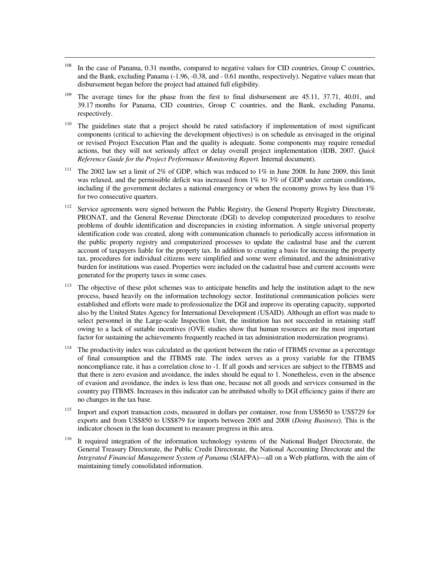<sup>108</sup> In the case of Panama, 0.31 months, compared to negative values for CID countries, Group C countries, and the Bank, excluding Panama (-1.96, -0.38, and - 0.61 months, respectively). Negative values mean that disbursement began before the project had attained full eligibility.

- <sup>109</sup> The average times for the phase from the first to final disbursement are  $45.11$ ,  $37.71$ ,  $40.01$ , and 39.17 months for Panama, CID countries, Group C countries, and the Bank, excluding Panama, respectively.
- <sup>110</sup> The guidelines state that a project should be rated satisfactory if implementation of most significant components (critical to achieving the development objectives) is on schedule as envisaged in the original or revised Project Execution Plan and the quality is adequate. Some components may require remedial actions, but they will not seriously affect or delay overall project implementation (IDB, 2007. *Quick Reference Guide for the Project Performance Monitoring Report.* Internal document).
- <sup>111</sup> The 2002 law set a limit of 2% of GDP, which was reduced to 1% in June 2008. In June 2009, this limit was relaxed, and the permissible deficit was increased from 1% to 3% of GDP under certain conditions, including if the government declares a national emergency or when the economy grows by less than  $1\%$ for two consecutive quarters.
- <sup>112</sup> Service agreements were signed between the Public Registry, the General Property Registry Directorate, PRONAT, and the General Revenue Directorate (DGI) to develop computerized procedures to resolve problems of double identification and discrepancies in existing information. A single universal property identification code was created, along with communication channels to periodically access information in the public property registry and computerized processes to update the cadastral base and the current account of taxpayers liable for the property tax. In addition to creating a basis for increasing the property tax, procedures for individual citizens were simplified and some were eliminated, and the administrative burden for institutions was eased. Properties were included on the cadastral base and current accounts were generated for the property taxes in some cases.
- <sup>113</sup> The objective of these pilot schemes was to anticipate benefits and help the institution adapt to the new process, based heavily on the information technology sector. Institutional communication policies were established and efforts were made to professionalize the DGI and improve its operating capacity, supported also by the United States Agency for International Development (USAID). Although an effort was made to select personnel in the Large-scale Inspection Unit, the institution has not succeeded in retaining staff owing to a lack of suitable incentives (OVE studies show that human resources are the most important factor for sustaining the achievements frequently reached in tax administration modernization programs).
- <sup>114</sup> The productivity index was calculated as the quotient between the ratio of ITBMS revenue as a percentage of final consumption and the ITBMS rate. The index serves as a proxy variable for the ITBMS noncompliance rate, it has a correlation close to -1. If all goods and services are subject to the ITBMS and that there is zero evasion and avoidance, the index should be equal to 1. Nonetheless, even in the absence of evasion and avoidance, the index is less than one, because not all goods and services consumed in the country pay ITBMS. Increases in this indicator can be attributed wholly to DGI efficiency gains if there are no changes in the tax base.
- <sup>115</sup> Import and export transaction costs, measured in dollars per container, rose from US\$650 to US\$729 for exports and from US\$850 to US\$879 for imports between 2005 and 2008 (*Doing Business*). This is the indicator chosen in the loan document to measure progress in this area.
- <sup>116</sup> It required integration of the information technology systems of the National Budget Directorate, the General Treasury Directorate, the Public Credit Directorate, the National Accounting Directorate and the *Integrated Financial Management System of Panama* (SIAFPA)—all on a Web platform, with the aim of maintaining timely consolidated information.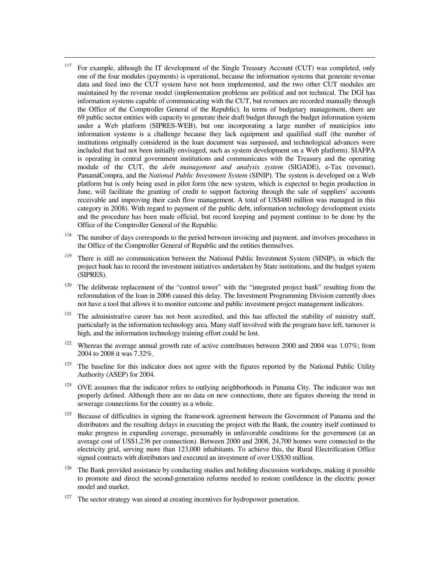<sup>117</sup> For example, although the IT development of the Single Treasury Account (CUT) was completed, only one of the four modules (payments) is operational, because the information systems that generate revenue data and feed into the CUT system have not been implemented, and the two other CUT modules are maintained by the revenue model (implementation problems are political and not technical. The DGI has information systems capable of communicating with the CUT, but revenues are recorded manually through the Office of the Comptroller General of the Republic). In terms of budgetary management, there are 69 public sector entities with capacity to generate their draft budget through the budget information system under a Web platform (SIPRES-WEB), but one incorporating a large number of municipios into information systems is a challenge because they lack equipment and qualified staff (the number of institutions originally considered in the loan document was surpassed, and technological advances were included that had not been initially envisaged, such as system development on a Web platform). SIAFPA is operating in central government institutions and communicates with the Treasury and the operating module of the CUT, the *debt management and analysis system* (SIGADE), e-Tax (revenue), PanamáCompra, and the *National Public Investment System* (SINIP). The system is developed on a Web platform but is only being used in pilot form (the new system, which is expected to begin production in June, will facilitate the granting of credit to support factoring through the sale of suppliers' accounts receivable and improving their cash flow management. A total of US\$480 million was managed in this category in 2008). With regard to payment of the public debt, information technology development exists and the procedure has been made official, but record keeping and payment continue to be done by the Office of the Comptroller General of the Republic.

- <sup>118</sup> The number of days corresponds to the period between invoicing and payment, and involves procedures in the Office of the Comptroller General of Republic and the entities themselves.
- <sup>119</sup> There is still no communication between the National Public Investment System (SINIP), in which the project bank has to record the investment initiatives undertaken by State institutions, and the budget system (SIPRES).
- <sup>120</sup> The deliberate replacement of the "control tower" with the "integrated project bank" resulting from the reformulation of the loan in 2006 caused this delay. The Investment Programming Division currently does not have a tool that allows it to monitor outcome and public investment project management indicators.
- $121$  The administrative career has not been accredited, and this has affected the stability of ministry staff, particularly in the information technology area. Many staff involved with the program have left, turnover is high, and the information technology training effort could be lost.
- <sup>122</sup> Whereas the average annual growth rate of active contributors between 2000 and 2004 was 1.07%; from 2004 to 2008 it was 7.32%.
- $123$  The baseline for this indicator does not agree with the figures reported by the National Public Utility Authority (ASEP) for 2004.
- <sup>124</sup> OVE assumes that the indicator refers to outlying neighborhoods in Panama City. The indicator was not properly defined. Although there are no data on new connections, there are figures showing the trend in sewerage connections for the country as a whole.
- <sup>125</sup> Because of difficulties in signing the framework agreement between the Government of Panama and the distributors and the resulting delays in executing the project with the Bank, the country itself continued to make progress in expanding coverage, presumably in unfavorable conditions for the government (at an average cost of US\$1,236 per connection). Between 2000 and 2008, 24,700 homes were connected to the electricity grid, serving more than 123,000 inhabitants. To achieve this, the Rural Electrification Office signed contracts with distributors and executed an investment of over US\$30 million.
- $126$  The Bank provided assistance by conducting studies and holding discussion workshops, making it possible to promote and direct the second-generation reforms needed to restore confidence in the electric power model and market.
- $127$  The sector strategy was aimed at creating incentives for hydropower generation.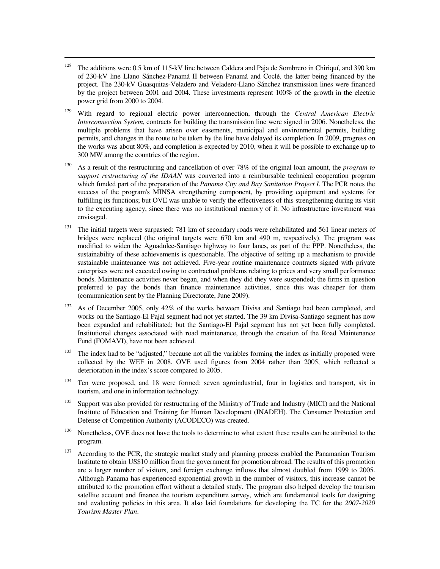<sup>128</sup> The additions were 0.5 km of 115-kV line between Caldera and Paja de Sombrero in Chiriquí, and 390 km of 230-kV line Llano Sánchez-Panamá II between Panamá and Coclé, the latter being financed by the project. The 230-kV Guasquitas-Veladero and Veladero-Llano Sánchez transmission lines were financed by the project between 2001 and 2004. These investments represent 100% of the growth in the electric power grid from 2000 to 2004.

- <sup>129</sup> With regard to regional electric power interconnection, through the *Central American Electric Interconnection System*, contracts for building the transmission line were signed in 2006. Nonetheless, the multiple problems that have arisen over easements, municipal and environmental permits, building permits, and changes in the route to be taken by the line have delayed its completion. In 2009, progress on the works was about 80%, and completion is expected by 2010, when it will be possible to exchange up to 300 MW among the countries of the region.
- <sup>130</sup> As a result of the restructuring and cancellation of over 78% of the original loan amount, the *program to support restructuring of the IDAAN* was converted into a reimbursable technical cooperation program which funded part of the preparation of the *Panama City and Bay Sanitation Project I*. The PCR notes the success of the program's MINSA strengthening component, by providing equipment and systems for fulfilling its functions; but OVE was unable to verify the effectiveness of this strengthening during its visit to the executing agency, since there was no institutional memory of it. No infrastructure investment was envisaged.
- <sup>131</sup> The initial targets were surpassed: 781 km of secondary roads were rehabilitated and 561 linear meters of bridges were replaced (the original targets were 670 km and 490 m, respectively). The program was modified to widen the Aguadulce-Santiago highway to four lanes, as part of the PPP. Nonetheless, the sustainability of these achievements is questionable. The objective of setting up a mechanism to provide sustainable maintenance was not achieved. Five-year routine maintenance contracts signed with private enterprises were not executed owing to contractual problems relating to prices and very small performance bonds. Maintenance activities never began, and when they did they were suspended; the firms in question preferred to pay the bonds than finance maintenance activities, since this was cheaper for them (communication sent by the Planning Directorate, June 2009).
- <sup>132</sup> As of December 2005, only 42% of the works between Divisa and Santiago had been completed, and works on the Santiago-El Pajal segment had not yet started. The 39 km Divisa-Santiago segment has now been expanded and rehabilitated; but the Santiago-El Pajal segment has not yet been fully completed. Institutional changes associated with road maintenance, through the creation of the Road Maintenance Fund (FOMAVI), have not been achieved.
- $133$  The index had to be "adjusted," because not all the variables forming the index as initially proposed were collected by the WEF in 2008. OVE used figures from 2004 rather than 2005, which reflected a deterioration in the index's score compared to 2005.
- <sup>134</sup> Ten were proposed, and 18 were formed: seven agroindustrial, four in logistics and transport, six in tourism, and one in information technology.
- <sup>135</sup> Support was also provided for restructuring of the Ministry of Trade and Industry (MICI) and the National Institute of Education and Training for Human Development (INADEH). The Consumer Protection and Defense of Competition Authority (ACODECO) was created.
- <sup>136</sup> Nonetheless, OVE does not have the tools to determine to what extent these results can be attributed to the program.
- $137$  According to the PCR, the strategic market study and planning process enabled the Panamanian Tourism Institute to obtain US\$10 million from the government for promotion abroad. The results of this promotion are a larger number of visitors, and foreign exchange inflows that almost doubled from 1999 to 2005. Although Panama has experienced exponential growth in the number of visitors, this increase cannot be attributed to the promotion effort without a detailed study. The program also helped develop the tourism satellite account and finance the tourism expenditure survey, which are fundamental tools for designing and evaluating policies in this area. It also laid foundations for developing the TC for the *2007-2020 Tourism Master Plan*.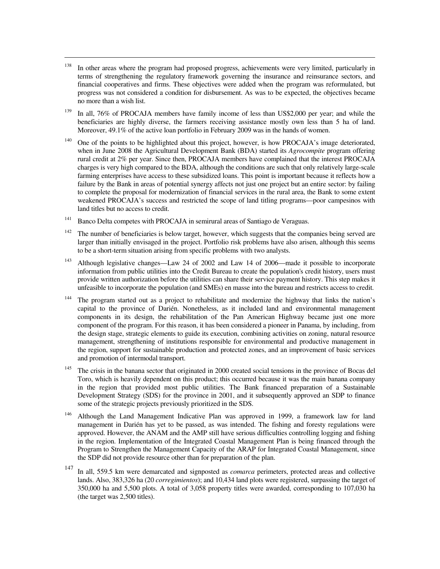- <sup>138</sup> In other areas where the program had proposed progress, achievements were very limited, particularly in terms of strengthening the regulatory framework governing the insurance and reinsurance sectors, and financial cooperatives and firms. These objectives were added when the program was reformulated, but progress was not considered a condition for disbursement. As was to be expected, the objectives became no more than a wish list.
- $139$  In all, 76% of PROCAJA members have family income of less than US\$2,000 per year; and while the beneficiaries are highly diverse, the farmers receiving assistance mostly own less than 5 ha of land. Moreover, 49.1% of the active loan portfolio in February 2009 was in the hands of women.
- <sup>140</sup> One of the points to be highlighted about this project, however, is how PROCAJA's image deteriorated, when in June 2008 the Agricultural Development Bank (BDA) started its *Agrocompite* program offering rural credit at 2% per year. Since then, PROCAJA members have complained that the interest PROCAJA charges is very high compared to the BDA, although the conditions are such that only relatively large-scale farming enterprises have access to these subsidized loans. This point is important because it reflects how a failure by the Bank in areas of potential synergy affects not just one project but an entire sector: by failing to complete the proposal for modernization of financial services in the rural area, the Bank to some extent weakened PROCAJA's success and restricted the scope of land titling programs—poor campesinos with land titles but no access to credit.
- <sup>141</sup> Banco Delta competes with PROCAJA in semirural areas of Santiago de Veraguas.

- $142$  The number of beneficiaries is below target, however, which suggests that the companies being served are larger than initially envisaged in the project. Portfolio risk problems have also arisen, although this seems to be a short-term situation arising from specific problems with two analysts.
- <sup>143</sup> Although legislative changes—Law 24 of 2002 and Law 14 of 2006—made it possible to incorporate information from public utilities into the Credit Bureau to create the population's credit history, users must provide written authorization before the utilities can share their service payment history. This step makes it unfeasible to incorporate the population (and SMEs) en masse into the bureau and restricts access to credit.
- <sup>144</sup> The program started out as a project to rehabilitate and modernize the highway that links the nation's capital to the province of Darién. Nonetheless, as it included land and environmental management components in its design, the rehabilitation of the Pan American Highway became just one more component of the program. For this reason, it has been considered a pioneer in Panama, by including, from the design stage, strategic elements to guide its execution, combining activities on zoning, natural resource management, strengthening of institutions responsible for environmental and productive management in the region, support for sustainable production and protected zones, and an improvement of basic services and promotion of intermodal transport.
- <sup>145</sup> The crisis in the banana sector that originated in 2000 created social tensions in the province of Bocas del Toro, which is heavily dependent on this product; this occurred because it was the main banana company in the region that provided most public utilities. The Bank financed preparation of a Sustainable Development Strategy (SDS) for the province in 2001, and it subsequently approved an SDP to finance some of the strategic projects previously prioritized in the SDS.
- <sup>146</sup> Although the Land Management Indicative Plan was approved in 1999, a framework law for land management in Darién has yet to be passed, as was intended. The fishing and foresty regulations were approved. However, the ANAM and the AMP still have serious difficulties controlling logging and fishing in the region. Implementation of the Integrated Coastal Management Plan is being financed through the Program to Strengthen the Management Capacity of the ARAP for Integrated Coastal Management, since the SDP did not provide resource other than for preparation of the plan.
- 147 In all, 559.5 km were demarcated and signposted as *comarca* perimeters, protected areas and collective lands. Also, 383,326 ha (20 *corregimientos*); and 10,434 land plots were registered, surpassing the target of 350,000 ha and 5,500 plots. A total of 3,058 property titles were awarded, corresponding to 107,030 ha (the target was 2,500 titles).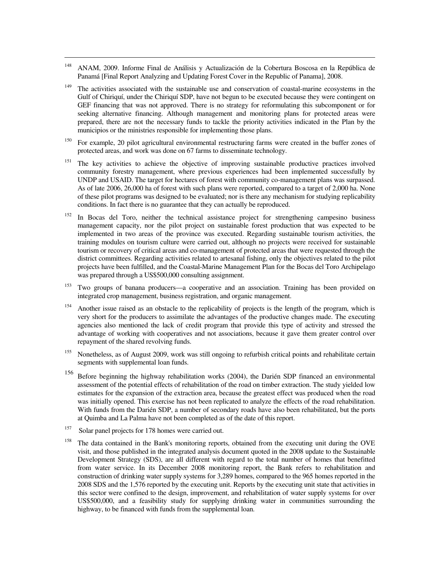- <sup>148</sup> ANAM, 2009. Informe Final de Análisis y Actualización de la Cobertura Boscosa en la República de Panamá [Final Report Analyzing and Updating Forest Cover in the Republic of Panama], 2008.
- <sup>149</sup> The activities associated with the sustainable use and conservation of coastal-marine ecosystems in the Gulf of Chiriquí, under the Chiriquí SDP, have not begun to be executed because they were contingent on GEF financing that was not approved. There is no strategy for reformulating this subcomponent or for seeking alternative financing. Although management and monitoring plans for protected areas were prepared, there are not the necessary funds to tackle the priority activities indicated in the Plan by the municipios or the ministries responsible for implementing those plans.
- <sup>150</sup>For example, 20 pilot agricultural environmental restructuring farms were created in the buffer zones of protected areas, and work was done on 67 farms to disseminate technology.
- <sup>151</sup> The key activities to achieve the objective of improving sustainable productive practices involved community forestry management, where previous experiences had been implemented successfully by UNDP and USAID. The target for hectares of forest with community co-management plans was surpassed. As of late 2006, 26,000 ha of forest with such plans were reported, compared to a target of 2,000 ha. None of these pilot programs was designed to be evaluated; nor is there any mechanism for studying replicability conditions. In fact there is no guarantee that they can actually be reproduced.
- <sup>152</sup> In Bocas del Toro, neither the technical assistance project for strengthening campesino business management capacity, nor the pilot project on sustainable forest production that was expected to be implemented in two areas of the province was executed. Regarding sustainable tourism activities, the training modules on tourism culture were carried out, although no projects were received for sustainable tourism or recovery of critical areas and co-management of protected areas that were requested through the district committees. Regarding activities related to artesanal fishing, only the objectives related to the pilot projects have been fulfilled, and the Coastal-Marine Management Plan for the Bocas del Toro Archipelago was prepared through a US\$500,000 consulting assignment.
- <sup>153</sup> Two groups of banana producers—a cooperative and an association. Training has been provided on integrated crop management, business registration, and organic management.
- <sup>154</sup> Another issue raised as an obstacle to the replicability of projects is the length of the program, which is very short for the producers to assimilate the advantages of the productive changes made. The executing agencies also mentioned the lack of credit program that provide this type of activity and stressed the advantage of working with cooperatives and not associations, because it gave them greater control over repayment of the shared revolving funds.
- $^{155}$  Nonetheless, as of August 2009, work was still ongoing to refurbish critical points and rehabilitate certain segments with supplemental loan funds.
- 156 Before beginning the highway rehabilitation works (2004), the Darién SDP financed an environmental assessment of the potential effects of rehabilitation of the road on timber extraction. The study yielded low estimates for the expansion of the extraction area, because the greatest effect was produced when the road was initially opened. This exercise has not been replicated to analyze the effects of the road rehabilitation. With funds from the Darién SDP, a number of secondary roads have also been rehabilitated, but the ports at Quimba and La Palma have not been completed as of the date of this report.
- <sup>157</sup> Solar panel projects for 178 homes were carried out.

 $\overline{a}$ 

<sup>158</sup> The data contained in the Bank's monitoring reports, obtained from the executing unit during the OVE visit, and those published in the integrated analysis document quoted in the 2008 update to the Sustainable Development Strategy (SDS), are all different with regard to the total number of homes that benefitted from water service. In its December 2008 monitoring report, the Bank refers to rehabilitation and construction of drinking water supply systems for 3,289 homes, compared to the 965 homes reported in the 2008 SDS and the 1,576 reported by the executing unit. Reports by the executing unit state that activities in this sector were confined to the design, improvement, and rehabilitation of water supply systems for over US\$500,000, and a feasibility study for supplying drinking water in communities surrounding the highway, to be financed with funds from the supplemental loan.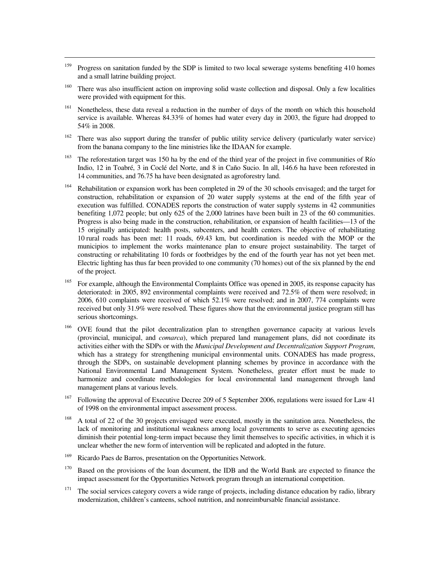<sup>159</sup> Progress on sanitation funded by the SDP is limited to two local sewerage systems benefiting 410 homes and a small latrine building project.

- <sup>160</sup> There was also insufficient action on improving solid waste collection and disposal. Only a few localities were provided with equipment for this.
- <sup>161</sup> Nonetheless, these data reveal a reduction in the number of days of the month on which this household service is available. Whereas 84.33% of homes had water every day in 2003, the figure had dropped to 54% in 2008.
- $162$  There was also support during the transfer of public utility service delivery (particularly water service) from the banana company to the line ministries like the IDAAN for example.
- $163$  The reforestation target was 150 ha by the end of the third year of the project in five communities of Río Indio, 12 in Toabré, 3 in Coclé del Norte, and 8 in Caño Sucio. In all, 146.6 ha have been reforested in 14 communities, and 76.75 ha have been designated as agroforestry land.
- <sup>164</sup> Rehabilitation or expansion work has been completed in 29 of the 30 schools envisaged; and the target for construction, rehabilitation or expansion of 20 water supply systems at the end of the fifth year of execution was fulfilled. CONADES reports the construction of water supply systems in 42 communities benefiting 1,072 people; but only 625 of the 2,000 latrines have been built in 23 of the 60 communities. Progress is also being made in the construction, rehabilitation, or expansion of health facilities—13 of the 15 originally anticipated: health posts, subcenters, and health centers. The objective of rehabilitating 10 rural roads has been met: 11 roads, 69.43 km, but coordination is needed with the MOP or the municipios to implement the works maintenance plan to ensure project sustainability. The target of constructing or rehabilitating 10 fords or footbridges by the end of the fourth year has not yet been met. Electric lighting has thus far been provided to one community (70 homes) out of the six planned by the end of the project.
- <sup>165</sup> For example, although the Environmental Complaints Office was opened in 2005, its response capacity has deteriorated: in 2005, 892 environmental complaints were received and 72.5% of them were resolved; in 2006, 610 complaints were received of which 52.1% were resolved; and in 2007, 774 complaints were received but only 31.9% were resolved. These figures show that the environmental justice program still has serious shortcomings.
- <sup>166</sup> OVE found that the pilot decentralization plan to strengthen governance capacity at various levels (provincial, municipal, and *comarca*), which prepared land management plans, did not coordinate its activities either with the SDPs or with the *Municipal Development and Decentralization Support Program*, which has a strategy for strengthening municipal environmental units. CONADES has made progress, through the SDPs, on sustainable development planning schemes by province in accordance with the National Environmental Land Management System. Nonetheless, greater effort must be made to harmonize and coordinate methodologies for local environmental land management through land management plans at various levels.
- <sup>167</sup> Following the approval of Executive Decree 209 of 5 September 2006, regulations were issued for Law 41 of 1998 on the environmental impact assessment process.
- <sup>168</sup> A total of 22 of the 30 projects envisaged were executed, mostly in the sanitation area. Nonetheless, the lack of monitoring and institutional weakness among local governments to serve as executing agencies diminish their potential long-term impact because they limit themselves to specific activities, in which it is unclear whether the new form of intervention will be replicated and adopted in the future.
- <sup>169</sup> Ricardo Paes de Barros, presentation on the Opportunities Network.
- <sup>170</sup> Based on the provisions of the loan document, the IDB and the World Bank are expected to finance the impact assessment for the Opportunities Network program through an international competition.
- $171$  The social services category covers a wide range of projects, including distance education by radio, library modernization, children's canteens, school nutrition, and nonreimbursable financial assistance.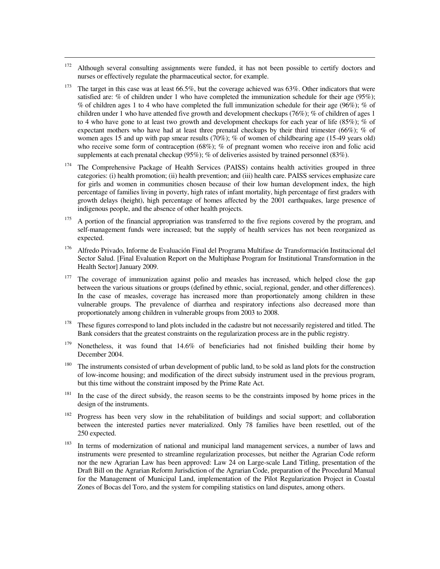<sup>172</sup> Although several consulting assignments were funded, it has not been possible to certify doctors and nurses or effectively regulate the pharmaceutical sector, for example.

- The target in this case was at least 66.5%, but the coverage achieved was 63%. Other indicators that were satisfied are: % of children under 1 who have completed the immunization schedule for their age (95%); % of children ages 1 to 4 who have completed the full immunization schedule for their age (96%); % of children under 1 who have attended five growth and development checkups (76%); % of children of ages 1 to 4 who have gone to at least two growth and development checkups for each year of life (85%); % of expectant mothers who have had at least three prenatal checkups by their third trimester (66%); % of women ages 15 and up with pap smear results (70%); % of women of childbearing age (15-49 years old) who receive some form of contraception (68%); % of pregnant women who receive iron and folic acid supplements at each prenatal checkup (95%); % of deliveries assisted by trained personnel (83%).
- <sup>174</sup> The Comprehensive Package of Health Services (PAISS) contains health activities grouped in three categories: (i) health promotion; (ii) health prevention; and (iii) health care. PAISS services emphasize care for girls and women in communities chosen because of their low human development index, the high percentage of families living in poverty, high rates of infant mortality, high percentage of first graders with growth delays (height), high percentage of homes affected by the 2001 earthquakes, large presence of indigenous people, and the absence of other health projects.
- <sup>175</sup> A portion of the financial appropriation was transferred to the five regions covered by the program, and self-management funds were increased; but the supply of health services has not been reorganized as expected.
- <sup>176</sup> Alfredo Privado, Informe de Evaluación Final del Programa Multifase de Transformación Institucional del Sector Salud. [Final Evaluation Report on the Multiphase Program for Institutional Transformation in the Health Sector] January 2009.
- <sup>177</sup> The coverage of immunization against polio and measles has increased, which helped close the gap between the various situations or groups (defined by ethnic, social, regional, gender, and other differences). In the case of measles, coverage has increased more than proportionately among children in these vulnerable groups. The prevalence of diarrhea and respiratory infections also decreased more than proportionately among children in vulnerable groups from 2003 to 2008.
- <sup>178</sup> These figures correspond to land plots included in the cadastre but not necessarily registered and titled. The Bank considers that the greatest constraints on the regularization process are in the public registry.
- <sup>179</sup> Nonetheless, it was found that 14.6% of beneficiaries had not finished building their home by December 2004.
- <sup>180</sup> The instruments consisted of urban development of public land, to be sold as land plots for the construction of low-income housing; and modification of the direct subsidy instrument used in the previous program, but this time without the constraint imposed by the Prime Rate Act.
- $181$  In the case of the direct subsidy, the reason seems to be the constraints imposed by home prices in the design of the instruments.
- <sup>182</sup> Progress has been very slow in the rehabilitation of buildings and social support; and collaboration between the interested parties never materialized. Only 78 families have been resettled, out of the 250 expected.
- <sup>183</sup> In terms of modernization of national and municipal land management services, a number of laws and instruments were presented to streamline regularization processes, but neither the Agrarian Code reform nor the new Agrarian Law has been approved: Law 24 on Large-scale Land Titling, presentation of the Draft Bill on the Agrarian Reform Jurisdiction of the Agrarian Code, preparation of the Procedural Manual for the Management of Municipal Land, implementation of the Pilot Regularization Project in Coastal Zones of Bocas del Toro, and the system for compiling statistics on land disputes, among others.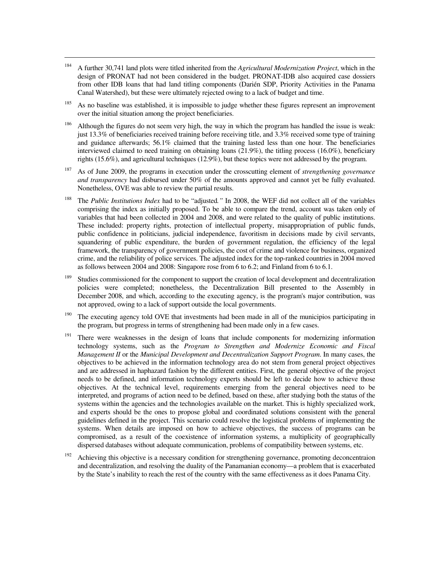<sup>184</sup> A further 30,741 land plots were titled inherited from the *Agricultural Modernization Project*, which in the design of PRONAT had not been considered in the budget. PRONAT-IDB also acquired case dossiers from other IDB loans that had land titling components (Darién SDP, Priority Activities in the Panama Canal Watershed), but these were ultimately rejected owing to a lack of budget and time.

- $185$  As no baseline was established, it is impossible to judge whether these figures represent an improvement over the initial situation among the project beneficiaries.
- <sup>186</sup> Although the figures do not seem very high, the way in which the program has handled the issue is weak: just 13.3% of beneficiaries received training before receiving title, and 3.3% received some type of training and guidance afterwards; 56.1% claimed that the training lasted less than one hour. The beneficiaries interviewed claimed to need training on obtaining loans (21.9%), the titling process (16.0%), beneficiary rights (15.6%), and agricultural techniques (12.9%), but these topics were not addressed by the program.
- <sup>187</sup> As of June 2009, the programs in execution under the crosscutting element of *strengthening governance and transparency* had disbursed under 50% of the amounts approved and cannot yet be fully evaluated. Nonetheless, OVE was able to review the partial results.
- <sup>188</sup> The *Public Institutions Index* had to be "adjusted*."* In 2008, the WEF did not collect all of the variables comprising the index as initially proposed. To be able to compare the trend, account was taken only of variables that had been collected in 2004 and 2008, and were related to the quality of public institutions. These included: property rights, protection of intellectual property, misappropriation of public funds, public confidence in politicians, judicial independence, favoritism in decisions made by civil servants, squandering of public expenditure, the burden of government regulation, the efficiency of the legal framework, the transparency of government policies, the cost of crime and violence for business, organized crime, and the reliability of police services. The adjusted index for the top-ranked countries in 2004 moved as follows between 2004 and 2008: Singapore rose from 6 to 6.2; and Finland from 6 to 6.1.
- <sup>189</sup> Studies commissioned for the component to support the creation of local development and decentralization policies were completed; nonetheless, the Decentralization Bill presented to the Assembly in December 2008, and which, according to the executing agency, is the program's major contribution, was not approved, owing to a lack of support outside the local governments.
- <sup>190</sup> The executing agency told OVE that investments had been made in all of the municipios participating in the program, but progress in terms of strengthening had been made only in a few cases.
- <sup>191</sup> There were weaknesses in the design of loans that include components for modernizing information technology systems, such as the *Program to Strengthen and Modernize Economic and Fiscal Management II* or the *Municipal Development and Decentralization Support Program*. In many cases, the objectives to be achieved in the information technology area do not stem from general project objectives and are addressed in haphazard fashion by the different entities. First, the general objective of the project needs to be defined, and information technology experts should be left to decide how to achieve those objectives. At the technical level, requirements emerging from the general objectives need to be interpreted, and programs of action need to be defined, based on these, after studying both the status of the systems within the agencies and the technologies available on the market. This is highly specialized work, and experts should be the ones to propose global and coordinated solutions consistent with the general guidelines defined in the project. This scenario could resolve the logistical problems of implementing the systems. When details are imposed on how to achieve objectives, the success of programs can be compromised, as a result of the coexistence of information systems, a multiplicity of geographically dispersed databases without adequate communication, problems of compatibility between systems, etc.
- <sup>192</sup> Achieving this objective is a necessary condition for strengthening governance, promoting deconcentraion and decentralization, and resolving the duality of the Panamanian economy—a problem that is exacerbated by the State's inability to reach the rest of the country with the same effectiveness as it does Panama City.